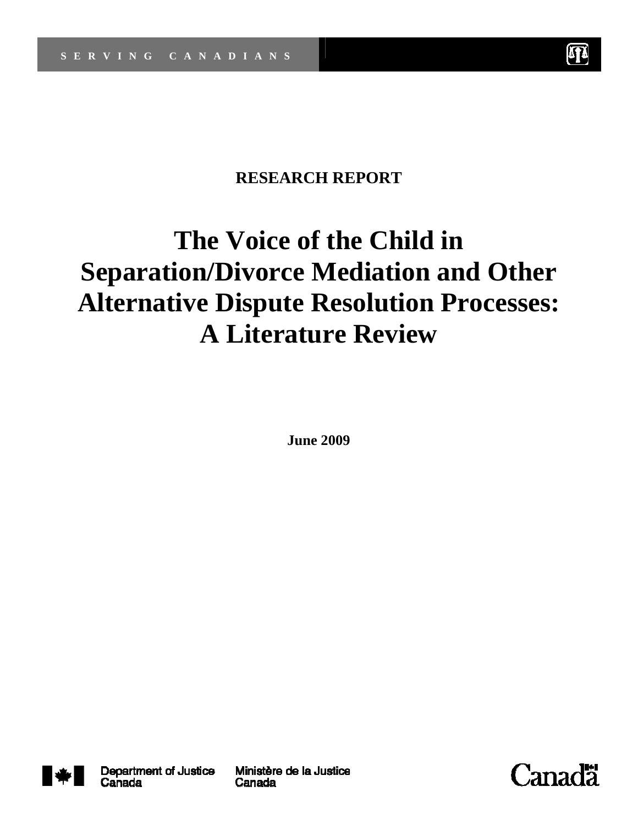

# **RESEARCH REPORT**

# **The Voice of the Child in Separation/Divorce Mediation and Other Alternative Dispute Resolution Processes: A Literature Review**

**June 2009** 



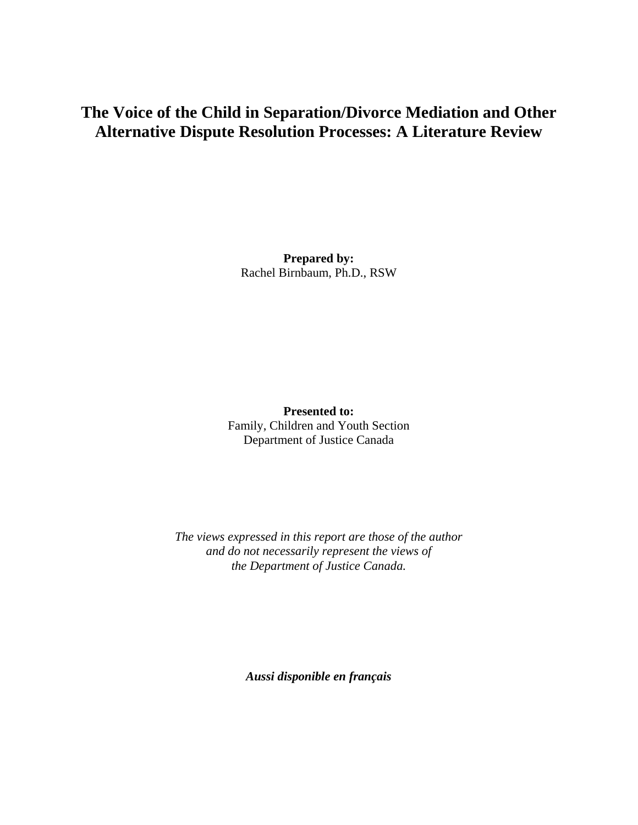## **The Voice of the Child in Separation/Divorce Mediation and Other Alternative Dispute Resolution Processes: A Literature Review**

**Prepared by:** Rachel Birnbaum, Ph.D., RSW

**Presented to:**  Family, Children and Youth Section Department of Justice Canada

*The views expressed in this report are those of the author and do not necessarily represent the views of the Department of Justice Canada.* 

*Aussi disponible en français*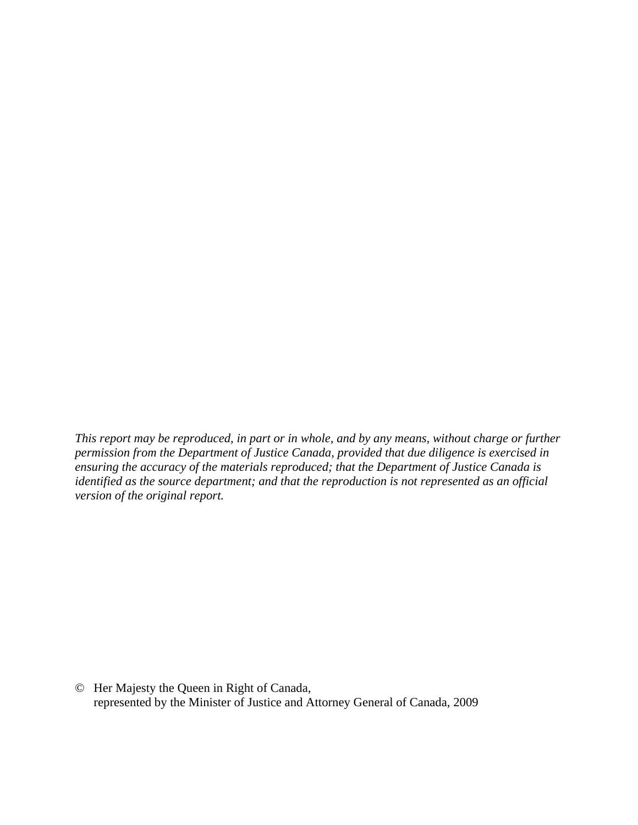*This report may be reproduced, in part or in whole, and by any means, without charge or further permission from the Department of Justice Canada, provided that due diligence is exercised in ensuring the accuracy of the materials reproduced; that the Department of Justice Canada is identified as the source department; and that the reproduction is not represented as an official version of the original report.* 

© Her Majesty the Queen in Right of Canada, represented by the Minister of Justice and Attorney General of Canada, 2009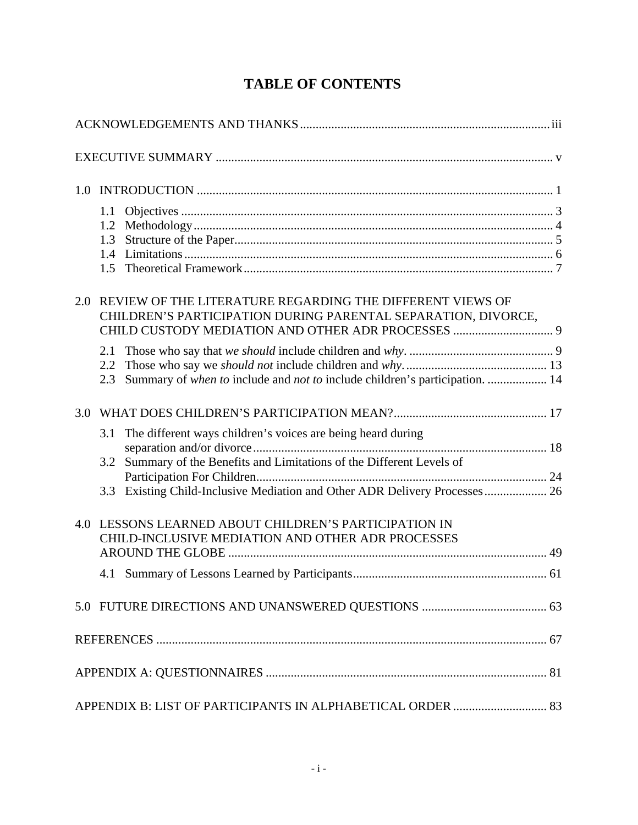|     | 1.1<br>1.2<br>$1.4^{\circ}$<br>1.5                                                                                                              |  |
|-----|-------------------------------------------------------------------------------------------------------------------------------------------------|--|
| 2.0 | REVIEW OF THE LITERATURE REGARDING THE DIFFERENT VIEWS OF<br>CHILDREN'S PARTICIPATION DURING PARENTAL SEPARATION, DIVORCE,                      |  |
|     | 2.1<br>2.2<br>Summary of when to include and not to include children's participation.  14<br>2.3                                                |  |
| 3.0 |                                                                                                                                                 |  |
|     | The different ways children's voices are being heard during<br>3.1<br>Summary of the Benefits and Limitations of the Different Levels of<br>3.2 |  |
|     | 3.3 Existing Child-Inclusive Mediation and Other ADR Delivery Processes 26                                                                      |  |
|     | 4.0 LESSONS LEARNED ABOUT CHILDREN'S PARTICIPATION IN<br>CHILD-INCLUSIVE MEDIATION AND OTHER ADR PROCESSES                                      |  |
|     |                                                                                                                                                 |  |
|     |                                                                                                                                                 |  |
|     |                                                                                                                                                 |  |
|     |                                                                                                                                                 |  |
|     |                                                                                                                                                 |  |
|     | APPENDIX B: LIST OF PARTICIPANTS IN ALPHABETICAL ORDER  83                                                                                      |  |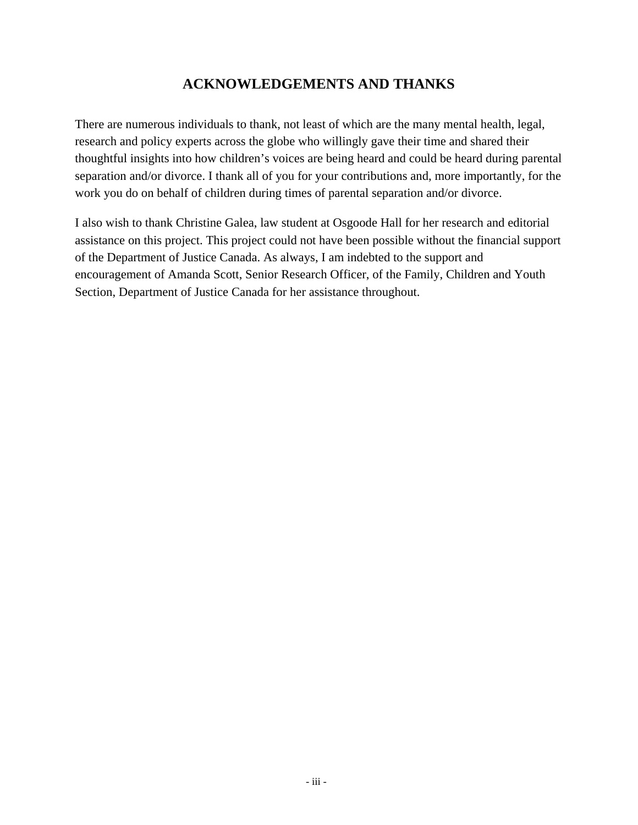## **ACKNOWLEDGEMENTS AND THANKS**

There are numerous individuals to thank, not least of which are the many mental health, legal, research and policy experts across the globe who willingly gave their time and shared their thoughtful insights into how children's voices are being heard and could be heard during parental separation and/or divorce. I thank all of you for your contributions and, more importantly, for the work you do on behalf of children during times of parental separation and/or divorce.

I also wish to thank Christine Galea, law student at Osgoode Hall for her research and editorial assistance on this project. This project could not have been possible without the financial support of the Department of Justice Canada. As always, I am indebted to the support and encouragement of Amanda Scott, Senior Research Officer, of the Family, Children and Youth Section, Department of Justice Canada for her assistance throughout.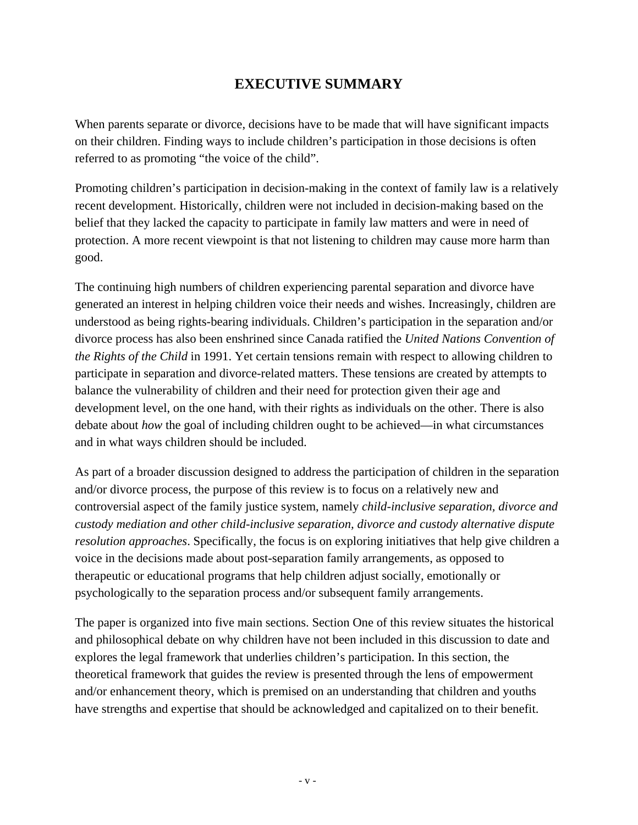## **EXECUTIVE SUMMARY**

When parents separate or divorce, decisions have to be made that will have significant impacts on their children. Finding ways to include children's participation in those decisions is often referred to as promoting "the voice of the child".

Promoting children's participation in decision-making in the context of family law is a relatively recent development. Historically, children were not included in decision-making based on the belief that they lacked the capacity to participate in family law matters and were in need of protection. A more recent viewpoint is that not listening to children may cause more harm than good.

The continuing high numbers of children experiencing parental separation and divorce have generated an interest in helping children voice their needs and wishes. Increasingly, children are understood as being rights-bearing individuals. Children's participation in the separation and/or divorce process has also been enshrined since Canada ratified the *United Nations Convention of the Rights of the Child* in 1991. Yet certain tensions remain with respect to allowing children to participate in separation and divorce-related matters. These tensions are created by attempts to balance the vulnerability of children and their need for protection given their age and development level, on the one hand, with their rights as individuals on the other. There is also debate about *how* the goal of including children ought to be achieved—in what circumstances and in what ways children should be included.

As part of a broader discussion designed to address the participation of children in the separation and/or divorce process, the purpose of this review is to focus on a relatively new and controversial aspect of the family justice system, namely *child-inclusive separation, divorce and custody mediation and other child-inclusive separation, divorce and custody alternative dispute resolution approaches*. Specifically, the focus is on exploring initiatives that help give children a voice in the decisions made about post-separation family arrangements, as opposed to therapeutic or educational programs that help children adjust socially, emotionally or psychologically to the separation process and/or subsequent family arrangements.

The paper is organized into five main sections. Section One of this review situates the historical and philosophical debate on why children have not been included in this discussion to date and explores the legal framework that underlies children's participation. In this section, the theoretical framework that guides the review is presented through the lens of empowerment and/or enhancement theory, which is premised on an understanding that children and youths have strengths and expertise that should be acknowledged and capitalized on to their benefit.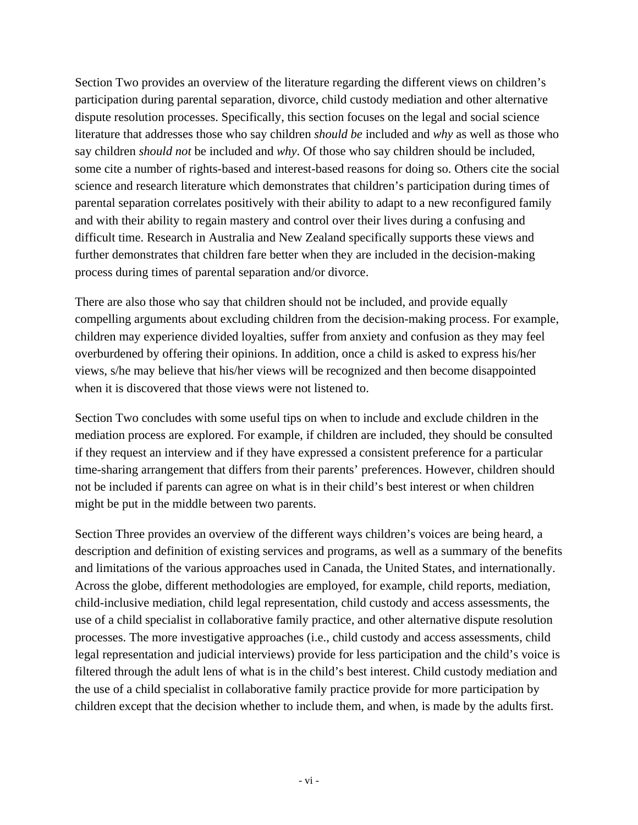Section Two provides an overview of the literature regarding the different views on children's participation during parental separation, divorce, child custody mediation and other alternative dispute resolution processes. Specifically, this section focuses on the legal and social science literature that addresses those who say children *should be* included and *why* as well as those who say children *should not* be included and *why*. Of those who say children should be included, some cite a number of rights-based and interest-based reasons for doing so. Others cite the social science and research literature which demonstrates that children's participation during times of parental separation correlates positively with their ability to adapt to a new reconfigured family and with their ability to regain mastery and control over their lives during a confusing and difficult time. Research in Australia and New Zealand specifically supports these views and further demonstrates that children fare better when they are included in the decision-making process during times of parental separation and/or divorce.

There are also those who say that children should not be included, and provide equally compelling arguments about excluding children from the decision-making process. For example, children may experience divided loyalties, suffer from anxiety and confusion as they may feel overburdened by offering their opinions. In addition, once a child is asked to express his/her views, s/he may believe that his/her views will be recognized and then become disappointed when it is discovered that those views were not listened to.

Section Two concludes with some useful tips on when to include and exclude children in the mediation process are explored. For example, if children are included, they should be consulted if they request an interview and if they have expressed a consistent preference for a particular time-sharing arrangement that differs from their parents' preferences. However, children should not be included if parents can agree on what is in their child's best interest or when children might be put in the middle between two parents.

Section Three provides an overview of the different ways children's voices are being heard, a description and definition of existing services and programs, as well as a summary of the benefits and limitations of the various approaches used in Canada, the United States, and internationally. Across the globe, different methodologies are employed, for example, child reports, mediation, child-inclusive mediation, child legal representation, child custody and access assessments, the use of a child specialist in collaborative family practice, and other alternative dispute resolution processes. The more investigative approaches (i.e., child custody and access assessments, child legal representation and judicial interviews) provide for less participation and the child's voice is filtered through the adult lens of what is in the child's best interest. Child custody mediation and the use of a child specialist in collaborative family practice provide for more participation by children except that the decision whether to include them, and when, is made by the adults first.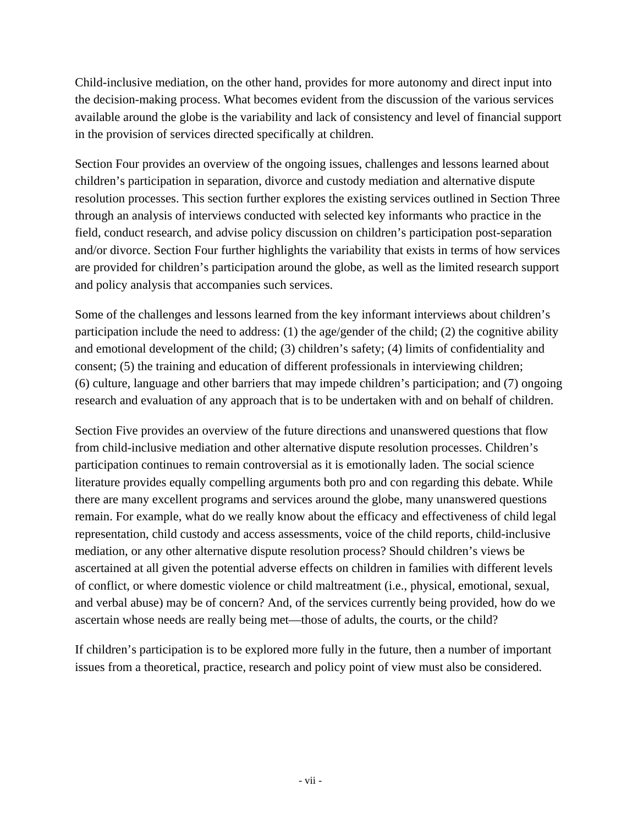Child-inclusive mediation, on the other hand, provides for more autonomy and direct input into the decision-making process. What becomes evident from the discussion of the various services available around the globe is the variability and lack of consistency and level of financial support in the provision of services directed specifically at children.

Section Four provides an overview of the ongoing issues, challenges and lessons learned about children's participation in separation, divorce and custody mediation and alternative dispute resolution processes. This section further explores the existing services outlined in Section Three through an analysis of interviews conducted with selected key informants who practice in the field, conduct research, and advise policy discussion on children's participation post-separation and/or divorce. Section Four further highlights the variability that exists in terms of how services are provided for children's participation around the globe, as well as the limited research support and policy analysis that accompanies such services.

Some of the challenges and lessons learned from the key informant interviews about children's participation include the need to address: (1) the age/gender of the child; (2) the cognitive ability and emotional development of the child; (3) children's safety; (4) limits of confidentiality and consent; (5) the training and education of different professionals in interviewing children; (6) culture, language and other barriers that may impede children's participation; and (7) ongoing research and evaluation of any approach that is to be undertaken with and on behalf of children.

Section Five provides an overview of the future directions and unanswered questions that flow from child-inclusive mediation and other alternative dispute resolution processes. Children's participation continues to remain controversial as it is emotionally laden. The social science literature provides equally compelling arguments both pro and con regarding this debate. While there are many excellent programs and services around the globe, many unanswered questions remain. For example, what do we really know about the efficacy and effectiveness of child legal representation, child custody and access assessments, voice of the child reports, child-inclusive mediation, or any other alternative dispute resolution process? Should children's views be ascertained at all given the potential adverse effects on children in families with different levels of conflict, or where domestic violence or child maltreatment (i.e., physical, emotional, sexual, and verbal abuse) may be of concern? And, of the services currently being provided, how do we ascertain whose needs are really being met—those of adults, the courts, or the child?

If children's participation is to be explored more fully in the future, then a number of important issues from a theoretical, practice, research and policy point of view must also be considered.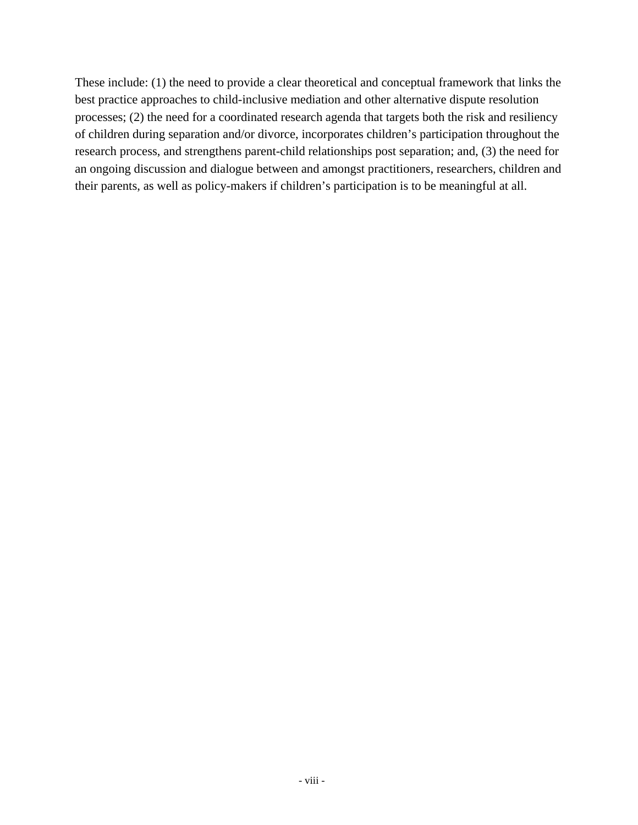These include: (1) the need to provide a clear theoretical and conceptual framework that links the best practice approaches to child-inclusive mediation and other alternative dispute resolution processes; (2) the need for a coordinated research agenda that targets both the risk and resiliency of children during separation and/or divorce, incorporates children's participation throughout the research process, and strengthens parent-child relationships post separation; and, (3) the need for an ongoing discussion and dialogue between and amongst practitioners, researchers, children and their parents, as well as policy-makers if children's participation is to be meaningful at all.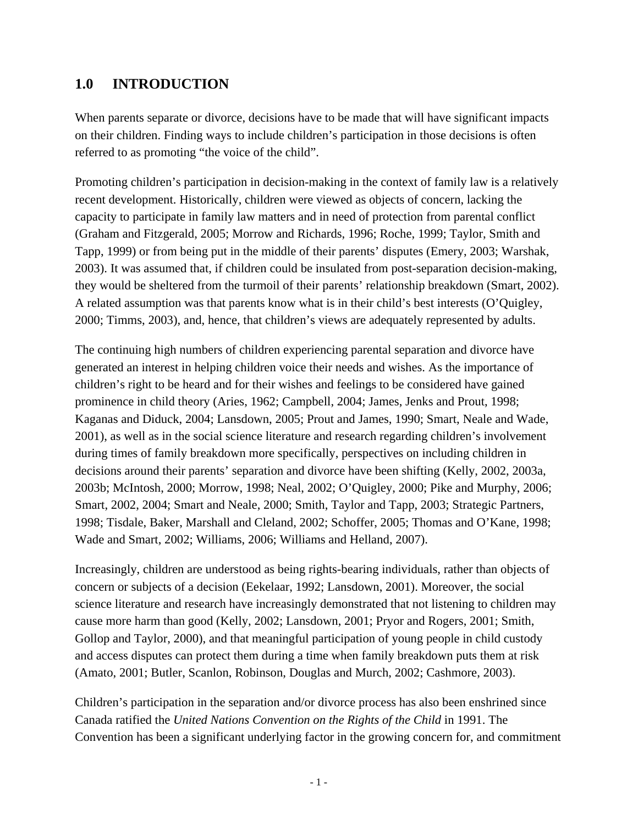## **1.0 INTRODUCTION**

When parents separate or divorce, decisions have to be made that will have significant impacts on their children. Finding ways to include children's participation in those decisions is often referred to as promoting "the voice of the child".

Promoting children's participation in decision-making in the context of family law is a relatively recent development. Historically, children were viewed as objects of concern, lacking the capacity to participate in family law matters and in need of protection from parental conflict (Graham and Fitzgerald, 2005; Morrow and Richards, 1996; Roche, 1999; Taylor, Smith and Tapp, 1999) or from being put in the middle of their parents' disputes (Emery, 2003; Warshak, 2003). It was assumed that, if children could be insulated from post-separation decision-making, they would be sheltered from the turmoil of their parents' relationship breakdown (Smart, 2002). A related assumption was that parents know what is in their child's best interests (O'Quigley, 2000; Timms, 2003), and, hence, that children's views are adequately represented by adults.

The continuing high numbers of children experiencing parental separation and divorce have generated an interest in helping children voice their needs and wishes. As the importance of children's right to be heard and for their wishes and feelings to be considered have gained prominence in child theory (Aries, 1962; Campbell, 2004; James, Jenks and Prout, 1998; Kaganas and Diduck, 2004; Lansdown, 2005; Prout and James, 1990; Smart, Neale and Wade, 2001), as well as in the social science literature and research regarding children's involvement during times of family breakdown more specifically, perspectives on including children in decisions around their parents' separation and divorce have been shifting (Kelly, 2002, 2003a, 2003b; McIntosh, 2000; Morrow, 1998; Neal, 2002; O'Quigley, 2000; Pike and Murphy, 2006; Smart, 2002, 2004; Smart and Neale, 2000; Smith, Taylor and Tapp, 2003; Strategic Partners, 1998; Tisdale, Baker, Marshall and Cleland, 2002; Schoffer, 2005; Thomas and O'Kane, 1998; Wade and Smart, 2002; Williams, 2006; Williams and Helland, 2007).

Increasingly, children are understood as being rights-bearing individuals, rather than objects of concern or subjects of a decision (Eekelaar, 1992; Lansdown, 2001). Moreover, the social science literature and research have increasingly demonstrated that not listening to children may cause more harm than good (Kelly, 2002; Lansdown, 2001; Pryor and Rogers, 2001; Smith, Gollop and Taylor, 2000), and that meaningful participation of young people in child custody and access disputes can protect them during a time when family breakdown puts them at risk (Amato, 2001; Butler, Scanlon, Robinson, Douglas and Murch, 2002; Cashmore, 2003).

Children's participation in the separation and/or divorce process has also been enshrined since Canada ratified the *United Nations Convention on the Rights of the Child* in 1991. The Convention has been a significant underlying factor in the growing concern for, and commitment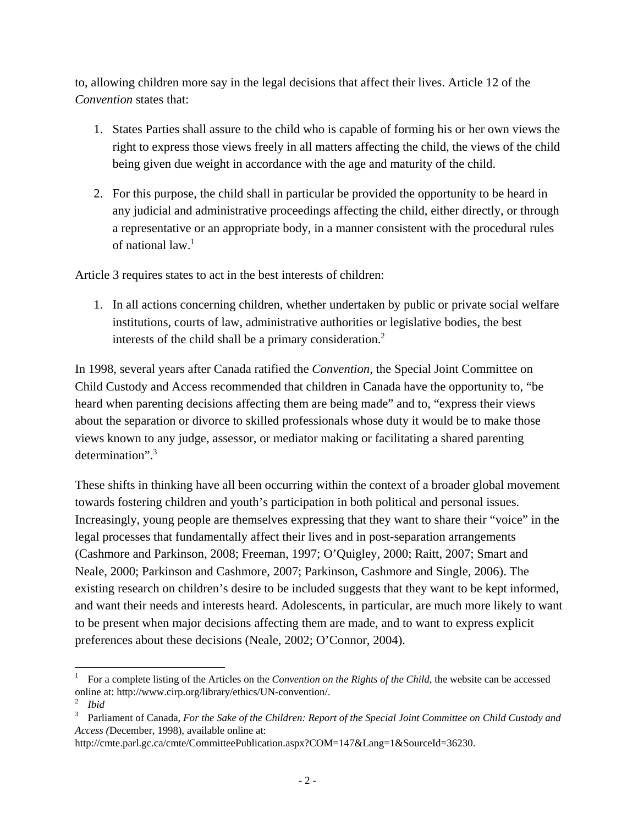to, allowing children more say in the legal decisions that affect their lives. Article 12 of the *Convention* states that:

- 1. States Parties shall assure to the child who is capable of forming his or her own views the right to express those views freely in all matters affecting the child, the views of the child being given due weight in accordance with the age and maturity of the child.
- 2. For this purpose, the child shall in particular be provided the opportunity to be heard in any judicial and administrative proceedings affecting the child, either directly, or through a representative or an appropriate body, in a manner consistent with the procedural rules of national law. $1$

Article 3 requires states to act in the best interests of children:

1. In all actions concerning children, whether undertaken by public or private social welfare institutions, courts of law, administrative authorities or legislative bodies, the best interests of the child shall be a primary consideration.<sup>2</sup>

In 1998, several years after Canada ratified the *Convention,* the Special Joint Committee on Child Custody and Access recommended that children in Canada have the opportunity to, "be heard when parenting decisions affecting them are being made" and to, "express their views about the separation or divorce to skilled professionals whose duty it would be to make those views known to any judge, assessor, or mediator making or facilitating a shared parenting determination".3

These shifts in thinking have all been occurring within the context of a broader global movement towards fostering children and youth's participation in both political and personal issues. Increasingly, young people are themselves expressing that they want to share their "voice" in the legal processes that fundamentally affect their lives and in post-separation arrangements (Cashmore and Parkinson, 2008; Freeman, 1997; O'Quigley, 2000; Raitt, 2007; Smart and Neale, 2000; Parkinson and Cashmore, 2007; Parkinson, Cashmore and Single, 2006). The existing research on children's desire to be included suggests that they want to be kept informed, and want their needs and interests heard. Adolescents, in particular, are much more likely to want to be present when major decisions affecting them are made, and to want to express explicit preferences about these decisions (Neale, 2002; O'Connor, 2004).

 1 For a complete listing of the Articles on the *Convention on the Rights of the Child,* the website can be accessed online at: http://www.cirp.org/library/ethics/UN-convention/.

<sup>2</sup> *Ibid* 

<sup>3</sup> Parliament of Canada, *For the Sake of the Children: Report of the Special Joint Committee on Child Custody and Access (*December, 1998), available online at:

http://cmte.parl.gc.ca/cmte/CommitteePublication.aspx?COM=147&Lang=1&SourceId=36230.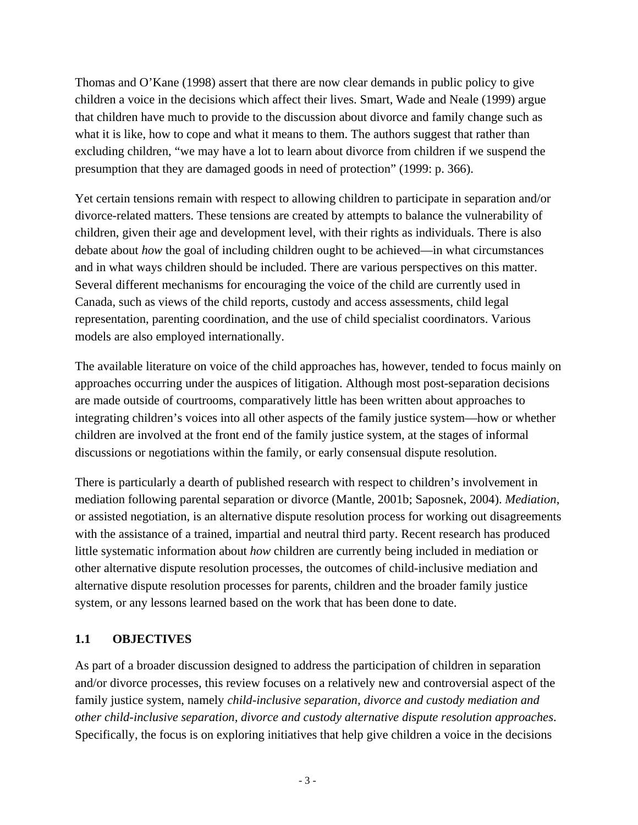Thomas and O'Kane (1998) assert that there are now clear demands in public policy to give children a voice in the decisions which affect their lives. Smart, Wade and Neale (1999) argue that children have much to provide to the discussion about divorce and family change such as what it is like, how to cope and what it means to them. The authors suggest that rather than excluding children, "we may have a lot to learn about divorce from children if we suspend the presumption that they are damaged goods in need of protection" (1999: p. 366).

Yet certain tensions remain with respect to allowing children to participate in separation and/or divorce-related matters. These tensions are created by attempts to balance the vulnerability of children, given their age and development level, with their rights as individuals. There is also debate about *how* the goal of including children ought to be achieved—in what circumstances and in what ways children should be included. There are various perspectives on this matter. Several different mechanisms for encouraging the voice of the child are currently used in Canada, such as views of the child reports, custody and access assessments, child legal representation, parenting coordination, and the use of child specialist coordinators. Various models are also employed internationally.

The available literature on voice of the child approaches has, however, tended to focus mainly on approaches occurring under the auspices of litigation. Although most post-separation decisions are made outside of courtrooms, comparatively little has been written about approaches to integrating children's voices into all other aspects of the family justice system—how or whether children are involved at the front end of the family justice system, at the stages of informal discussions or negotiations within the family, or early consensual dispute resolution.

There is particularly a dearth of published research with respect to children's involvement in mediation following parental separation or divorce (Mantle, 2001b; Saposnek, 2004). *Mediation*, or assisted negotiation, is an alternative dispute resolution process for working out disagreements with the assistance of a trained, impartial and neutral third party. Recent research has produced little systematic information about *how* children are currently being included in mediation or other alternative dispute resolution processes, the outcomes of child-inclusive mediation and alternative dispute resolution processes for parents, children and the broader family justice system, or any lessons learned based on the work that has been done to date.

#### **1.1 OBJECTIVES**

As part of a broader discussion designed to address the participation of children in separation and/or divorce processes, this review focuses on a relatively new and controversial aspect of the family justice system, namely *child-inclusive separation, divorce and custody mediation and other child-inclusive separation, divorce and custody alternative dispute resolution approaches*. Specifically, the focus is on exploring initiatives that help give children a voice in the decisions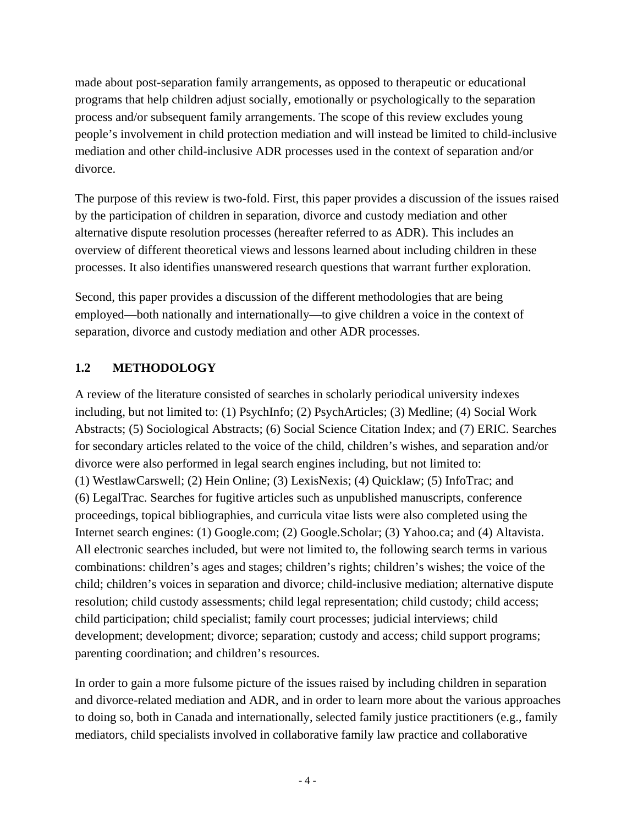made about post-separation family arrangements, as opposed to therapeutic or educational programs that help children adjust socially, emotionally or psychologically to the separation process and/or subsequent family arrangements. The scope of this review excludes young people's involvement in child protection mediation and will instead be limited to child-inclusive mediation and other child-inclusive ADR processes used in the context of separation and/or divorce.

The purpose of this review is two-fold. First, this paper provides a discussion of the issues raised by the participation of children in separation, divorce and custody mediation and other alternative dispute resolution processes (hereafter referred to as ADR). This includes an overview of different theoretical views and lessons learned about including children in these processes. It also identifies unanswered research questions that warrant further exploration.

Second, this paper provides a discussion of the different methodologies that are being employed—both nationally and internationally—to give children a voice in the context of separation, divorce and custody mediation and other ADR processes.

## **1.2 METHODOLOGY**

A review of the literature consisted of searches in scholarly periodical university indexes including, but not limited to: (1) PsychInfo; (2) PsychArticles; (3) Medline; (4) Social Work Abstracts; (5) Sociological Abstracts; (6) Social Science Citation Index; and (7) ERIC. Searches for secondary articles related to the voice of the child, children's wishes, and separation and/or divorce were also performed in legal search engines including, but not limited to: (1) WestlawCarswell; (2) Hein Online; (3) LexisNexis; (4) Quicklaw; (5) InfoTrac; and (6) LegalTrac. Searches for fugitive articles such as unpublished manuscripts, conference proceedings, topical bibliographies, and curricula vitae lists were also completed using the Internet search engines: (1) Google.com; (2) Google.Scholar; (3) Yahoo.ca; and (4) Altavista. All electronic searches included, but were not limited to, the following search terms in various combinations: children's ages and stages; children's rights; children's wishes; the voice of the child; children's voices in separation and divorce; child-inclusive mediation; alternative dispute resolution; child custody assessments; child legal representation; child custody; child access; child participation; child specialist; family court processes; judicial interviews; child development; development; divorce; separation; custody and access; child support programs; parenting coordination; and children's resources.

In order to gain a more fulsome picture of the issues raised by including children in separation and divorce-related mediation and ADR, and in order to learn more about the various approaches to doing so, both in Canada and internationally, selected family justice practitioners (e.g., family mediators, child specialists involved in collaborative family law practice and collaborative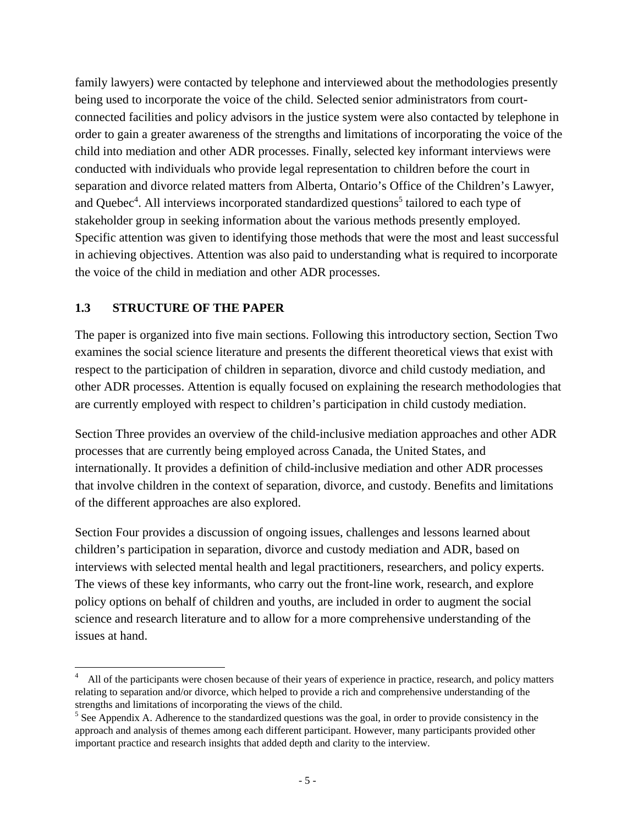family lawyers) were contacted by telephone and interviewed about the methodologies presently being used to incorporate the voice of the child. Selected senior administrators from courtconnected facilities and policy advisors in the justice system were also contacted by telephone in order to gain a greater awareness of the strengths and limitations of incorporating the voice of the child into mediation and other ADR processes. Finally, selected key informant interviews were conducted with individuals who provide legal representation to children before the court in separation and divorce related matters from Alberta, Ontario's Office of the Children's Lawyer, and Quebec<sup>4</sup>. All interviews incorporated standardized questions<sup>5</sup> tailored to each type of stakeholder group in seeking information about the various methods presently employed. Specific attention was given to identifying those methods that were the most and least successful in achieving objectives. Attention was also paid to understanding what is required to incorporate the voice of the child in mediation and other ADR processes.

#### **1.3 STRUCTURE OF THE PAPER**

The paper is organized into five main sections. Following this introductory section, Section Two examines the social science literature and presents the different theoretical views that exist with respect to the participation of children in separation, divorce and child custody mediation, and other ADR processes. Attention is equally focused on explaining the research methodologies that are currently employed with respect to children's participation in child custody mediation.

Section Three provides an overview of the child-inclusive mediation approaches and other ADR processes that are currently being employed across Canada, the United States, and internationally. It provides a definition of child-inclusive mediation and other ADR processes that involve children in the context of separation, divorce, and custody. Benefits and limitations of the different approaches are also explored.

Section Four provides a discussion of ongoing issues, challenges and lessons learned about children's participation in separation, divorce and custody mediation and ADR, based on interviews with selected mental health and legal practitioners, researchers, and policy experts. The views of these key informants, who carry out the front-line work, research, and explore policy options on behalf of children and youths, are included in order to augment the social science and research literature and to allow for a more comprehensive understanding of the issues at hand.

<sup>4</sup> All of the participants were chosen because of their years of experience in practice, research, and policy matters relating to separation and/or divorce, which helped to provide a rich and comprehensive understanding of the strengths and limitations of incorporating the views of the child.

 $<sup>5</sup>$  See Appendix A. Adherence to the standardized questions was the goal, in order to provide consistency in the</sup> approach and analysis of themes among each different participant. However, many participants provided other important practice and research insights that added depth and clarity to the interview.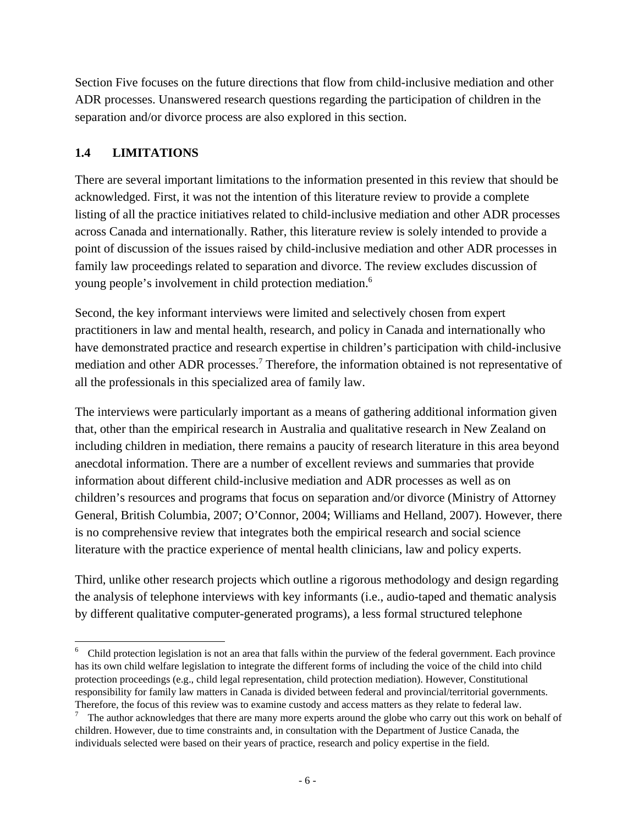Section Five focuses on the future directions that flow from child-inclusive mediation and other ADR processes. Unanswered research questions regarding the participation of children in the separation and/or divorce process are also explored in this section.

#### **1.4 LIMITATIONS**

 $\overline{\phantom{a}}$ 

There are several important limitations to the information presented in this review that should be acknowledged. First, it was not the intention of this literature review to provide a complete listing of all the practice initiatives related to child-inclusive mediation and other ADR processes across Canada and internationally. Rather, this literature review is solely intended to provide a point of discussion of the issues raised by child-inclusive mediation and other ADR processes in family law proceedings related to separation and divorce. The review excludes discussion of young people's involvement in child protection mediation.<sup>6</sup>

Second, the key informant interviews were limited and selectively chosen from expert practitioners in law and mental health, research, and policy in Canada and internationally who have demonstrated practice and research expertise in children's participation with child-inclusive mediation and other ADR processes.<sup>7</sup> Therefore, the information obtained is not representative of all the professionals in this specialized area of family law.

The interviews were particularly important as a means of gathering additional information given that, other than the empirical research in Australia and qualitative research in New Zealand on including children in mediation, there remains a paucity of research literature in this area beyond anecdotal information. There are a number of excellent reviews and summaries that provide information about different child-inclusive mediation and ADR processes as well as on children's resources and programs that focus on separation and/or divorce (Ministry of Attorney General, British Columbia, 2007; O'Connor, 2004; Williams and Helland, 2007). However, there is no comprehensive review that integrates both the empirical research and social science literature with the practice experience of mental health clinicians, law and policy experts.

Third, unlike other research projects which outline a rigorous methodology and design regarding the analysis of telephone interviews with key informants (i.e., audio-taped and thematic analysis by different qualitative computer-generated programs), a less formal structured telephone

 $6\degree$  Child protection legislation is not an area that falls within the purview of the federal government. Each province has its own child welfare legislation to integrate the different forms of including the voice of the child into child protection proceedings (e.g., child legal representation, child protection mediation). However, Constitutional responsibility for family law matters in Canada is divided between federal and provincial/territorial governments. Therefore, the focus of this review was to examine custody and access matters as they relate to federal law. 7

The author acknowledges that there are many more experts around the globe who carry out this work on behalf of children. However, due to time constraints and, in consultation with the Department of Justice Canada, the individuals selected were based on their years of practice, research and policy expertise in the field.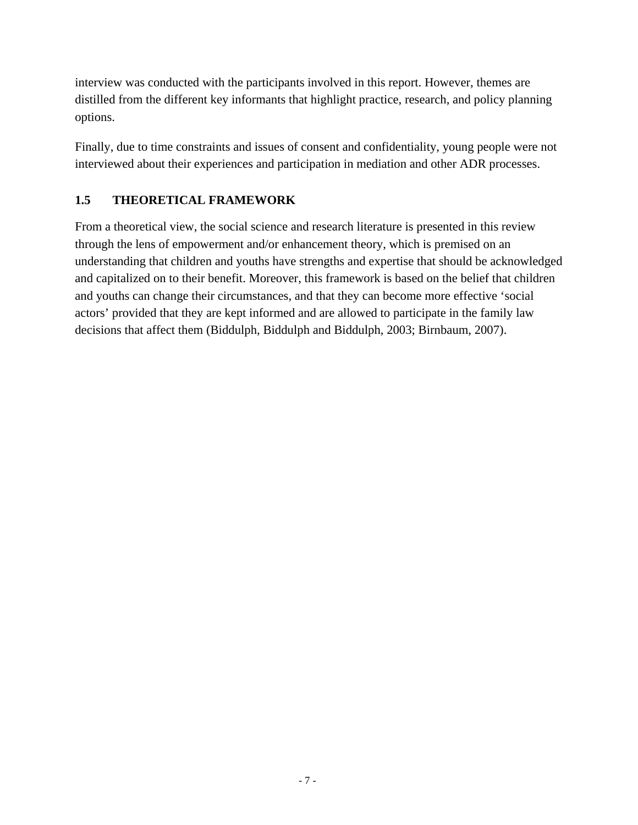interview was conducted with the participants involved in this report. However, themes are distilled from the different key informants that highlight practice, research, and policy planning options.

Finally, due to time constraints and issues of consent and confidentiality, young people were not interviewed about their experiences and participation in mediation and other ADR processes.

#### **1.5 THEORETICAL FRAMEWORK**

From a theoretical view, the social science and research literature is presented in this review through the lens of empowerment and/or enhancement theory, which is premised on an understanding that children and youths have strengths and expertise that should be acknowledged and capitalized on to their benefit. Moreover, this framework is based on the belief that children and youths can change their circumstances, and that they can become more effective 'social actors' provided that they are kept informed and are allowed to participate in the family law decisions that affect them (Biddulph, Biddulph and Biddulph, 2003; Birnbaum, 2007).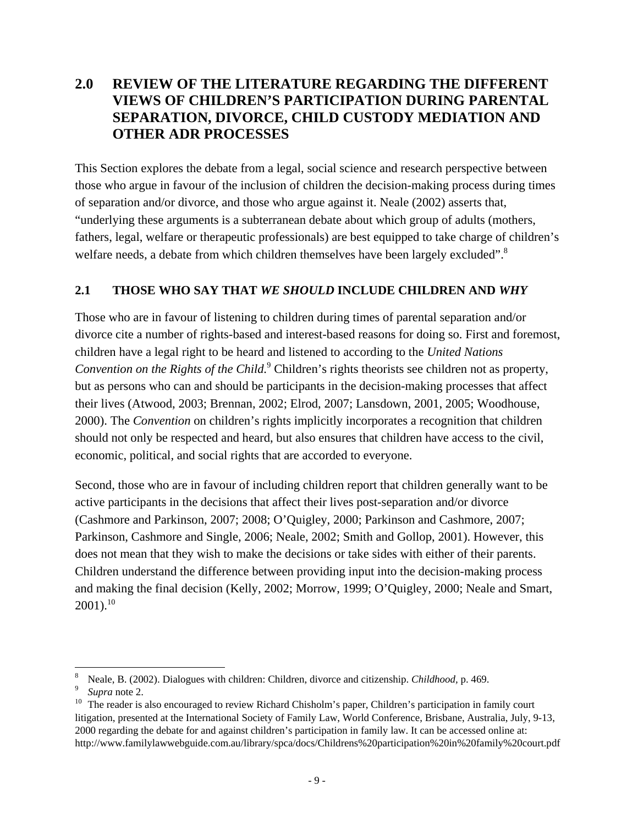## **2.0 REVIEW OF THE LITERATURE REGARDING THE DIFFERENT VIEWS OF CHILDREN'S PARTICIPATION DURING PARENTAL SEPARATION, DIVORCE, CHILD CUSTODY MEDIATION AND OTHER ADR PROCESSES**

This Section explores the debate from a legal, social science and research perspective between those who argue in favour of the inclusion of children the decision-making process during times of separation and/or divorce, and those who argue against it. Neale (2002) asserts that, "underlying these arguments is a subterranean debate about which group of adults (mothers, fathers, legal, welfare or therapeutic professionals) are best equipped to take charge of children's welfare needs, a debate from which children themselves have been largely excluded".<sup>8</sup>

#### **2.1 THOSE WHO SAY THAT** *WE SHOULD* **INCLUDE CHILDREN AND** *WHY*

Those who are in favour of listening to children during times of parental separation and/or divorce cite a number of rights-based and interest-based reasons for doing so. First and foremost, children have a legal right to be heard and listened to according to the *United Nations Convention on the Rights of the Child.*<sup>9</sup> Children's rights theorists see children not as property, but as persons who can and should be participants in the decision-making processes that affect their lives (Atwood, 2003; Brennan, 2002; Elrod, 2007; Lansdown, 2001, 2005; Woodhouse, 2000). The *Convention* on children's rights implicitly incorporates a recognition that children should not only be respected and heard, but also ensures that children have access to the civil, economic, political, and social rights that are accorded to everyone.

Second, those who are in favour of including children report that children generally want to be active participants in the decisions that affect their lives post-separation and/or divorce (Cashmore and Parkinson, 2007; 2008; O'Quigley, 2000; Parkinson and Cashmore, 2007; Parkinson, Cashmore and Single, 2006; Neale, 2002; Smith and Gollop, 2001). However, this does not mean that they wish to make the decisions or take sides with either of their parents. Children understand the difference between providing input into the decision-making process and making the final decision (Kelly, 2002; Morrow, 1999; O'Quigley, 2000; Neale and Smart,  $2001$ ).<sup>10</sup>

 8

<sup>&</sup>lt;sup>8</sup> Neale, B. (2002). Dialogues with children: Children, divorce and citizenship. *Childhood*, p. 469.<br><sup>9</sup> Supra note 2.<br><sup>10</sup> The reader is also encouraged to review Richard Chisholm's paper, Children's participation in f litigation, presented at the International Society of Family Law, World Conference, Brisbane, Australia, July, 9-13, 2000 regarding the debate for and against children's participation in family law. It can be accessed online at: http://www.familylawwebguide.com.au/library/spca/docs/Childrens%20participation%20in%20family%20court.pdf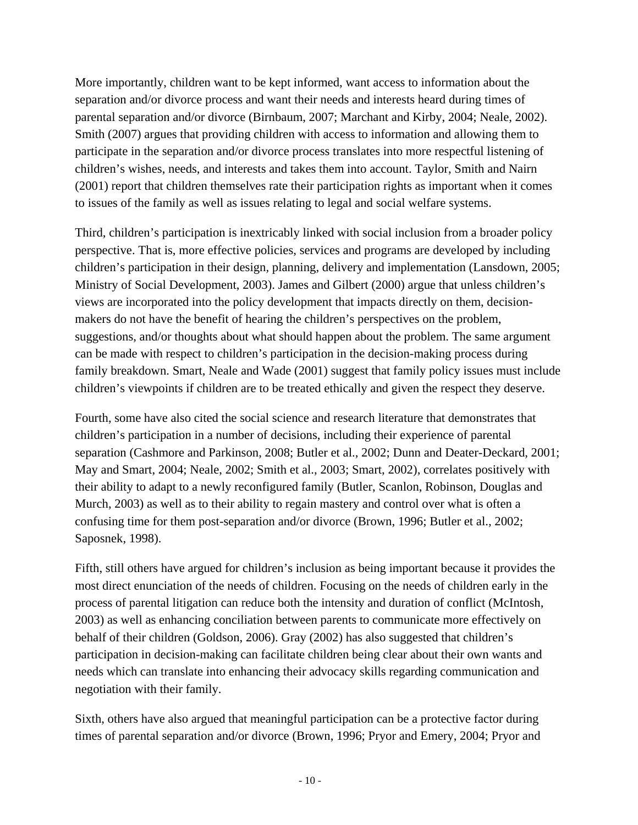More importantly, children want to be kept informed, want access to information about the separation and/or divorce process and want their needs and interests heard during times of parental separation and/or divorce (Birnbaum, 2007; Marchant and Kirby, 2004; Neale, 2002). Smith (2007) argues that providing children with access to information and allowing them to participate in the separation and/or divorce process translates into more respectful listening of children's wishes, needs, and interests and takes them into account. Taylor, Smith and Nairn (2001) report that children themselves rate their participation rights as important when it comes to issues of the family as well as issues relating to legal and social welfare systems.

Third, children's participation is inextricably linked with social inclusion from a broader policy perspective. That is, more effective policies, services and programs are developed by including children's participation in their design, planning, delivery and implementation (Lansdown, 2005; Ministry of Social Development, 2003). James and Gilbert (2000) argue that unless children's views are incorporated into the policy development that impacts directly on them, decisionmakers do not have the benefit of hearing the children's perspectives on the problem, suggestions, and/or thoughts about what should happen about the problem. The same argument can be made with respect to children's participation in the decision-making process during family breakdown. Smart, Neale and Wade (2001) suggest that family policy issues must include children's viewpoints if children are to be treated ethically and given the respect they deserve.

Fourth, some have also cited the social science and research literature that demonstrates that children's participation in a number of decisions, including their experience of parental separation (Cashmore and Parkinson, 2008; Butler et al., 2002; Dunn and Deater-Deckard, 2001; May and Smart, 2004; Neale, 2002; Smith et al., 2003; Smart, 2002), correlates positively with their ability to adapt to a newly reconfigured family (Butler, Scanlon, Robinson, Douglas and Murch, 2003) as well as to their ability to regain mastery and control over what is often a confusing time for them post-separation and/or divorce (Brown, 1996; Butler et al., 2002; Saposnek, 1998).

Fifth, still others have argued for children's inclusion as being important because it provides the most direct enunciation of the needs of children. Focusing on the needs of children early in the process of parental litigation can reduce both the intensity and duration of conflict (McIntosh, 2003) as well as enhancing conciliation between parents to communicate more effectively on behalf of their children (Goldson, 2006). Gray (2002) has also suggested that children's participation in decision-making can facilitate children being clear about their own wants and needs which can translate into enhancing their advocacy skills regarding communication and negotiation with their family.

Sixth, others have also argued that meaningful participation can be a protective factor during times of parental separation and/or divorce (Brown, 1996; Pryor and Emery, 2004; Pryor and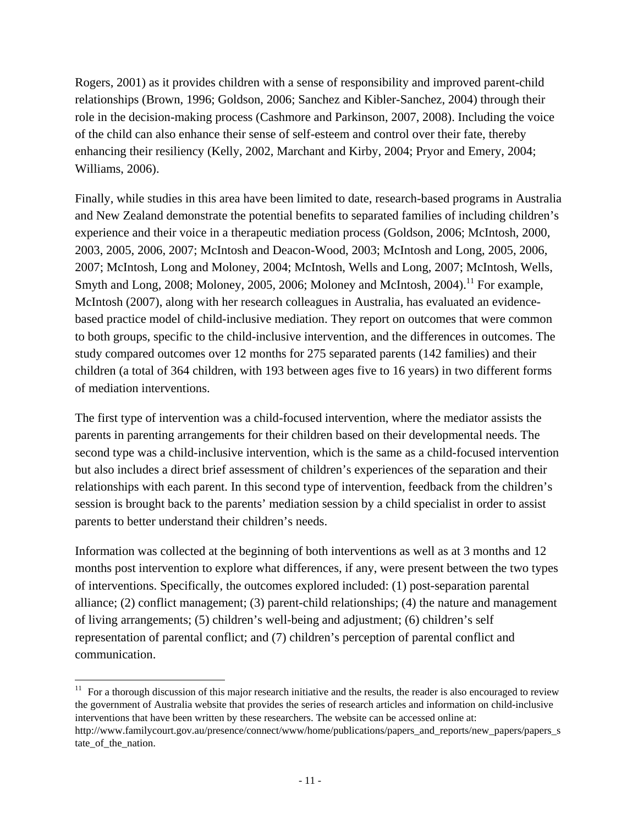Rogers, 2001) as it provides children with a sense of responsibility and improved parent-child relationships (Brown, 1996; Goldson, 2006; Sanchez and Kibler-Sanchez, 2004) through their role in the decision-making process (Cashmore and Parkinson, 2007, 2008). Including the voice of the child can also enhance their sense of self-esteem and control over their fate, thereby enhancing their resiliency (Kelly, 2002, Marchant and Kirby, 2004; Pryor and Emery, 2004; Williams, 2006).

Finally, while studies in this area have been limited to date, research-based programs in Australia and New Zealand demonstrate the potential benefits to separated families of including children's experience and their voice in a therapeutic mediation process (Goldson, 2006; McIntosh, 2000, 2003, 2005, 2006, 2007; McIntosh and Deacon-Wood, 2003; McIntosh and Long, 2005, 2006, 2007; McIntosh, Long and Moloney, 2004; McIntosh, Wells and Long, 2007; McIntosh, Wells, Smyth and Long, 2008; Moloney, 2005, 2006; Moloney and McIntosh, 2004).<sup>11</sup> For example, McIntosh (2007), along with her research colleagues in Australia, has evaluated an evidencebased practice model of child-inclusive mediation. They report on outcomes that were common to both groups, specific to the child-inclusive intervention, and the differences in outcomes. The study compared outcomes over 12 months for 275 separated parents (142 families) and their children (a total of 364 children, with 193 between ages five to 16 years) in two different forms of mediation interventions.

The first type of intervention was a child-focused intervention, where the mediator assists the parents in parenting arrangements for their children based on their developmental needs. The second type was a child-inclusive intervention, which is the same as a child-focused intervention but also includes a direct brief assessment of children's experiences of the separation and their relationships with each parent. In this second type of intervention, feedback from the children's session is brought back to the parents' mediation session by a child specialist in order to assist parents to better understand their children's needs.

Information was collected at the beginning of both interventions as well as at 3 months and 12 months post intervention to explore what differences, if any, were present between the two types of interventions. Specifically, the outcomes explored included: (1) post-separation parental alliance; (2) conflict management; (3) parent-child relationships; (4) the nature and management of living arrangements; (5) children's well-being and adjustment; (6) children's self representation of parental conflict; and (7) children's perception of parental conflict and communication.

 $11$  For a thorough discussion of this major research initiative and the results, the reader is also encouraged to review the government of Australia website that provides the series of research articles and information on child-inclusive interventions that have been written by these researchers. The website can be accessed online at: http://www.familycourt.gov.au/presence/connect/www/home/publications/papers\_and\_reports/new\_papers/papers\_s tate\_of\_the\_nation.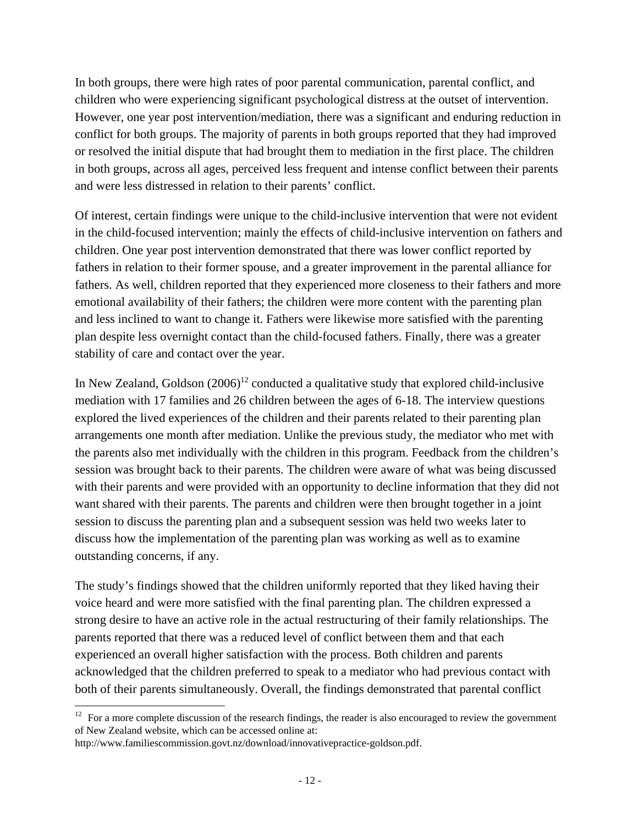In both groups, there were high rates of poor parental communication, parental conflict, and children who were experiencing significant psychological distress at the outset of intervention. However, one year post intervention/mediation, there was a significant and enduring reduction in conflict for both groups. The majority of parents in both groups reported that they had improved or resolved the initial dispute that had brought them to mediation in the first place. The children in both groups, across all ages, perceived less frequent and intense conflict between their parents and were less distressed in relation to their parents' conflict.

Of interest, certain findings were unique to the child-inclusive intervention that were not evident in the child-focused intervention; mainly the effects of child-inclusive intervention on fathers and children. One year post intervention demonstrated that there was lower conflict reported by fathers in relation to their former spouse, and a greater improvement in the parental alliance for fathers. As well, children reported that they experienced more closeness to their fathers and more emotional availability of their fathers; the children were more content with the parenting plan and less inclined to want to change it. Fathers were likewise more satisfied with the parenting plan despite less overnight contact than the child-focused fathers. Finally, there was a greater stability of care and contact over the year.

In New Zealand, Goldson  $(2006)^{12}$  conducted a qualitative study that explored child-inclusive mediation with 17 families and 26 children between the ages of 6-18. The interview questions explored the lived experiences of the children and their parents related to their parenting plan arrangements one month after mediation. Unlike the previous study, the mediator who met with the parents also met individually with the children in this program. Feedback from the children's session was brought back to their parents. The children were aware of what was being discussed with their parents and were provided with an opportunity to decline information that they did not want shared with their parents. The parents and children were then brought together in a joint session to discuss the parenting plan and a subsequent session was held two weeks later to discuss how the implementation of the parenting plan was working as well as to examine outstanding concerns, if any.

The study's findings showed that the children uniformly reported that they liked having their voice heard and were more satisfied with the final parenting plan. The children expressed a strong desire to have an active role in the actual restructuring of their family relationships. The parents reported that there was a reduced level of conflict between them and that each experienced an overall higher satisfaction with the process. Both children and parents acknowledged that the children preferred to speak to a mediator who had previous contact with both of their parents simultaneously. Overall, the findings demonstrated that parental conflict

  $12$  For a more complete discussion of the research findings, the reader is also encouraged to review the government of New Zealand website, which can be accessed online at:

http://www.familiescommission.govt.nz/download/innovativepractice-goldson.pdf.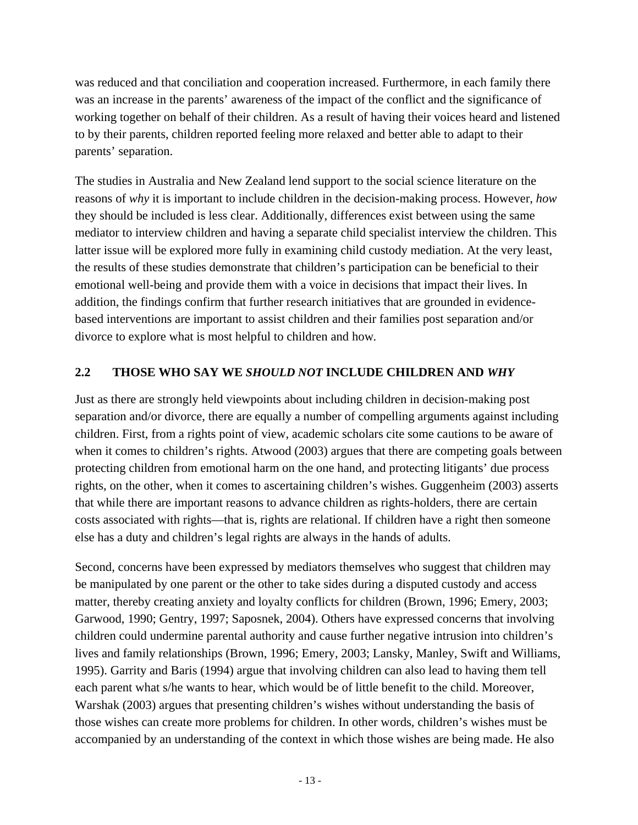was reduced and that conciliation and cooperation increased. Furthermore, in each family there was an increase in the parents' awareness of the impact of the conflict and the significance of working together on behalf of their children. As a result of having their voices heard and listened to by their parents, children reported feeling more relaxed and better able to adapt to their parents' separation.

The studies in Australia and New Zealand lend support to the social science literature on the reasons of *why* it is important to include children in the decision-making process. However, *how* they should be included is less clear. Additionally, differences exist between using the same mediator to interview children and having a separate child specialist interview the children. This latter issue will be explored more fully in examining child custody mediation. At the very least, the results of these studies demonstrate that children's participation can be beneficial to their emotional well-being and provide them with a voice in decisions that impact their lives. In addition, the findings confirm that further research initiatives that are grounded in evidencebased interventions are important to assist children and their families post separation and/or divorce to explore what is most helpful to children and how*.*

#### **2.2 THOSE WHO SAY WE** *SHOULD NOT* **INCLUDE CHILDREN AND** *WHY*

Just as there are strongly held viewpoints about including children in decision-making post separation and/or divorce, there are equally a number of compelling arguments against including children. First, from a rights point of view, academic scholars cite some cautions to be aware of when it comes to children's rights. Atwood (2003) argues that there are competing goals between protecting children from emotional harm on the one hand, and protecting litigants' due process rights, on the other, when it comes to ascertaining children's wishes. Guggenheim (2003) asserts that while there are important reasons to advance children as rights-holders, there are certain costs associated with rights—that is, rights are relational. If children have a right then someone else has a duty and children's legal rights are always in the hands of adults.

Second, concerns have been expressed by mediators themselves who suggest that children may be manipulated by one parent or the other to take sides during a disputed custody and access matter, thereby creating anxiety and loyalty conflicts for children (Brown, 1996; Emery, 2003; Garwood, 1990; Gentry, 1997; Saposnek, 2004). Others have expressed concerns that involving children could undermine parental authority and cause further negative intrusion into children's lives and family relationships (Brown, 1996; Emery, 2003; Lansky, Manley, Swift and Williams, 1995). Garrity and Baris (1994) argue that involving children can also lead to having them tell each parent what s/he wants to hear, which would be of little benefit to the child. Moreover, Warshak (2003) argues that presenting children's wishes without understanding the basis of those wishes can create more problems for children. In other words, children's wishes must be accompanied by an understanding of the context in which those wishes are being made. He also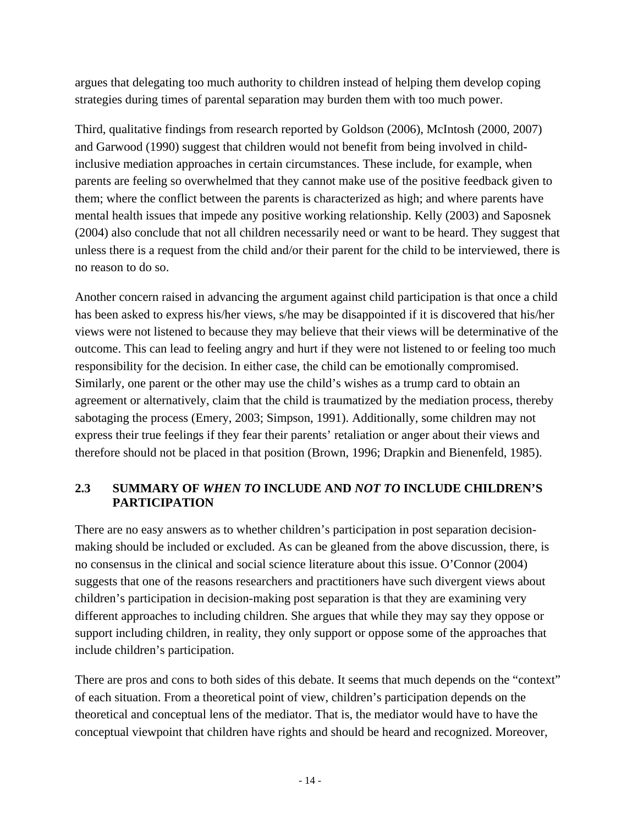argues that delegating too much authority to children instead of helping them develop coping strategies during times of parental separation may burden them with too much power.

Third, qualitative findings from research reported by Goldson (2006), McIntosh (2000, 2007) and Garwood (1990) suggest that children would not benefit from being involved in childinclusive mediation approaches in certain circumstances. These include, for example, when parents are feeling so overwhelmed that they cannot make use of the positive feedback given to them; where the conflict between the parents is characterized as high; and where parents have mental health issues that impede any positive working relationship. Kelly (2003) and Saposnek (2004) also conclude that not all children necessarily need or want to be heard. They suggest that unless there is a request from the child and/or their parent for the child to be interviewed, there is no reason to do so.

Another concern raised in advancing the argument against child participation is that once a child has been asked to express his/her views, s/he may be disappointed if it is discovered that his/her views were not listened to because they may believe that their views will be determinative of the outcome. This can lead to feeling angry and hurt if they were not listened to or feeling too much responsibility for the decision. In either case, the child can be emotionally compromised. Similarly, one parent or the other may use the child's wishes as a trump card to obtain an agreement or alternatively, claim that the child is traumatized by the mediation process, thereby sabotaging the process (Emery, 2003; Simpson, 1991). Additionally, some children may not express their true feelings if they fear their parents' retaliation or anger about their views and therefore should not be placed in that position (Brown, 1996; Drapkin and Bienenfeld, 1985).

#### **2.3 SUMMARY OF** *WHEN TO* **INCLUDE AND** *NOT TO* **INCLUDE CHILDREN'S PARTICIPATION**

There are no easy answers as to whether children's participation in post separation decisionmaking should be included or excluded. As can be gleaned from the above discussion, there, is no consensus in the clinical and social science literature about this issue. O'Connor (2004) suggests that one of the reasons researchers and practitioners have such divergent views about children's participation in decision-making post separation is that they are examining very different approaches to including children. She argues that while they may say they oppose or support including children, in reality, they only support or oppose some of the approaches that include children's participation.

There are pros and cons to both sides of this debate. It seems that much depends on the "context" of each situation. From a theoretical point of view, children's participation depends on the theoretical and conceptual lens of the mediator. That is, the mediator would have to have the conceptual viewpoint that children have rights and should be heard and recognized. Moreover,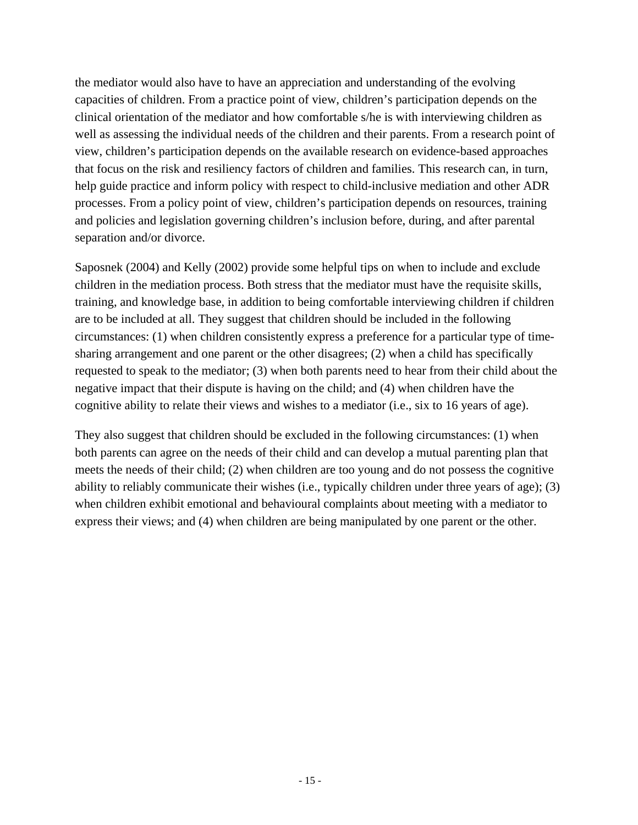the mediator would also have to have an appreciation and understanding of the evolving capacities of children. From a practice point of view, children's participation depends on the clinical orientation of the mediator and how comfortable s/he is with interviewing children as well as assessing the individual needs of the children and their parents. From a research point of view, children's participation depends on the available research on evidence-based approaches that focus on the risk and resiliency factors of children and families. This research can, in turn, help guide practice and inform policy with respect to child-inclusive mediation and other ADR processes. From a policy point of view, children's participation depends on resources, training and policies and legislation governing children's inclusion before, during, and after parental separation and/or divorce.

Saposnek (2004) and Kelly (2002) provide some helpful tips on when to include and exclude children in the mediation process. Both stress that the mediator must have the requisite skills, training, and knowledge base, in addition to being comfortable interviewing children if children are to be included at all. They suggest that children should be included in the following circumstances: (1) when children consistently express a preference for a particular type of timesharing arrangement and one parent or the other disagrees; (2) when a child has specifically requested to speak to the mediator; (3) when both parents need to hear from their child about the negative impact that their dispute is having on the child; and (4) when children have the cognitive ability to relate their views and wishes to a mediator (i.e., six to 16 years of age).

They also suggest that children should be excluded in the following circumstances: (1) when both parents can agree on the needs of their child and can develop a mutual parenting plan that meets the needs of their child; (2) when children are too young and do not possess the cognitive ability to reliably communicate their wishes (i.e., typically children under three years of age); (3) when children exhibit emotional and behavioural complaints about meeting with a mediator to express their views; and (4) when children are being manipulated by one parent or the other.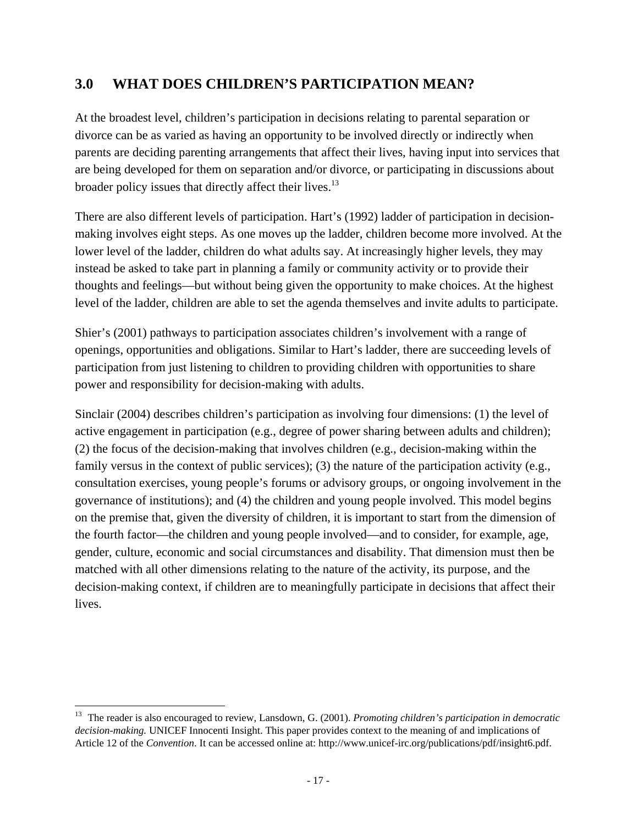## **3.0 WHAT DOES CHILDREN'S PARTICIPATION MEAN?**

At the broadest level, children's participation in decisions relating to parental separation or divorce can be as varied as having an opportunity to be involved directly or indirectly when parents are deciding parenting arrangements that affect their lives, having input into services that are being developed for them on separation and/or divorce, or participating in discussions about broader policy issues that directly affect their lives.<sup>13</sup>

There are also different levels of participation. Hart's (1992) ladder of participation in decisionmaking involves eight steps. As one moves up the ladder, children become more involved. At the lower level of the ladder, children do what adults say. At increasingly higher levels, they may instead be asked to take part in planning a family or community activity or to provide their thoughts and feelings—but without being given the opportunity to make choices. At the highest level of the ladder, children are able to set the agenda themselves and invite adults to participate.

Shier's (2001) pathways to participation associates children's involvement with a range of openings, opportunities and obligations. Similar to Hart's ladder, there are succeeding levels of participation from just listening to children to providing children with opportunities to share power and responsibility for decision-making with adults.

Sinclair (2004) describes children's participation as involving four dimensions: (1) the level of active engagement in participation (e.g., degree of power sharing between adults and children); (2) the focus of the decision-making that involves children (e.g., decision-making within the family versus in the context of public services); (3) the nature of the participation activity (e.g., consultation exercises, young people's forums or advisory groups, or ongoing involvement in the governance of institutions); and (4) the children and young people involved. This model begins on the premise that, given the diversity of children, it is important to start from the dimension of the fourth factor—the children and young people involved—and to consider, for example, age, gender, culture, economic and social circumstances and disability. That dimension must then be matched with all other dimensions relating to the nature of the activity, its purpose, and the decision-making context, if children are to meaningfully participate in decisions that affect their lives.

<sup>&</sup>lt;sup>13</sup> The reader is also encouraged to review, Lansdown, G. (2001). *Promoting children's participation in democratic decision-making.* UNICEF Innocenti Insight. This paper provides context to the meaning of and implications of Article 12 of the *Convention*. It can be accessed online at: http://www.unicef-irc.org/publications/pdf/insight6.pdf.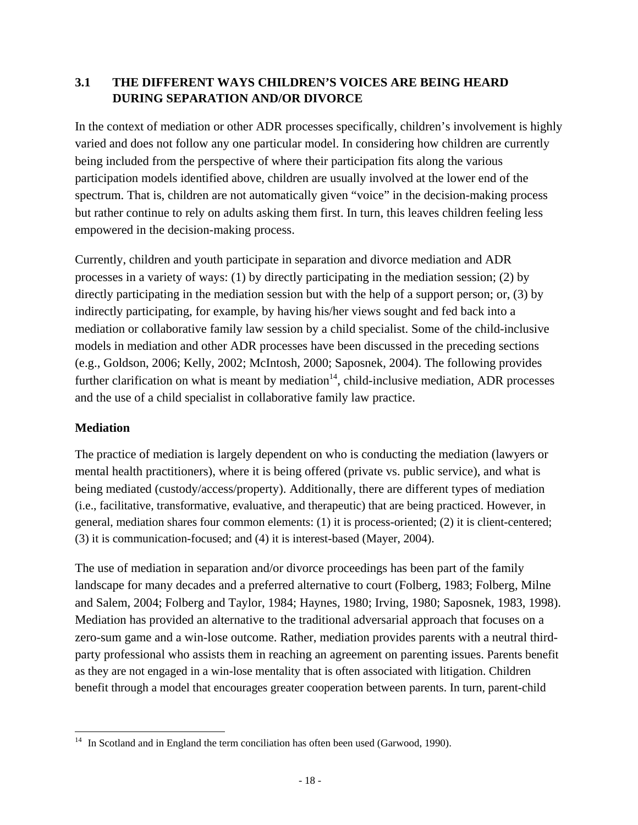#### **3.1 THE DIFFERENT WAYS CHILDREN'S VOICES ARE BEING HEARD DURING SEPARATION AND/OR DIVORCE**

In the context of mediation or other ADR processes specifically, children's involvement is highly varied and does not follow any one particular model. In considering how children are currently being included from the perspective of where their participation fits along the various participation models identified above, children are usually involved at the lower end of the spectrum. That is, children are not automatically given "voice" in the decision-making process but rather continue to rely on adults asking them first. In turn, this leaves children feeling less empowered in the decision-making process.

Currently, children and youth participate in separation and divorce mediation and ADR processes in a variety of ways: (1) by directly participating in the mediation session; (2) by directly participating in the mediation session but with the help of a support person; or, (3) by indirectly participating, for example, by having his/her views sought and fed back into a mediation or collaborative family law session by a child specialist. Some of the child-inclusive models in mediation and other ADR processes have been discussed in the preceding sections (e.g., Goldson, 2006; Kelly, 2002; McIntosh, 2000; Saposnek, 2004). The following provides further clarification on what is meant by mediation<sup>14</sup>, child-inclusive mediation, ADR processes and the use of a child specialist in collaborative family law practice.

#### **Mediation**

The practice of mediation is largely dependent on who is conducting the mediation (lawyers or mental health practitioners), where it is being offered (private vs. public service), and what is being mediated (custody/access/property). Additionally, there are different types of mediation (i.e., facilitative, transformative, evaluative, and therapeutic) that are being practiced. However, in general, mediation shares four common elements: (1) it is process-oriented; (2) it is client-centered; (3) it is communication-focused; and (4) it is interest-based (Mayer, 2004).

The use of mediation in separation and/or divorce proceedings has been part of the family landscape for many decades and a preferred alternative to court (Folberg, 1983; Folberg, Milne and Salem, 2004; Folberg and Taylor, 1984; Haynes, 1980; Irving, 1980; Saposnek, 1983, 1998). Mediation has provided an alternative to the traditional adversarial approach that focuses on a zero-sum game and a win-lose outcome. Rather, mediation provides parents with a neutral thirdparty professional who assists them in reaching an agreement on parenting issues. Parents benefit as they are not engaged in a win-lose mentality that is often associated with litigation. Children benefit through a model that encourages greater cooperation between parents. In turn, parent-child

  $14$  In Scotland and in England the term conciliation has often been used (Garwood, 1990).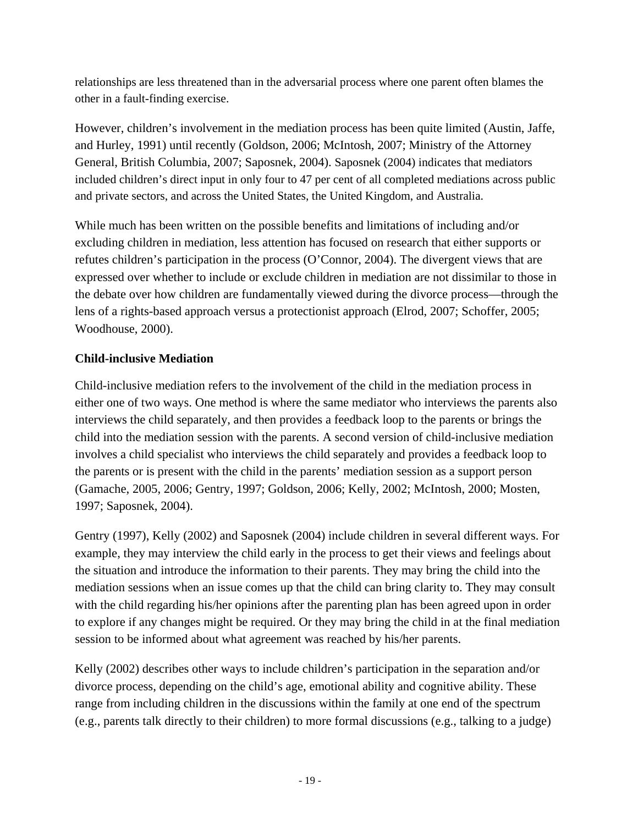relationships are less threatened than in the adversarial process where one parent often blames the other in a fault-finding exercise.

However, children's involvement in the mediation process has been quite limited (Austin, Jaffe, and Hurley, 1991) until recently (Goldson, 2006; McIntosh, 2007; Ministry of the Attorney General, British Columbia, 2007; Saposnek, 2004). Saposnek (2004) indicates that mediators included children's direct input in only four to 47 per cent of all completed mediations across public and private sectors, and across the United States, the United Kingdom, and Australia.

While much has been written on the possible benefits and limitations of including and/or excluding children in mediation, less attention has focused on research that either supports or refutes children's participation in the process (O'Connor, 2004). The divergent views that are expressed over whether to include or exclude children in mediation are not dissimilar to those in the debate over how children are fundamentally viewed during the divorce process—through the lens of a rights-based approach versus a protectionist approach (Elrod, 2007; Schoffer, 2005; Woodhouse, 2000).

#### **Child-inclusive Mediation**

Child-inclusive mediation refers to the involvement of the child in the mediation process in either one of two ways. One method is where the same mediator who interviews the parents also interviews the child separately, and then provides a feedback loop to the parents or brings the child into the mediation session with the parents. A second version of child-inclusive mediation involves a child specialist who interviews the child separately and provides a feedback loop to the parents or is present with the child in the parents' mediation session as a support person (Gamache, 2005, 2006; Gentry, 1997; Goldson, 2006; Kelly, 2002; McIntosh, 2000; Mosten, 1997; Saposnek, 2004).

Gentry (1997), Kelly (2002) and Saposnek (2004) include children in several different ways. For example, they may interview the child early in the process to get their views and feelings about the situation and introduce the information to their parents. They may bring the child into the mediation sessions when an issue comes up that the child can bring clarity to. They may consult with the child regarding his/her opinions after the parenting plan has been agreed upon in order to explore if any changes might be required. Or they may bring the child in at the final mediation session to be informed about what agreement was reached by his/her parents.

Kelly (2002) describes other ways to include children's participation in the separation and/or divorce process, depending on the child's age, emotional ability and cognitive ability. These range from including children in the discussions within the family at one end of the spectrum (e.g., parents talk directly to their children) to more formal discussions (e.g., talking to a judge)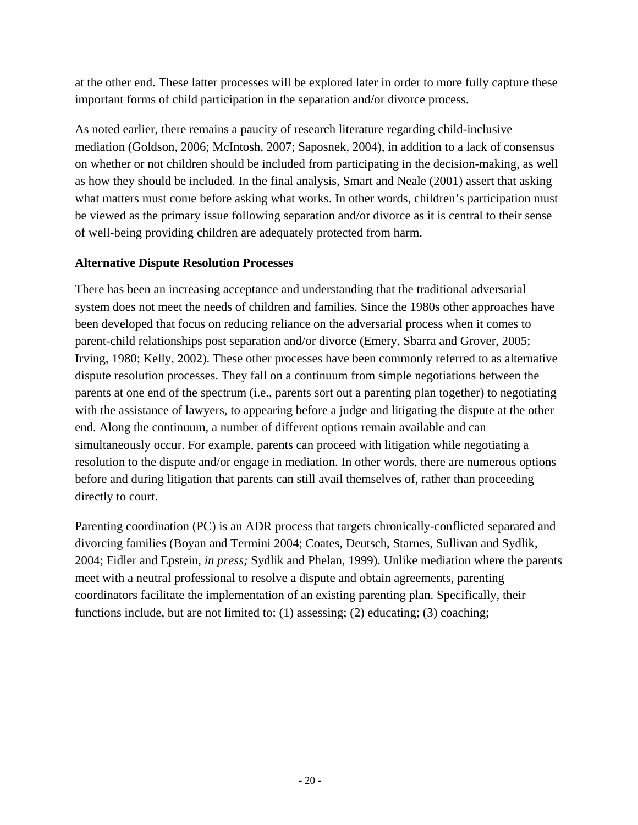at the other end. These latter processes will be explored later in order to more fully capture these important forms of child participation in the separation and/or divorce process.

As noted earlier, there remains a paucity of research literature regarding child-inclusive mediation (Goldson, 2006; McIntosh, 2007; Saposnek, 2004), in addition to a lack of consensus on whether or not children should be included from participating in the decision-making, as well as how they should be included. In the final analysis, Smart and Neale (2001) assert that asking what matters must come before asking what works. In other words, children's participation must be viewed as the primary issue following separation and/or divorce as it is central to their sense of well-being providing children are adequately protected from harm.

#### **Alternative Dispute Resolution Processes**

There has been an increasing acceptance and understanding that the traditional adversarial system does not meet the needs of children and families. Since the 1980s other approaches have been developed that focus on reducing reliance on the adversarial process when it comes to parent-child relationships post separation and/or divorce (Emery, Sbarra and Grover, 2005; Irving, 1980; Kelly, 2002). These other processes have been commonly referred to as alternative dispute resolution processes. They fall on a continuum from simple negotiations between the parents at one end of the spectrum (i.e., parents sort out a parenting plan together) to negotiating with the assistance of lawyers, to appearing before a judge and litigating the dispute at the other end. Along the continuum, a number of different options remain available and can simultaneously occur. For example, parents can proceed with litigation while negotiating a resolution to the dispute and/or engage in mediation. In other words, there are numerous options before and during litigation that parents can still avail themselves of, rather than proceeding directly to court.

Parenting coordination (PC) is an ADR process that targets chronically-conflicted separated and divorcing families (Boyan and Termini 2004; Coates, Deutsch, Starnes, Sullivan and Sydlik, 2004; Fidler and Epstein, *in press;* Sydlik and Phelan, 1999). Unlike mediation where the parents meet with a neutral professional to resolve a dispute and obtain agreements, parenting coordinators facilitate the implementation of an existing parenting plan. Specifically, their functions include, but are not limited to: (1) assessing; (2) educating; (3) coaching;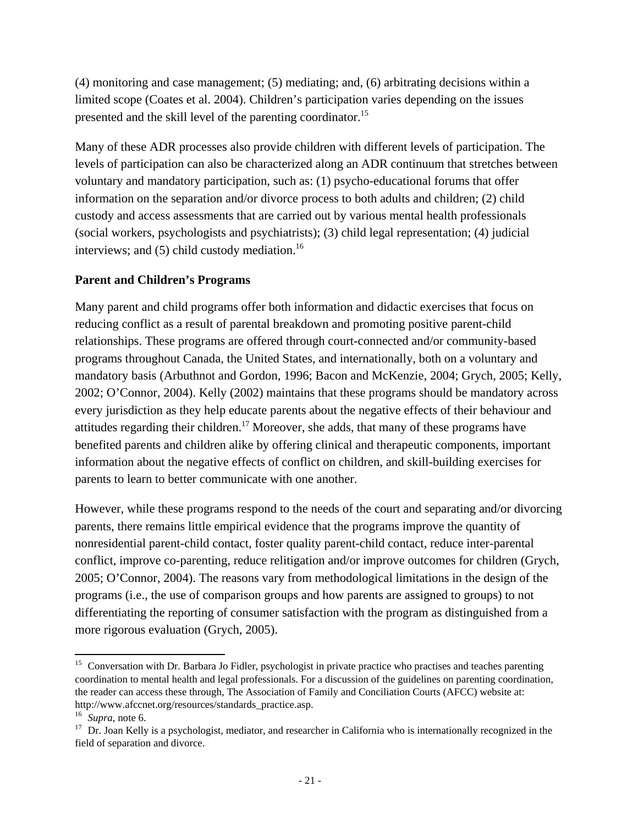(4) monitoring and case management; (5) mediating; and, (6) arbitrating decisions within a limited scope (Coates et al. 2004). Children's participation varies depending on the issues presented and the skill level of the parenting coordinator.<sup>15</sup>

Many of these ADR processes also provide children with different levels of participation. The levels of participation can also be characterized along an ADR continuum that stretches between voluntary and mandatory participation, such as: (1) psycho-educational forums that offer information on the separation and/or divorce process to both adults and children; (2) child custody and access assessments that are carried out by various mental health professionals (social workers, psychologists and psychiatrists); (3) child legal representation; (4) judicial interviews; and  $(5)$  child custody mediation.<sup>16</sup>

#### **Parent and Children's Programs**

Many parent and child programs offer both information and didactic exercises that focus on reducing conflict as a result of parental breakdown and promoting positive parent-child relationships. These programs are offered through court-connected and/or community-based programs throughout Canada, the United States, and internationally, both on a voluntary and mandatory basis (Arbuthnot and Gordon, 1996; Bacon and McKenzie, 2004; Grych, 2005; Kelly, 2002; O'Connor, 2004). Kelly (2002) maintains that these programs should be mandatory across every jurisdiction as they help educate parents about the negative effects of their behaviour and attitudes regarding their children.<sup>17</sup> Moreover, she adds, that many of these programs have benefited parents and children alike by offering clinical and therapeutic components, important information about the negative effects of conflict on children, and skill-building exercises for parents to learn to better communicate with one another.

However, while these programs respond to the needs of the court and separating and/or divorcing parents, there remains little empirical evidence that the programs improve the quantity of nonresidential parent-child contact, foster quality parent-child contact, reduce inter-parental conflict, improve co-parenting, reduce relitigation and/or improve outcomes for children (Grych, 2005; O'Connor, 2004). The reasons vary from methodological limitations in the design of the programs (i.e., the use of comparison groups and how parents are assigned to groups) to not differentiating the reporting of consumer satisfaction with the program as distinguished from a more rigorous evaluation (Grych, 2005).

l

<sup>&</sup>lt;sup>15</sup> Conversation with Dr. Barbara Jo Fidler, psychologist in private practice who practises and teaches parenting coordination to mental health and legal professionals. For a discussion of the guidelines on parenting coordination, the reader can access these through, The Association of Family and Conciliation Courts (AFCC) website at: http://www.afccnet.org/resources/standards\_practice.asp.<br><sup>16</sup> *Supra*, note 6.<br><sup>17</sup> Dr. Joan Kelly is a psychologist, mediator, and researcher in California who is internationally recognized in the

field of separation and divorce.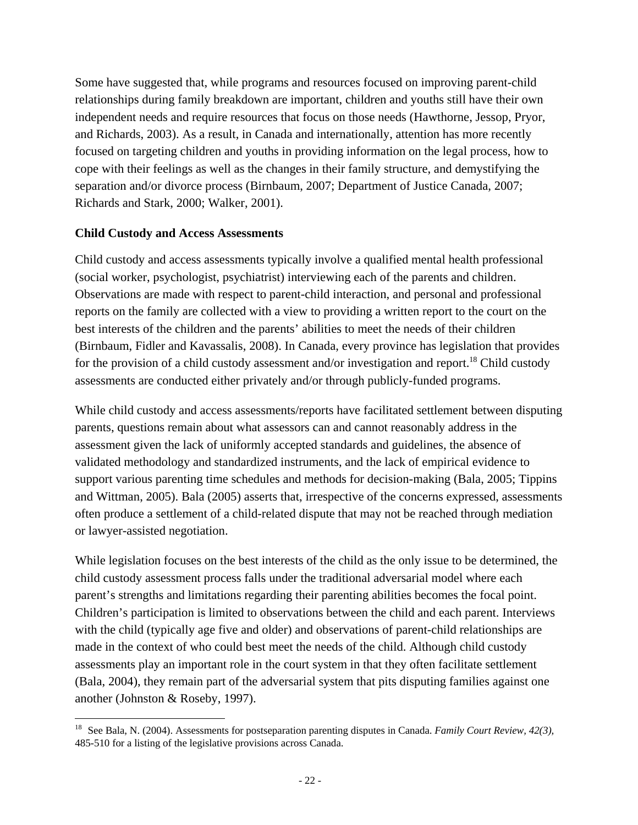Some have suggested that, while programs and resources focused on improving parent-child relationships during family breakdown are important, children and youths still have their own independent needs and require resources that focus on those needs (Hawthorne, Jessop, Pryor, and Richards, 2003). As a result, in Canada and internationally, attention has more recently focused on targeting children and youths in providing information on the legal process, how to cope with their feelings as well as the changes in their family structure, and demystifying the separation and/or divorce process (Birnbaum, 2007; Department of Justice Canada, 2007; Richards and Stark, 2000; Walker, 2001).

#### **Child Custody and Access Assessments**

Child custody and access assessments typically involve a qualified mental health professional (social worker, psychologist, psychiatrist) interviewing each of the parents and children. Observations are made with respect to parent-child interaction, and personal and professional reports on the family are collected with a view to providing a written report to the court on the best interests of the children and the parents' abilities to meet the needs of their children (Birnbaum, Fidler and Kavassalis, 2008). In Canada, every province has legislation that provides for the provision of a child custody assessment and/or investigation and report.<sup>18</sup> Child custody assessments are conducted either privately and/or through publicly-funded programs.

While child custody and access assessments/reports have facilitated settlement between disputing parents, questions remain about what assessors can and cannot reasonably address in the assessment given the lack of uniformly accepted standards and guidelines, the absence of validated methodology and standardized instruments, and the lack of empirical evidence to support various parenting time schedules and methods for decision-making (Bala, 2005; Tippins and Wittman, 2005). Bala (2005) asserts that, irrespective of the concerns expressed, assessments often produce a settlement of a child-related dispute that may not be reached through mediation or lawyer-assisted negotiation.

While legislation focuses on the best interests of the child as the only issue to be determined, the child custody assessment process falls under the traditional adversarial model where each parent's strengths and limitations regarding their parenting abilities becomes the focal point. Children's participation is limited to observations between the child and each parent. Interviews with the child (typically age five and older) and observations of parent-child relationships are made in the context of who could best meet the needs of the child. Although child custody assessments play an important role in the court system in that they often facilitate settlement (Bala, 2004), they remain part of the adversarial system that pits disputing families against one another (Johnston & Roseby, 1997).

<sup>18</sup> See Bala, N. (2004). Assessments for postseparation parenting disputes in Canada. *Family Court Review, 42(3),*  485-510 for a listing of the legislative provisions across Canada.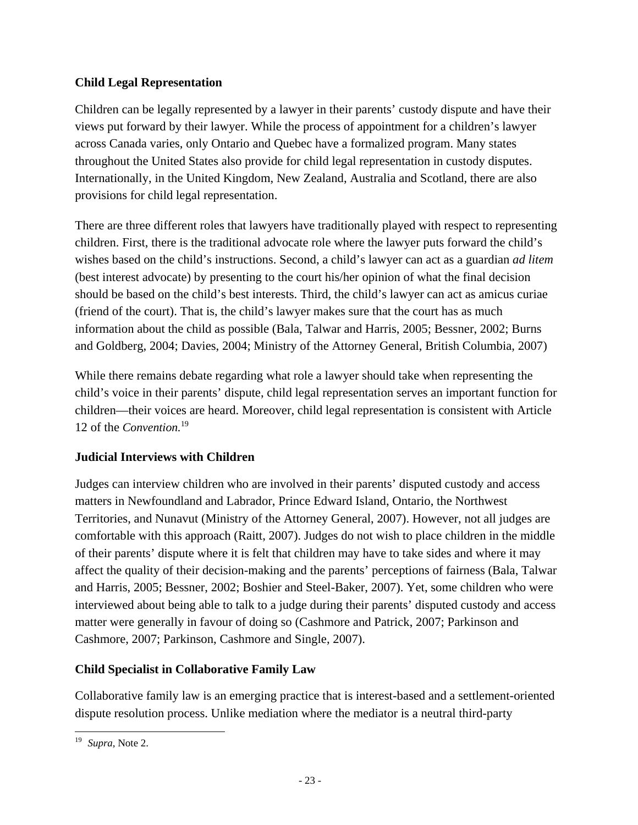#### **Child Legal Representation**

Children can be legally represented by a lawyer in their parents' custody dispute and have their views put forward by their lawyer. While the process of appointment for a children's lawyer across Canada varies, only Ontario and Quebec have a formalized program. Many states throughout the United States also provide for child legal representation in custody disputes. Internationally, in the United Kingdom, New Zealand, Australia and Scotland, there are also provisions for child legal representation.

There are three different roles that lawyers have traditionally played with respect to representing children. First, there is the traditional advocate role where the lawyer puts forward the child's wishes based on the child's instructions. Second, a child's lawyer can act as a guardian *ad litem*  (best interest advocate) by presenting to the court his/her opinion of what the final decision should be based on the child's best interests. Third, the child's lawyer can act as amicus curiae (friend of the court). That is, the child's lawyer makes sure that the court has as much information about the child as possible (Bala, Talwar and Harris, 2005; Bessner, 2002; Burns and Goldberg, 2004; Davies, 2004; Ministry of the Attorney General, British Columbia, 2007)

While there remains debate regarding what role a lawyer should take when representing the child's voice in their parents' dispute, child legal representation serves an important function for children—their voices are heard. Moreover, child legal representation is consistent with Article 12 of the *Convention.*<sup>19</sup>

#### **Judicial Interviews with Children**

Judges can interview children who are involved in their parents' disputed custody and access matters in Newfoundland and Labrador, Prince Edward Island, Ontario, the Northwest Territories, and Nunavut (Ministry of the Attorney General, 2007). However, not all judges are comfortable with this approach (Raitt, 2007). Judges do not wish to place children in the middle of their parents' dispute where it is felt that children may have to take sides and where it may affect the quality of their decision-making and the parents' perceptions of fairness (Bala, Talwar and Harris, 2005; Bessner, 2002; Boshier and Steel-Baker, 2007). Yet, some children who were interviewed about being able to talk to a judge during their parents' disputed custody and access matter were generally in favour of doing so (Cashmore and Patrick, 2007; Parkinson and Cashmore, 2007; Parkinson, Cashmore and Single, 2007).

#### **Child Specialist in Collaborative Family Law**

Collaborative family law is an emerging practice that is interest-based and a settlement-oriented dispute resolution process. Unlike mediation where the mediator is a neutral third-party

<sup>19</sup> *Supra*, Note 2.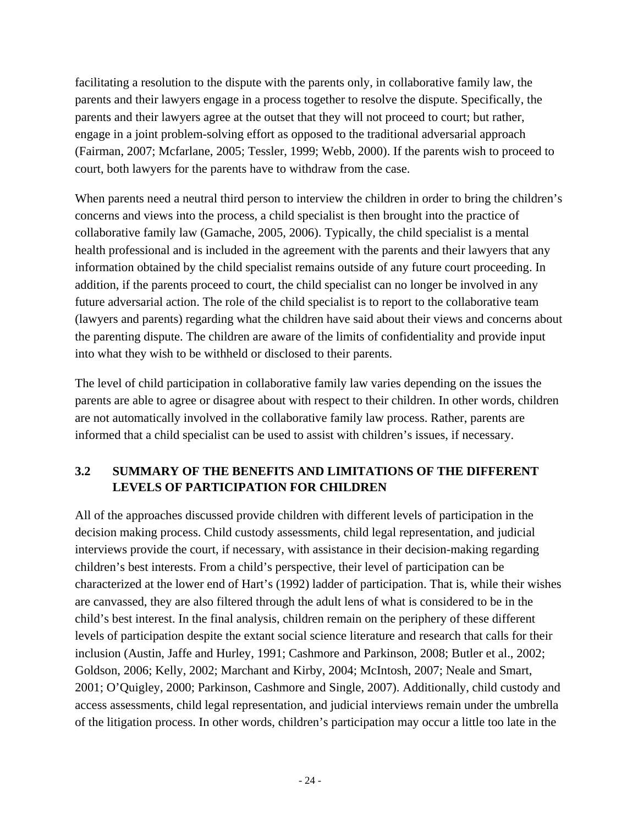facilitating a resolution to the dispute with the parents only, in collaborative family law, the parents and their lawyers engage in a process together to resolve the dispute. Specifically, the parents and their lawyers agree at the outset that they will not proceed to court; but rather, engage in a joint problem-solving effort as opposed to the traditional adversarial approach (Fairman, 2007; Mcfarlane, 2005; Tessler, 1999; Webb, 2000). If the parents wish to proceed to court, both lawyers for the parents have to withdraw from the case.

When parents need a neutral third person to interview the children in order to bring the children's concerns and views into the process, a child specialist is then brought into the practice of collaborative family law (Gamache, 2005, 2006). Typically, the child specialist is a mental health professional and is included in the agreement with the parents and their lawyers that any information obtained by the child specialist remains outside of any future court proceeding. In addition, if the parents proceed to court, the child specialist can no longer be involved in any future adversarial action. The role of the child specialist is to report to the collaborative team (lawyers and parents) regarding what the children have said about their views and concerns about the parenting dispute. The children are aware of the limits of confidentiality and provide input into what they wish to be withheld or disclosed to their parents.

The level of child participation in collaborative family law varies depending on the issues the parents are able to agree or disagree about with respect to their children. In other words, children are not automatically involved in the collaborative family law process. Rather, parents are informed that a child specialist can be used to assist with children's issues, if necessary.

## **3.2 SUMMARY OF THE BENEFITS AND LIMITATIONS OF THE DIFFERENT LEVELS OF PARTICIPATION FOR CHILDREN**

All of the approaches discussed provide children with different levels of participation in the decision making process. Child custody assessments, child legal representation, and judicial interviews provide the court, if necessary, with assistance in their decision-making regarding children's best interests. From a child's perspective, their level of participation can be characterized at the lower end of Hart's (1992) ladder of participation. That is, while their wishes are canvassed, they are also filtered through the adult lens of what is considered to be in the child's best interest. In the final analysis, children remain on the periphery of these different levels of participation despite the extant social science literature and research that calls for their inclusion (Austin, Jaffe and Hurley, 1991; Cashmore and Parkinson, 2008; Butler et al., 2002; Goldson, 2006; Kelly, 2002; Marchant and Kirby, 2004; McIntosh, 2007; Neale and Smart, 2001; O'Quigley, 2000; Parkinson, Cashmore and Single, 2007). Additionally, child custody and access assessments, child legal representation, and judicial interviews remain under the umbrella of the litigation process. In other words, children's participation may occur a little too late in the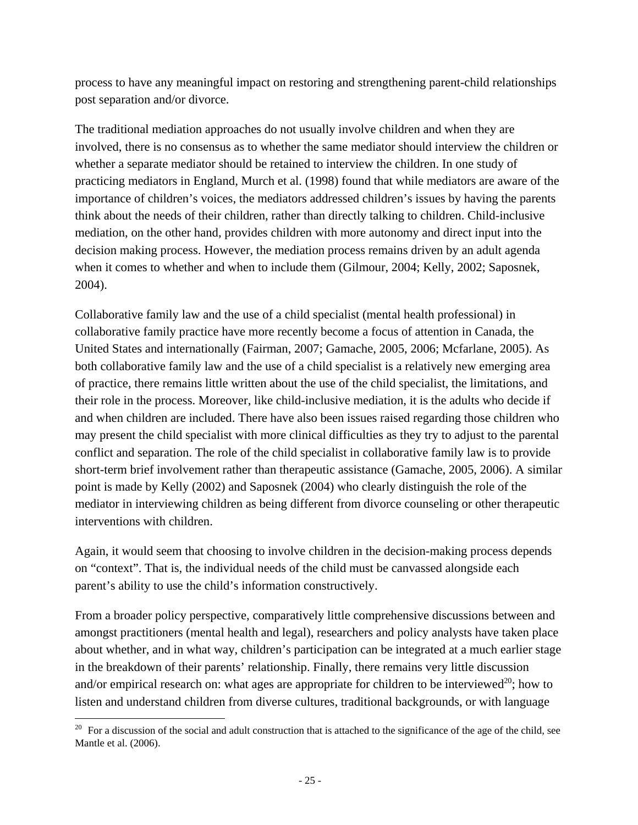process to have any meaningful impact on restoring and strengthening parent-child relationships post separation and/or divorce.

The traditional mediation approaches do not usually involve children and when they are involved, there is no consensus as to whether the same mediator should interview the children or whether a separate mediator should be retained to interview the children. In one study of practicing mediators in England, Murch et al. (1998) found that while mediators are aware of the importance of children's voices, the mediators addressed children's issues by having the parents think about the needs of their children, rather than directly talking to children. Child-inclusive mediation, on the other hand, provides children with more autonomy and direct input into the decision making process. However, the mediation process remains driven by an adult agenda when it comes to whether and when to include them (Gilmour, 2004; Kelly, 2002; Saposnek, 2004).

Collaborative family law and the use of a child specialist (mental health professional) in collaborative family practice have more recently become a focus of attention in Canada, the United States and internationally (Fairman, 2007; Gamache, 2005, 2006; Mcfarlane, 2005). As both collaborative family law and the use of a child specialist is a relatively new emerging area of practice, there remains little written about the use of the child specialist, the limitations, and their role in the process. Moreover, like child-inclusive mediation, it is the adults who decide if and when children are included. There have also been issues raised regarding those children who may present the child specialist with more clinical difficulties as they try to adjust to the parental conflict and separation. The role of the child specialist in collaborative family law is to provide short-term brief involvement rather than therapeutic assistance (Gamache, 2005, 2006). A similar point is made by Kelly (2002) and Saposnek (2004) who clearly distinguish the role of the mediator in interviewing children as being different from divorce counseling or other therapeutic interventions with children.

Again, it would seem that choosing to involve children in the decision-making process depends on "context". That is, the individual needs of the child must be canvassed alongside each parent's ability to use the child's information constructively.

From a broader policy perspective, comparatively little comprehensive discussions between and amongst practitioners (mental health and legal), researchers and policy analysts have taken place about whether, and in what way, children's participation can be integrated at a much earlier stage in the breakdown of their parents' relationship. Finally, there remains very little discussion and/or empirical research on: what ages are appropriate for children to be interviewed<sup>20</sup>; how to listen and understand children from diverse cultures, traditional backgrounds, or with language

 $20$  For a discussion of the social and adult construction that is attached to the significance of the age of the child, see Mantle et al. (2006).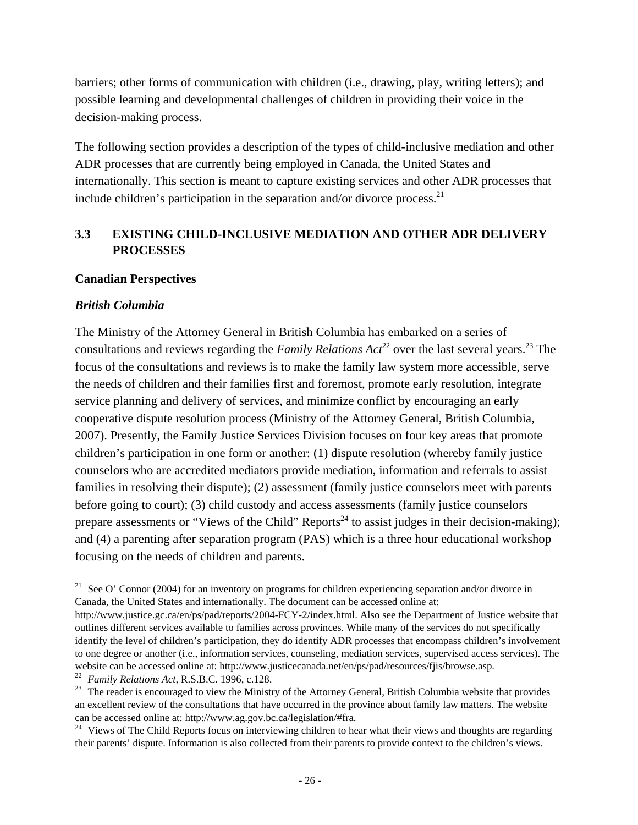barriers; other forms of communication with children (i.e., drawing, play, writing letters); and possible learning and developmental challenges of children in providing their voice in the decision-making process.

The following section provides a description of the types of child-inclusive mediation and other ADR processes that are currently being employed in Canada, the United States and internationally. This section is meant to capture existing services and other ADR processes that include children's participation in the separation and/or divorce process. $^{21}$ 

## **3.3 EXISTING CHILD-INCLUSIVE MEDIATION AND OTHER ADR DELIVERY PROCESSES**

#### **Canadian Perspectives**

#### *British Columbia*

The Ministry of the Attorney General in British Columbia has embarked on a series of consultations and reviews regarding the *Family Relations Act*<sup>22</sup> over the last several years.<sup>23</sup> The focus of the consultations and reviews is to make the family law system more accessible, serve the needs of children and their families first and foremost, promote early resolution, integrate service planning and delivery of services, and minimize conflict by encouraging an early cooperative dispute resolution process (Ministry of the Attorney General, British Columbia, 2007). Presently, the Family Justice Services Division focuses on four key areas that promote children's participation in one form or another: (1) dispute resolution (whereby family justice counselors who are accredited mediators provide mediation, information and referrals to assist families in resolving their dispute); (2) assessment (family justice counselors meet with parents before going to court); (3) child custody and access assessments (family justice counselors prepare assessments or "Views of the Child" Reports<sup>24</sup> to assist judges in their decision-making); and (4) a parenting after separation program (PAS) which is a three hour educational workshop focusing on the needs of children and parents.

<sup>&</sup>lt;sup>21</sup> See O' Connor (2004) for an inventory on programs for children experiencing separation and/or divorce in Canada, the United States and internationally. The document can be accessed online at:

http://www.justice.gc.ca/en/ps/pad/reports/2004-FCY-2/index.html. Also see the Department of Justice website that outlines different services available to families across provinces. While many of the services do not specifically identify the level of children's participation, they do identify ADR processes that encompass children's involvement to one degree or another (i.e., information services, counseling, mediation services, supervised access services). The website can be accessed online at: http://www.justicecanada.net/en/ps/pad/resources/fjis/browse.asp. 22 *Family Relations Act,* R.S.B.C. 1996, c.128.

<sup>&</sup>lt;sup>23</sup> The reader is encouraged to view the Ministry of the Attorney General, British Columbia website that provides an excellent review of the consultations that have occurred in the province about family law matters. The website can be accessed online at: http://www.ag.gov.bc.ca/legislation/#fra.<br><sup>24</sup> Views of The Child Reports focus on interviewing children to hear what their views and thoughts are regarding

their parents' dispute. Information is also collected from their parents to provide context to the children's views.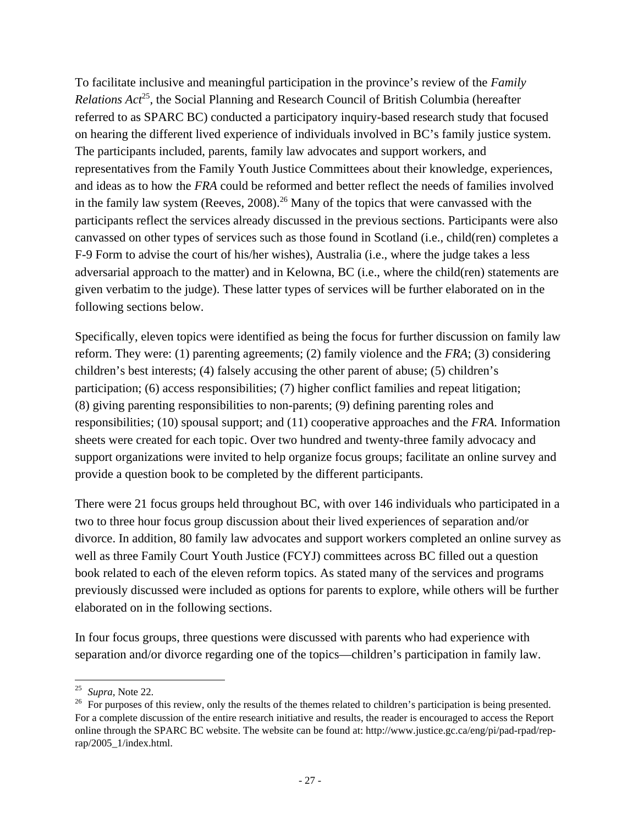To facilitate inclusive and meaningful participation in the province's review of the *Family Relations Act*<sup>25</sup>, the Social Planning and Research Council of British Columbia (hereafter referred to as SPARC BC) conducted a participatory inquiry-based research study that focused on hearing the different lived experience of individuals involved in BC's family justice system. The participants included, parents, family law advocates and support workers, and representatives from the Family Youth Justice Committees about their knowledge, experiences, and ideas as to how the *FRA* could be reformed and better reflect the needs of families involved in the family law system (Reeves,  $2008$ ).<sup>26</sup> Many of the topics that were canvassed with the participants reflect the services already discussed in the previous sections. Participants were also canvassed on other types of services such as those found in Scotland (i.e., child(ren) completes a F-9 Form to advise the court of his/her wishes), Australia (i.e., where the judge takes a less adversarial approach to the matter) and in Kelowna, BC (i.e., where the child(ren) statements are given verbatim to the judge). These latter types of services will be further elaborated on in the following sections below.

Specifically, eleven topics were identified as being the focus for further discussion on family law reform. They were: (1) parenting agreements; (2) family violence and the *FRA*; (3) considering children's best interests; (4) falsely accusing the other parent of abuse; (5) children's participation; (6) access responsibilities; (7) higher conflict families and repeat litigation; (8) giving parenting responsibilities to non-parents; (9) defining parenting roles and responsibilities; (10) spousal support; and (11) cooperative approaches and the *FRA.* Information sheets were created for each topic. Over two hundred and twenty-three family advocacy and support organizations were invited to help organize focus groups; facilitate an online survey and provide a question book to be completed by the different participants.

There were 21 focus groups held throughout BC, with over 146 individuals who participated in a two to three hour focus group discussion about their lived experiences of separation and/or divorce. In addition, 80 family law advocates and support workers completed an online survey as well as three Family Court Youth Justice (FCYJ) committees across BC filled out a question book related to each of the eleven reform topics. As stated many of the services and programs previously discussed were included as options for parents to explore, while others will be further elaborated on in the following sections.

In four focus groups, three questions were discussed with parents who had experience with separation and/or divorce regarding one of the topics—children's participation in family law.

 $25$  Supra, Note 22.

<sup>&</sup>lt;sup>26</sup> For purposes of this review, only the results of the themes related to children's participation is being presented. For a complete discussion of the entire research initiative and results, the reader is encouraged to access the Report online through the SPARC BC website. The website can be found at: http://www.justice.gc.ca/eng/pi/pad-rpad/reprap/2005\_1/index.html.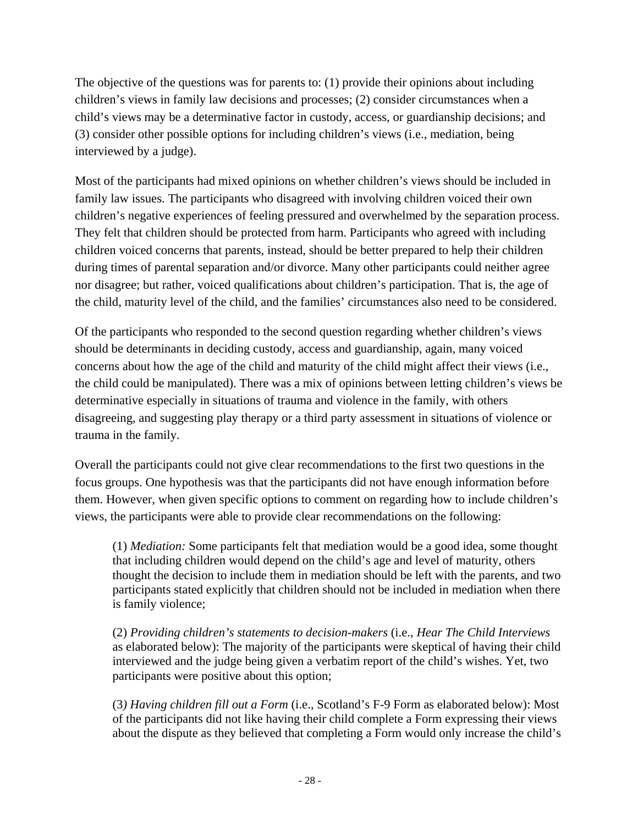The objective of the questions was for parents to: (1) provide their opinions about including children's views in family law decisions and processes; (2) consider circumstances when a child's views may be a determinative factor in custody, access, or guardianship decisions; and (3) consider other possible options for including children's views (i.e., mediation, being interviewed by a judge).

Most of the participants had mixed opinions on whether children's views should be included in family law issues. The participants who disagreed with involving children voiced their own children's negative experiences of feeling pressured and overwhelmed by the separation process. They felt that children should be protected from harm. Participants who agreed with including children voiced concerns that parents, instead, should be better prepared to help their children during times of parental separation and/or divorce. Many other participants could neither agree nor disagree; but rather, voiced qualifications about children's participation. That is, the age of the child, maturity level of the child, and the families' circumstances also need to be considered.

Of the participants who responded to the second question regarding whether children's views should be determinants in deciding custody, access and guardianship, again, many voiced concerns about how the age of the child and maturity of the child might affect their views (i.e., the child could be manipulated). There was a mix of opinions between letting children's views be determinative especially in situations of trauma and violence in the family, with others disagreeing, and suggesting play therapy or a third party assessment in situations of violence or trauma in the family.

Overall the participants could not give clear recommendations to the first two questions in the focus groups. One hypothesis was that the participants did not have enough information before them. However, when given specific options to comment on regarding how to include children's views, the participants were able to provide clear recommendations on the following:

(1) *Mediation:* Some participants felt that mediation would be a good idea, some thought that including children would depend on the child's age and level of maturity, others thought the decision to include them in mediation should be left with the parents, and two participants stated explicitly that children should not be included in mediation when there is family violence;

(2) *Providing children's statements to decision-makers* (i.e., *Hear The Child Interviews* as elaborated below): The majority of the participants were skeptical of having their child interviewed and the judge being given a verbatim report of the child's wishes. Yet, two participants were positive about this option;

(3*) Having children fill out a Form* (i.e., Scotland's F-9 Form as elaborated below): Most of the participants did not like having their child complete a Form expressing their views about the dispute as they believed that completing a Form would only increase the child's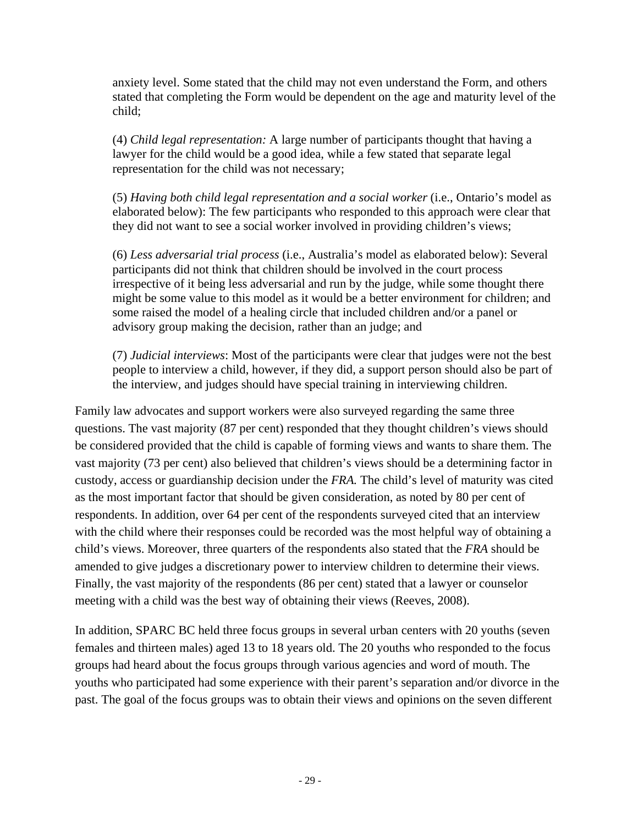anxiety level. Some stated that the child may not even understand the Form, and others stated that completing the Form would be dependent on the age and maturity level of the child;

(4) *Child legal representation:* A large number of participants thought that having a lawyer for the child would be a good idea, while a few stated that separate legal representation for the child was not necessary;

(5) *Having both child legal representation and a social worker* (i.e., Ontario's model as elaborated below): The few participants who responded to this approach were clear that they did not want to see a social worker involved in providing children's views;

(6) *Less adversarial trial process* (i.e., Australia's model as elaborated below): Several participants did not think that children should be involved in the court process irrespective of it being less adversarial and run by the judge, while some thought there might be some value to this model as it would be a better environment for children; and some raised the model of a healing circle that included children and/or a panel or advisory group making the decision, rather than an judge; and

(7) *Judicial interviews*: Most of the participants were clear that judges were not the best people to interview a child, however, if they did, a support person should also be part of the interview, and judges should have special training in interviewing children.

Family law advocates and support workers were also surveyed regarding the same three questions. The vast majority (87 per cent) responded that they thought children's views should be considered provided that the child is capable of forming views and wants to share them. The vast majority (73 per cent) also believed that children's views should be a determining factor in custody, access or guardianship decision under the *FRA.* The child's level of maturity was cited as the most important factor that should be given consideration, as noted by 80 per cent of respondents. In addition, over 64 per cent of the respondents surveyed cited that an interview with the child where their responses could be recorded was the most helpful way of obtaining a child's views. Moreover, three quarters of the respondents also stated that the *FRA* should be amended to give judges a discretionary power to interview children to determine their views. Finally, the vast majority of the respondents (86 per cent) stated that a lawyer or counselor meeting with a child was the best way of obtaining their views (Reeves, 2008).

In addition, SPARC BC held three focus groups in several urban centers with 20 youths (seven females and thirteen males) aged 13 to 18 years old. The 20 youths who responded to the focus groups had heard about the focus groups through various agencies and word of mouth. The youths who participated had some experience with their parent's separation and/or divorce in the past. The goal of the focus groups was to obtain their views and opinions on the seven different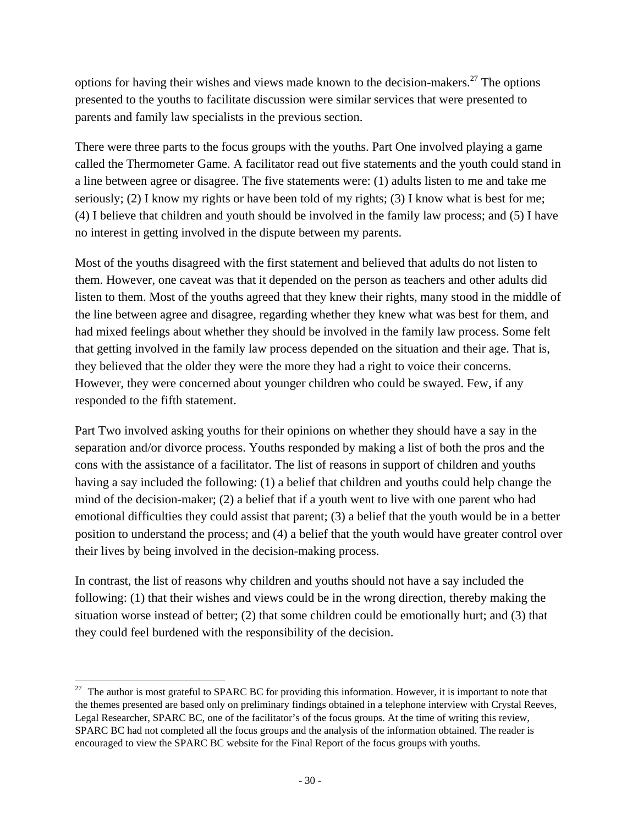options for having their wishes and views made known to the decision-makers.<sup>27</sup> The options presented to the youths to facilitate discussion were similar services that were presented to parents and family law specialists in the previous section.

There were three parts to the focus groups with the youths. Part One involved playing a game called the Thermometer Game. A facilitator read out five statements and the youth could stand in a line between agree or disagree. The five statements were: (1) adults listen to me and take me seriously; (2) I know my rights or have been told of my rights; (3) I know what is best for me; (4) I believe that children and youth should be involved in the family law process; and (5) I have no interest in getting involved in the dispute between my parents.

Most of the youths disagreed with the first statement and believed that adults do not listen to them. However, one caveat was that it depended on the person as teachers and other adults did listen to them. Most of the youths agreed that they knew their rights, many stood in the middle of the line between agree and disagree, regarding whether they knew what was best for them, and had mixed feelings about whether they should be involved in the family law process. Some felt that getting involved in the family law process depended on the situation and their age. That is, they believed that the older they were the more they had a right to voice their concerns. However, they were concerned about younger children who could be swayed. Few, if any responded to the fifth statement.

Part Two involved asking youths for their opinions on whether they should have a say in the separation and/or divorce process. Youths responded by making a list of both the pros and the cons with the assistance of a facilitator. The list of reasons in support of children and youths having a say included the following: (1) a belief that children and youths could help change the mind of the decision-maker; (2) a belief that if a youth went to live with one parent who had emotional difficulties they could assist that parent; (3) a belief that the youth would be in a better position to understand the process; and (4) a belief that the youth would have greater control over their lives by being involved in the decision-making process.

In contrast, the list of reasons why children and youths should not have a say included the following: (1) that their wishes and views could be in the wrong direction, thereby making the situation worse instead of better; (2) that some children could be emotionally hurt; and (3) that they could feel burdened with the responsibility of the decision.

  $27$  The author is most grateful to SPARC BC for providing this information. However, it is important to note that the themes presented are based only on preliminary findings obtained in a telephone interview with Crystal Reeves, Legal Researcher, SPARC BC, one of the facilitator's of the focus groups. At the time of writing this review, SPARC BC had not completed all the focus groups and the analysis of the information obtained. The reader is encouraged to view the SPARC BC website for the Final Report of the focus groups with youths.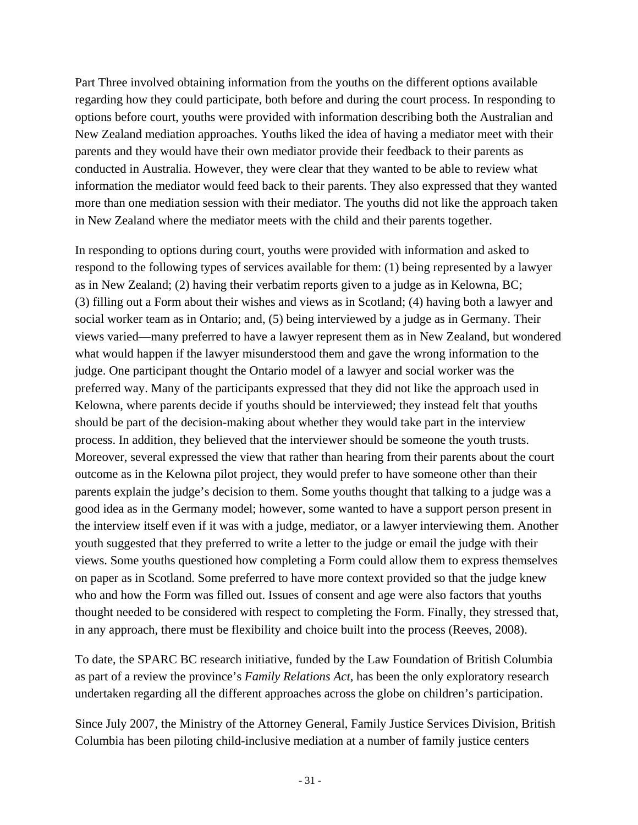Part Three involved obtaining information from the youths on the different options available regarding how they could participate, both before and during the court process. In responding to options before court, youths were provided with information describing both the Australian and New Zealand mediation approaches. Youths liked the idea of having a mediator meet with their parents and they would have their own mediator provide their feedback to their parents as conducted in Australia. However, they were clear that they wanted to be able to review what information the mediator would feed back to their parents. They also expressed that they wanted more than one mediation session with their mediator. The youths did not like the approach taken in New Zealand where the mediator meets with the child and their parents together.

In responding to options during court, youths were provided with information and asked to respond to the following types of services available for them: (1) being represented by a lawyer as in New Zealand; (2) having their verbatim reports given to a judge as in Kelowna, BC; (3) filling out a Form about their wishes and views as in Scotland; (4) having both a lawyer and social worker team as in Ontario; and, (5) being interviewed by a judge as in Germany. Their views varied—many preferred to have a lawyer represent them as in New Zealand, but wondered what would happen if the lawyer misunderstood them and gave the wrong information to the judge. One participant thought the Ontario model of a lawyer and social worker was the preferred way. Many of the participants expressed that they did not like the approach used in Kelowna, where parents decide if youths should be interviewed; they instead felt that youths should be part of the decision-making about whether they would take part in the interview process. In addition, they believed that the interviewer should be someone the youth trusts. Moreover, several expressed the view that rather than hearing from their parents about the court outcome as in the Kelowna pilot project, they would prefer to have someone other than their parents explain the judge's decision to them. Some youths thought that talking to a judge was a good idea as in the Germany model; however, some wanted to have a support person present in the interview itself even if it was with a judge, mediator, or a lawyer interviewing them. Another youth suggested that they preferred to write a letter to the judge or email the judge with their views. Some youths questioned how completing a Form could allow them to express themselves on paper as in Scotland. Some preferred to have more context provided so that the judge knew who and how the Form was filled out. Issues of consent and age were also factors that youths thought needed to be considered with respect to completing the Form. Finally, they stressed that, in any approach, there must be flexibility and choice built into the process (Reeves, 2008).

To date, the SPARC BC research initiative, funded by the Law Foundation of British Columbia as part of a review the province's *Family Relations Act,* has been the only exploratory research undertaken regarding all the different approaches across the globe on children's participation.

Since July 2007, the Ministry of the Attorney General, Family Justice Services Division, British Columbia has been piloting child-inclusive mediation at a number of family justice centers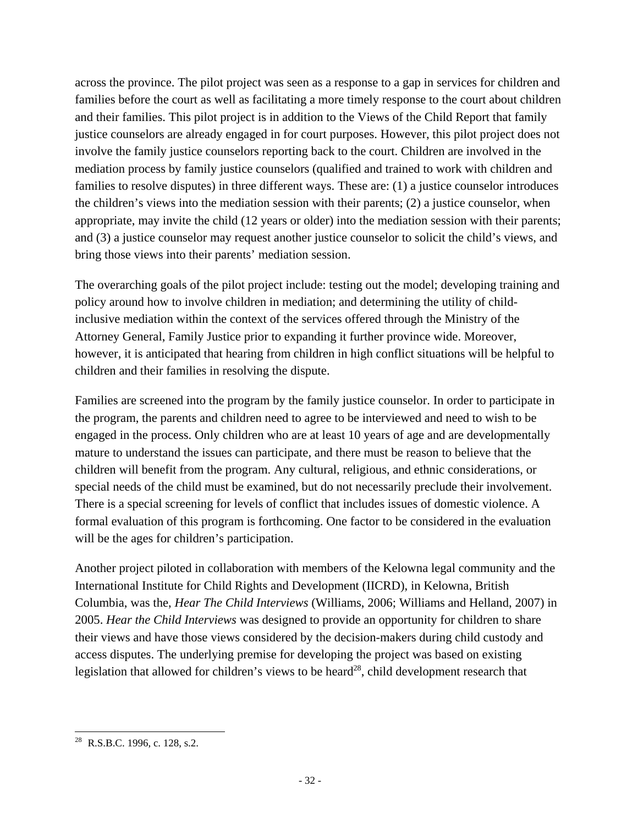across the province. The pilot project was seen as a response to a gap in services for children and families before the court as well as facilitating a more timely response to the court about children and their families. This pilot project is in addition to the Views of the Child Report that family justice counselors are already engaged in for court purposes. However, this pilot project does not involve the family justice counselors reporting back to the court. Children are involved in the mediation process by family justice counselors (qualified and trained to work with children and families to resolve disputes) in three different ways. These are: (1) a justice counselor introduces the children's views into the mediation session with their parents; (2) a justice counselor, when appropriate, may invite the child (12 years or older) into the mediation session with their parents; and (3) a justice counselor may request another justice counselor to solicit the child's views, and bring those views into their parents' mediation session.

The overarching goals of the pilot project include: testing out the model; developing training and policy around how to involve children in mediation; and determining the utility of childinclusive mediation within the context of the services offered through the Ministry of the Attorney General, Family Justice prior to expanding it further province wide. Moreover, however, it is anticipated that hearing from children in high conflict situations will be helpful to children and their families in resolving the dispute.

Families are screened into the program by the family justice counselor. In order to participate in the program, the parents and children need to agree to be interviewed and need to wish to be engaged in the process. Only children who are at least 10 years of age and are developmentally mature to understand the issues can participate, and there must be reason to believe that the children will benefit from the program. Any cultural, religious, and ethnic considerations, or special needs of the child must be examined, but do not necessarily preclude their involvement. There is a special screening for levels of conflict that includes issues of domestic violence. A formal evaluation of this program is forthcoming. One factor to be considered in the evaluation will be the ages for children's participation.

Another project piloted in collaboration with members of the Kelowna legal community and the International Institute for Child Rights and Development (IICRD), in Kelowna, British Columbia, was the, *Hear The Child Interviews* (Williams, 2006; Williams and Helland, 2007) in 2005. *Hear the Child Interviews* was designed to provide an opportunity for children to share their views and have those views considered by the decision-makers during child custody and access disputes. The underlying premise for developing the project was based on existing legislation that allowed for children's views to be heard<sup>28</sup>, child development research that

<sup>&</sup>lt;sup>28</sup> R.S.B.C. 1996, c. 128, s.2.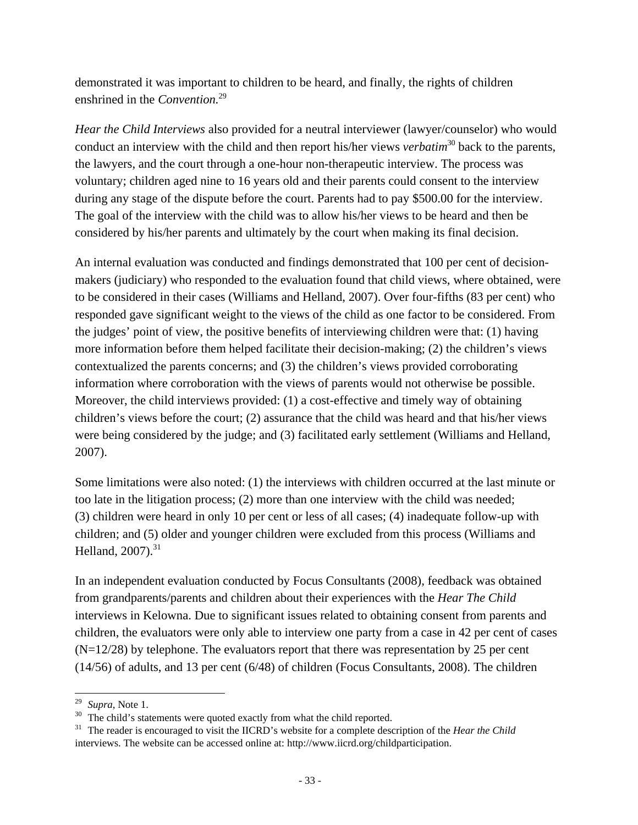demonstrated it was important to children to be heard, and finally, the rights of children enshrined in the *Convention.*29

*Hear the Child Interviews* also provided for a neutral interviewer (lawyer/counselor) who would conduct an interview with the child and then report his/her views *verbatim*<sup>30</sup> back to the parents, the lawyers, and the court through a one-hour non-therapeutic interview. The process was voluntary; children aged nine to 16 years old and their parents could consent to the interview during any stage of the dispute before the court. Parents had to pay \$500.00 for the interview. The goal of the interview with the child was to allow his/her views to be heard and then be considered by his/her parents and ultimately by the court when making its final decision.

An internal evaluation was conducted and findings demonstrated that 100 per cent of decisionmakers (judiciary) who responded to the evaluation found that child views, where obtained, were to be considered in their cases (Williams and Helland, 2007). Over four-fifths (83 per cent) who responded gave significant weight to the views of the child as one factor to be considered. From the judges' point of view, the positive benefits of interviewing children were that: (1) having more information before them helped facilitate their decision-making; (2) the children's views contextualized the parents concerns; and (3) the children's views provided corroborating information where corroboration with the views of parents would not otherwise be possible. Moreover, the child interviews provided: (1) a cost-effective and timely way of obtaining children's views before the court; (2) assurance that the child was heard and that his/her views were being considered by the judge; and (3) facilitated early settlement (Williams and Helland, 2007).

Some limitations were also noted: (1) the interviews with children occurred at the last minute or too late in the litigation process; (2) more than one interview with the child was needed; (3) children were heard in only 10 per cent or less of all cases; (4) inadequate follow-up with children; and (5) older and younger children were excluded from this process (Williams and Helland,  $2007$ ).<sup>31</sup>

In an independent evaluation conducted by Focus Consultants (2008), feedback was obtained from grandparents/parents and children about their experiences with the *Hear The Child* interviews in Kelowna. Due to significant issues related to obtaining consent from parents and children, the evaluators were only able to interview one party from a case in 42 per cent of cases  $(N=12/28)$  by telephone. The evaluators report that there was representation by 25 per cent (14/56) of adults, and 13 per cent (6/48) of children (Focus Consultants, 2008). The children

 $29$  Supra, Note 1.

<sup>&</sup>lt;sup>30</sup> The child's statements were quoted exactly from what the child reported.

<sup>31</sup> The reader is encouraged to visit the IICRD's website for a complete description of the *Hear the Child*  interviews. The website can be accessed online at: http://www.iicrd.org/childparticipation.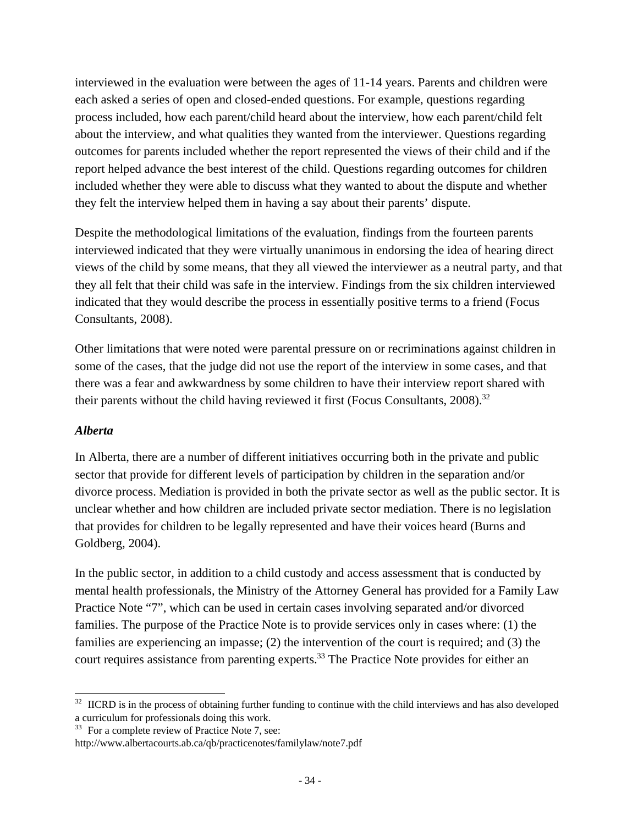interviewed in the evaluation were between the ages of 11-14 years. Parents and children were each asked a series of open and closed-ended questions. For example, questions regarding process included, how each parent/child heard about the interview, how each parent/child felt about the interview, and what qualities they wanted from the interviewer. Questions regarding outcomes for parents included whether the report represented the views of their child and if the report helped advance the best interest of the child. Questions regarding outcomes for children included whether they were able to discuss what they wanted to about the dispute and whether they felt the interview helped them in having a say about their parents' dispute.

Despite the methodological limitations of the evaluation, findings from the fourteen parents interviewed indicated that they were virtually unanimous in endorsing the idea of hearing direct views of the child by some means, that they all viewed the interviewer as a neutral party, and that they all felt that their child was safe in the interview. Findings from the six children interviewed indicated that they would describe the process in essentially positive terms to a friend (Focus Consultants, 2008).

Other limitations that were noted were parental pressure on or recriminations against children in some of the cases, that the judge did not use the report of the interview in some cases, and that there was a fear and awkwardness by some children to have their interview report shared with their parents without the child having reviewed it first (Focus Consultants,  $2008$ ).<sup>32</sup>

#### *Alberta*

In Alberta, there are a number of different initiatives occurring both in the private and public sector that provide for different levels of participation by children in the separation and/or divorce process. Mediation is provided in both the private sector as well as the public sector. It is unclear whether and how children are included private sector mediation. There is no legislation that provides for children to be legally represented and have their voices heard (Burns and Goldberg, 2004).

In the public sector, in addition to a child custody and access assessment that is conducted by mental health professionals, the Ministry of the Attorney General has provided for a Family Law Practice Note "7", which can be used in certain cases involving separated and/or divorced families. The purpose of the Practice Note is to provide services only in cases where: (1) the families are experiencing an impasse; (2) the intervention of the court is required; and (3) the court requires assistance from parenting experts.<sup>33</sup> The Practice Note provides for either an

 <sup>32</sup> IICRD is in the process of obtaining further funding to continue with the child interviews and has also developed a curriculum for professionals doing this work.

<sup>&</sup>lt;sup>33</sup> For a complete review of Practice Note 7, see:

http://www.albertacourts.ab.ca/qb/practicenotes/familylaw/note7.pdf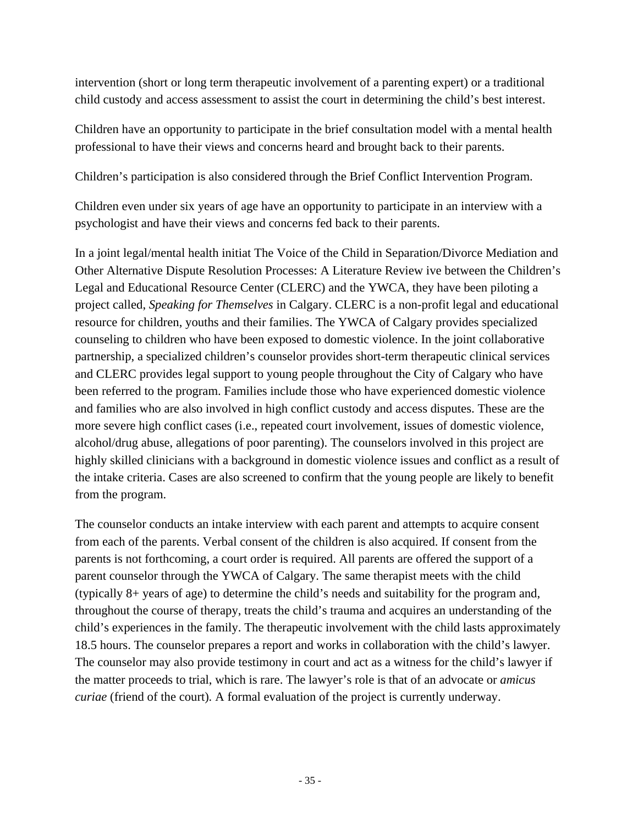intervention (short or long term therapeutic involvement of a parenting expert) or a traditional child custody and access assessment to assist the court in determining the child's best interest.

Children have an opportunity to participate in the brief consultation model with a mental health professional to have their views and concerns heard and brought back to their parents.

Children's participation is also considered through the Brief Conflict Intervention Program.

Children even under six years of age have an opportunity to participate in an interview with a psychologist and have their views and concerns fed back to their parents.

In a joint legal/mental health initiat The Voice of the Child in Separation/Divorce Mediation and Other Alternative Dispute Resolution Processes: A Literature Review ive between the Children's Legal and Educational Resource Center (CLERC) and the YWCA, they have been piloting a project called, *Speaking for Themselves* in Calgary. CLERC is a non-profit legal and educational resource for children, youths and their families. The YWCA of Calgary provides specialized counseling to children who have been exposed to domestic violence. In the joint collaborative partnership, a specialized children's counselor provides short-term therapeutic clinical services and CLERC provides legal support to young people throughout the City of Calgary who have been referred to the program. Families include those who have experienced domestic violence and families who are also involved in high conflict custody and access disputes. These are the more severe high conflict cases (i.e., repeated court involvement, issues of domestic violence, alcohol/drug abuse, allegations of poor parenting). The counselors involved in this project are highly skilled clinicians with a background in domestic violence issues and conflict as a result of the intake criteria. Cases are also screened to confirm that the young people are likely to benefit from the program.

The counselor conducts an intake interview with each parent and attempts to acquire consent from each of the parents. Verbal consent of the children is also acquired. If consent from the parents is not forthcoming, a court order is required. All parents are offered the support of a parent counselor through the YWCA of Calgary. The same therapist meets with the child (typically 8+ years of age) to determine the child's needs and suitability for the program and, throughout the course of therapy, treats the child's trauma and acquires an understanding of the child's experiences in the family. The therapeutic involvement with the child lasts approximately 18.5 hours. The counselor prepares a report and works in collaboration with the child's lawyer. The counselor may also provide testimony in court and act as a witness for the child's lawyer if the matter proceeds to trial, which is rare. The lawyer's role is that of an advocate or *amicus curiae* (friend of the court)*.* A formal evaluation of the project is currently underway.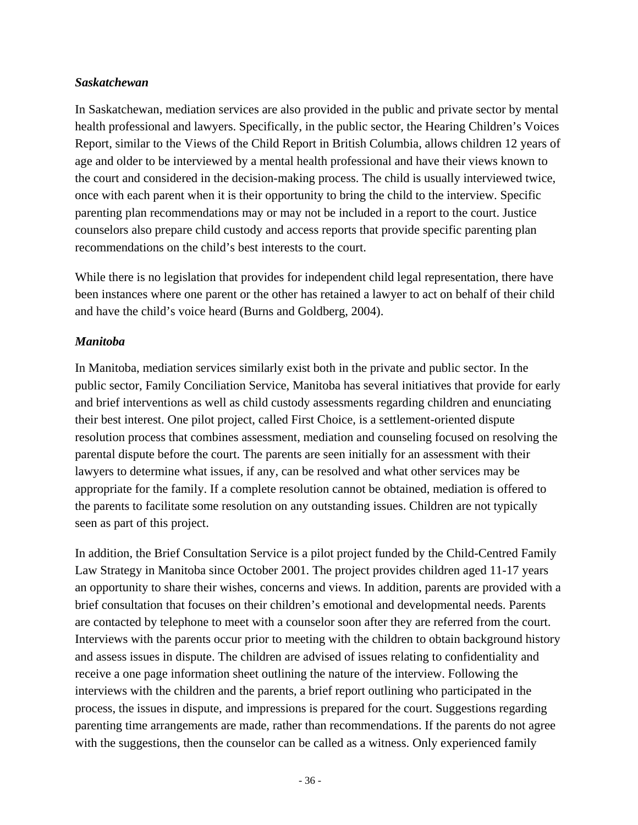#### *Saskatchewan*

In Saskatchewan, mediation services are also provided in the public and private sector by mental health professional and lawyers. Specifically, in the public sector, the Hearing Children's Voices Report, similar to the Views of the Child Report in British Columbia, allows children 12 years of age and older to be interviewed by a mental health professional and have their views known to the court and considered in the decision-making process. The child is usually interviewed twice, once with each parent when it is their opportunity to bring the child to the interview. Specific parenting plan recommendations may or may not be included in a report to the court. Justice counselors also prepare child custody and access reports that provide specific parenting plan recommendations on the child's best interests to the court.

While there is no legislation that provides for independent child legal representation, there have been instances where one parent or the other has retained a lawyer to act on behalf of their child and have the child's voice heard (Burns and Goldberg, 2004).

#### *Manitoba*

In Manitoba, mediation services similarly exist both in the private and public sector. In the public sector, Family Conciliation Service, Manitoba has several initiatives that provide for early and brief interventions as well as child custody assessments regarding children and enunciating their best interest. One pilot project, called First Choice, is a settlement-oriented dispute resolution process that combines assessment, mediation and counseling focused on resolving the parental dispute before the court. The parents are seen initially for an assessment with their lawyers to determine what issues, if any, can be resolved and what other services may be appropriate for the family. If a complete resolution cannot be obtained, mediation is offered to the parents to facilitate some resolution on any outstanding issues. Children are not typically seen as part of this project.

In addition, the Brief Consultation Service is a pilot project funded by the Child-Centred Family Law Strategy in Manitoba since October 2001. The project provides children aged 11-17 years an opportunity to share their wishes, concerns and views. In addition, parents are provided with a brief consultation that focuses on their children's emotional and developmental needs. Parents are contacted by telephone to meet with a counselor soon after they are referred from the court. Interviews with the parents occur prior to meeting with the children to obtain background history and assess issues in dispute. The children are advised of issues relating to confidentiality and receive a one page information sheet outlining the nature of the interview. Following the interviews with the children and the parents, a brief report outlining who participated in the process, the issues in dispute, and impressions is prepared for the court. Suggestions regarding parenting time arrangements are made, rather than recommendations. If the parents do not agree with the suggestions, then the counselor can be called as a witness. Only experienced family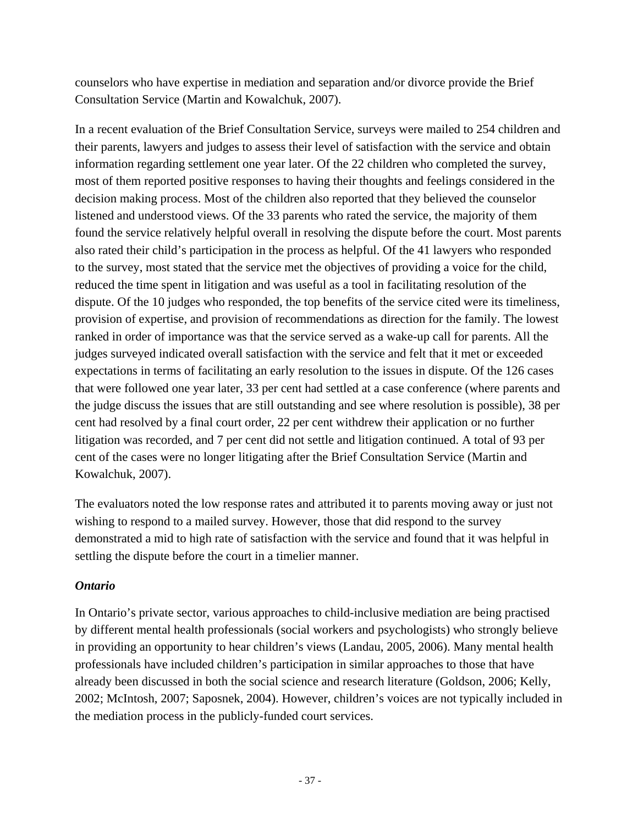counselors who have expertise in mediation and separation and/or divorce provide the Brief Consultation Service (Martin and Kowalchuk, 2007).

In a recent evaluation of the Brief Consultation Service, surveys were mailed to 254 children and their parents, lawyers and judges to assess their level of satisfaction with the service and obtain information regarding settlement one year later. Of the 22 children who completed the survey, most of them reported positive responses to having their thoughts and feelings considered in the decision making process. Most of the children also reported that they believed the counselor listened and understood views. Of the 33 parents who rated the service, the majority of them found the service relatively helpful overall in resolving the dispute before the court. Most parents also rated their child's participation in the process as helpful. Of the 41 lawyers who responded to the survey, most stated that the service met the objectives of providing a voice for the child, reduced the time spent in litigation and was useful as a tool in facilitating resolution of the dispute. Of the 10 judges who responded, the top benefits of the service cited were its timeliness, provision of expertise, and provision of recommendations as direction for the family. The lowest ranked in order of importance was that the service served as a wake-up call for parents. All the judges surveyed indicated overall satisfaction with the service and felt that it met or exceeded expectations in terms of facilitating an early resolution to the issues in dispute. Of the 126 cases that were followed one year later, 33 per cent had settled at a case conference (where parents and the judge discuss the issues that are still outstanding and see where resolution is possible), 38 per cent had resolved by a final court order, 22 per cent withdrew their application or no further litigation was recorded, and 7 per cent did not settle and litigation continued. A total of 93 per cent of the cases were no longer litigating after the Brief Consultation Service (Martin and Kowalchuk, 2007).

The evaluators noted the low response rates and attributed it to parents moving away or just not wishing to respond to a mailed survey. However, those that did respond to the survey demonstrated a mid to high rate of satisfaction with the service and found that it was helpful in settling the dispute before the court in a timelier manner.

#### *Ontario*

In Ontario's private sector, various approaches to child-inclusive mediation are being practised by different mental health professionals (social workers and psychologists) who strongly believe in providing an opportunity to hear children's views (Landau, 2005, 2006). Many mental health professionals have included children's participation in similar approaches to those that have already been discussed in both the social science and research literature (Goldson, 2006; Kelly, 2002; McIntosh, 2007; Saposnek, 2004). However, children's voices are not typically included in the mediation process in the publicly-funded court services.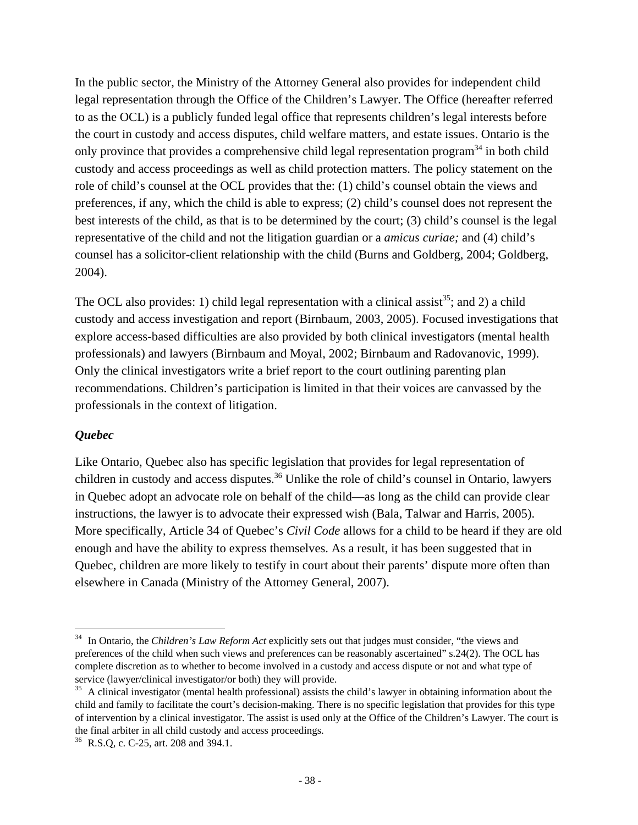In the public sector, the Ministry of the Attorney General also provides for independent child legal representation through the Office of the Children's Lawyer. The Office (hereafter referred to as the OCL) is a publicly funded legal office that represents children's legal interests before the court in custody and access disputes, child welfare matters, and estate issues. Ontario is the only province that provides a comprehensive child legal representation program<sup>34</sup> in both child custody and access proceedings as well as child protection matters. The policy statement on the role of child's counsel at the OCL provides that the: (1) child's counsel obtain the views and preferences, if any, which the child is able to express; (2) child's counsel does not represent the best interests of the child, as that is to be determined by the court; (3) child's counsel is the legal representative of the child and not the litigation guardian or a *amicus curiae;* and (4) child's counsel has a solicitor-client relationship with the child (Burns and Goldberg, 2004; Goldberg, 2004).

The OCL also provides: 1) child legal representation with a clinical assist<sup>35</sup>; and 2) a child custody and access investigation and report (Birnbaum, 2003, 2005). Focused investigations that explore access-based difficulties are also provided by both clinical investigators (mental health professionals) and lawyers (Birnbaum and Moyal, 2002; Birnbaum and Radovanovic, 1999). Only the clinical investigators write a brief report to the court outlining parenting plan recommendations. Children's participation is limited in that their voices are canvassed by the professionals in the context of litigation.

#### *Quebec*

Like Ontario, Quebec also has specific legislation that provides for legal representation of children in custody and access disputes.<sup>36</sup> Unlike the role of child's counsel in Ontario, lawyers in Quebec adopt an advocate role on behalf of the child—as long as the child can provide clear instructions, the lawyer is to advocate their expressed wish (Bala, Talwar and Harris, 2005). More specifically, Article 34 of Quebec's *Civil Code* allows for a child to be heard if they are old enough and have the ability to express themselves. As a result, it has been suggested that in Quebec, children are more likely to testify in court about their parents' dispute more often than elsewhere in Canada (Ministry of the Attorney General, 2007).

 $\overline{a}$ 34 In Ontario, the *Children's Law Reform Act* explicitly sets out that judges must consider, "the views and preferences of the child when such views and preferences can be reasonably ascertained" s.24(2). The OCL has complete discretion as to whether to become involved in a custody and access dispute or not and what type of service (lawyer/clinical investigator/or both) they will provide.

 $35$  A clinical investigator (mental health professional) assists the child's lawyer in obtaining information about the child and family to facilitate the court's decision-making. There is no specific legislation that provides for this type of intervention by a clinical investigator. The assist is used only at the Office of the Children's Lawyer. The court is the final arbiter in all child custody and access proceedings.

<sup>&</sup>lt;sup>36</sup> R.S.Q, c. C-25, art. 208 and 394.1.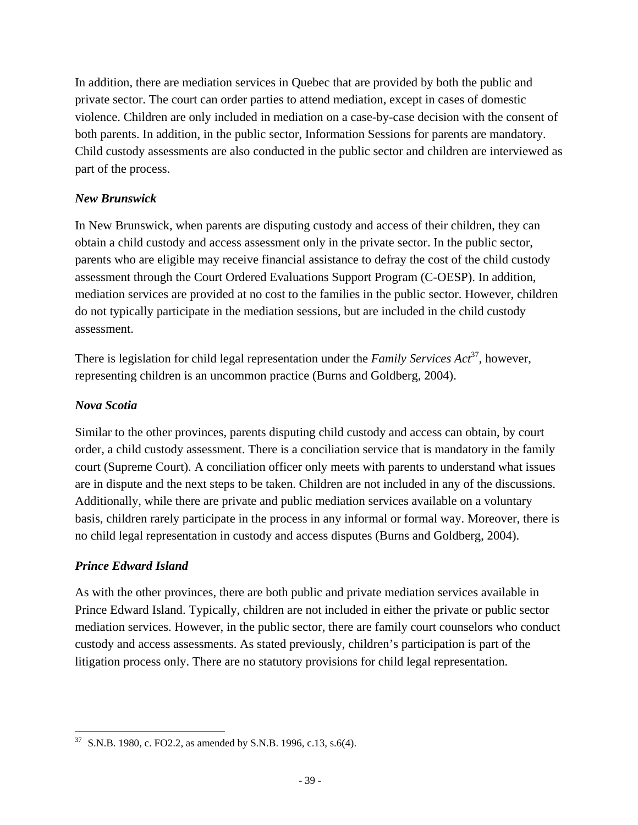In addition, there are mediation services in Quebec that are provided by both the public and private sector. The court can order parties to attend mediation, except in cases of domestic violence. Children are only included in mediation on a case-by-case decision with the consent of both parents. In addition, in the public sector, Information Sessions for parents are mandatory. Child custody assessments are also conducted in the public sector and children are interviewed as part of the process.

### *New Brunswick*

In New Brunswick, when parents are disputing custody and access of their children, they can obtain a child custody and access assessment only in the private sector. In the public sector, parents who are eligible may receive financial assistance to defray the cost of the child custody assessment through the Court Ordered Evaluations Support Program (C-OESP). In addition, mediation services are provided at no cost to the families in the public sector. However, children do not typically participate in the mediation sessions, but are included in the child custody assessment.

There is legislation for child legal representation under the *Family Services Act*<sup>37</sup>, however, representing children is an uncommon practice (Burns and Goldberg, 2004).

### *Nova Scotia*

Similar to the other provinces, parents disputing child custody and access can obtain, by court order, a child custody assessment. There is a conciliation service that is mandatory in the family court (Supreme Court). A conciliation officer only meets with parents to understand what issues are in dispute and the next steps to be taken. Children are not included in any of the discussions. Additionally, while there are private and public mediation services available on a voluntary basis, children rarely participate in the process in any informal or formal way. Moreover, there is no child legal representation in custody and access disputes (Burns and Goldberg, 2004).

## *Prince Edward Island*

As with the other provinces, there are both public and private mediation services available in Prince Edward Island. Typically, children are not included in either the private or public sector mediation services. However, in the public sector, there are family court counselors who conduct custody and access assessments. As stated previously, children's participation is part of the litigation process only. There are no statutory provisions for child legal representation.

 37 S.N.B. 1980, c. FO2.2, as amended by S.N.B. 1996, c.13, s.6(4).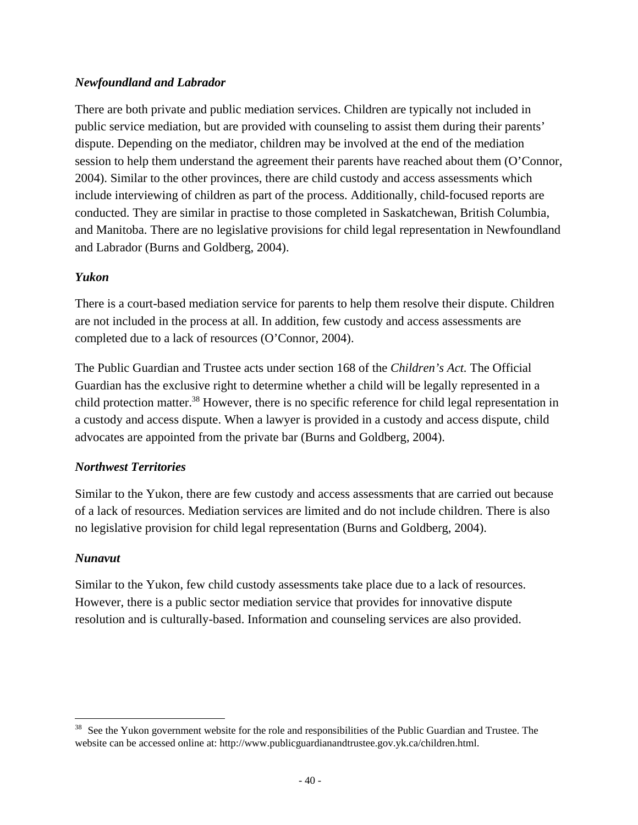### *Newfoundland and Labrador*

There are both private and public mediation services. Children are typically not included in public service mediation, but are provided with counseling to assist them during their parents' dispute. Depending on the mediator, children may be involved at the end of the mediation session to help them understand the agreement their parents have reached about them (O'Connor, 2004). Similar to the other provinces, there are child custody and access assessments which include interviewing of children as part of the process. Additionally, child-focused reports are conducted. They are similar in practise to those completed in Saskatchewan, British Columbia, and Manitoba. There are no legislative provisions for child legal representation in Newfoundland and Labrador (Burns and Goldberg, 2004).

#### *Yukon*

There is a court-based mediation service for parents to help them resolve their dispute. Children are not included in the process at all. In addition, few custody and access assessments are completed due to a lack of resources (O'Connor, 2004).

The Public Guardian and Trustee acts under section 168 of the *Children's Act.* The Official Guardian has the exclusive right to determine whether a child will be legally represented in a child protection matter.<sup>38</sup> However, there is no specific reference for child legal representation in a custody and access dispute. When a lawyer is provided in a custody and access dispute, child advocates are appointed from the private bar (Burns and Goldberg, 2004).

#### *Northwest Territories*

Similar to the Yukon, there are few custody and access assessments that are carried out because of a lack of resources. Mediation services are limited and do not include children. There is also no legislative provision for child legal representation (Burns and Goldberg, 2004).

#### *Nunavut*

Similar to the Yukon, few child custody assessments take place due to a lack of resources. However, there is a public sector mediation service that provides for innovative dispute resolution and is culturally-based. Information and counseling services are also provided.

<sup>&</sup>lt;sup>38</sup> See the Yukon government website for the role and responsibilities of the Public Guardian and Trustee. The website can be accessed online at: http://www.publicguardianandtrustee.gov.yk.ca/children.html.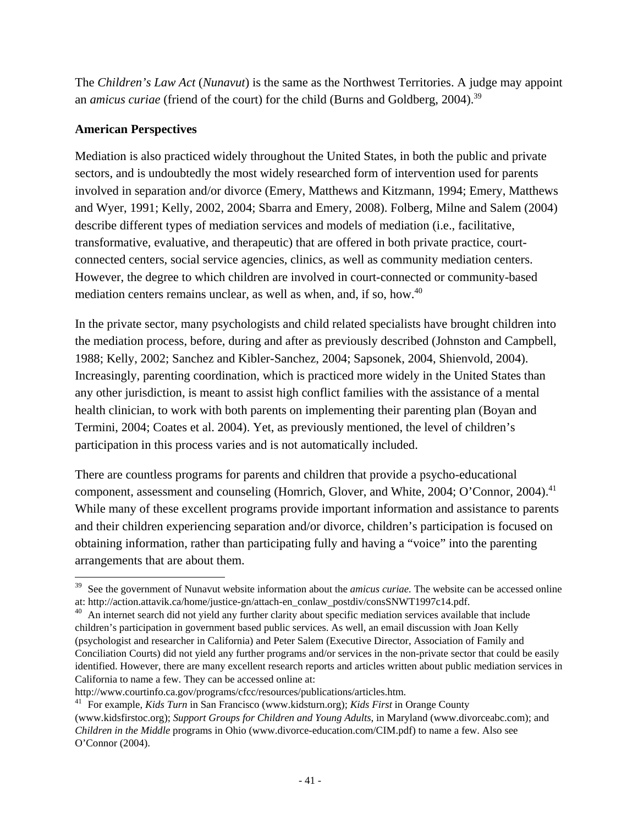The *Children's Law Act* (*Nunavut*) is the same as the Northwest Territories. A judge may appoint an *amicus curiae* (friend of the court) for the child (Burns and Goldberg, 2004).<sup>39</sup>

#### **American Perspectives**

Mediation is also practiced widely throughout the United States, in both the public and private sectors, and is undoubtedly the most widely researched form of intervention used for parents involved in separation and/or divorce (Emery, Matthews and Kitzmann, 1994; Emery, Matthews and Wyer, 1991; Kelly, 2002, 2004; Sbarra and Emery, 2008). Folberg, Milne and Salem (2004) describe different types of mediation services and models of mediation (i.e., facilitative, transformative, evaluative, and therapeutic) that are offered in both private practice, courtconnected centers, social service agencies, clinics, as well as community mediation centers. However, the degree to which children are involved in court-connected or community-based mediation centers remains unclear, as well as when, and, if so, how.<sup>40</sup>

In the private sector, many psychologists and child related specialists have brought children into the mediation process, before, during and after as previously described (Johnston and Campbell, 1988; Kelly, 2002; Sanchez and Kibler-Sanchez, 2004; Sapsonek, 2004, Shienvold, 2004). Increasingly, parenting coordination, which is practiced more widely in the United States than any other jurisdiction, is meant to assist high conflict families with the assistance of a mental health clinician, to work with both parents on implementing their parenting plan (Boyan and Termini, 2004; Coates et al. 2004). Yet, as previously mentioned, the level of children's participation in this process varies and is not automatically included.

There are countless programs for parents and children that provide a psycho-educational component, assessment and counseling (Homrich, Glover, and White, 2004; O'Connor, 2004).<sup>41</sup> While many of these excellent programs provide important information and assistance to parents and their children experiencing separation and/or divorce, children's participation is focused on obtaining information, rather than participating fully and having a "voice" into the parenting arrangements that are about them.

<sup>&</sup>lt;sup>39</sup> See the government of Nunavut website information about the *amicus curiae*. The website can be accessed online at: http://action.attavik.ca/home/justice-gn/attach-en\_conlaw\_postdiv/consSNWT1997c14.pdf.

 $^{40}$  An internet search did not yield any further clarity about specific mediation services available that include children's participation in government based public services. As well, an email discussion with Joan Kelly (psychologist and researcher in California) and Peter Salem (Executive Director, Association of Family and Conciliation Courts) did not yield any further programs and/or services in the non-private sector that could be easily identified. However, there are many excellent research reports and articles written about public mediation services in California to name a few. They can be accessed online at:

http://www.courtinfo.ca.gov/programs/cfcc/resources/publications/articles.htm. 41 For example, *Kids Turn* in San Francisco (www.kidsturn.org); *Kids First* in Orange County

<sup>(</sup>www.kidsfirstoc.org); *Support Groups for Children and Young Adults*, in Maryland (www.divorceabc.com); and *Children in the Middle* programs in Ohio (www.divorce-education.com/CIM.pdf) to name a few. Also see O'Connor (2004).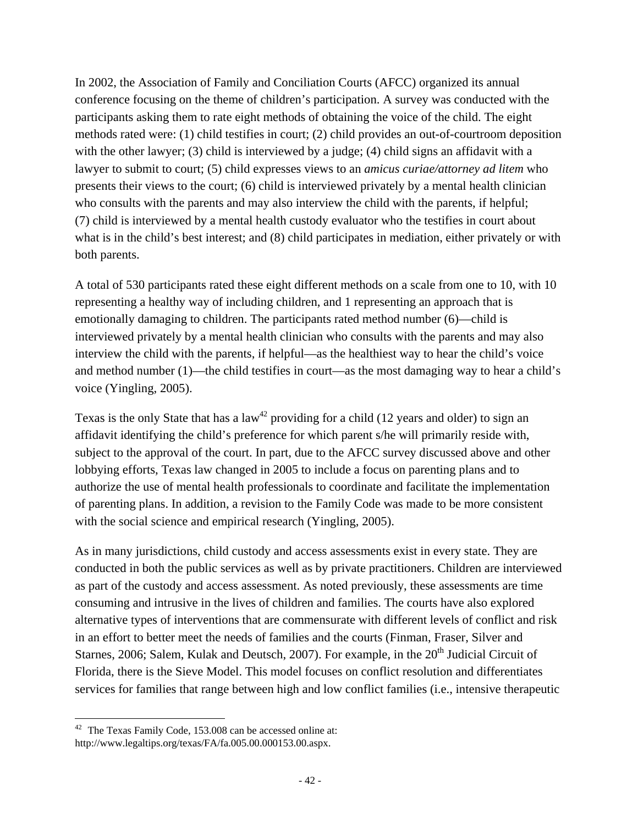In 2002, the Association of Family and Conciliation Courts (AFCC) organized its annual conference focusing on the theme of children's participation. A survey was conducted with the participants asking them to rate eight methods of obtaining the voice of the child. The eight methods rated were: (1) child testifies in court; (2) child provides an out-of-courtroom deposition with the other lawyer; (3) child is interviewed by a judge; (4) child signs an affidavit with a lawyer to submit to court; (5) child expresses views to an *amicus curiae/attorney ad litem* who presents their views to the court; (6) child is interviewed privately by a mental health clinician who consults with the parents and may also interview the child with the parents, if helpful; (7) child is interviewed by a mental health custody evaluator who the testifies in court about what is in the child's best interest; and (8) child participates in mediation, either privately or with both parents.

A total of 530 participants rated these eight different methods on a scale from one to 10, with 10 representing a healthy way of including children, and 1 representing an approach that is emotionally damaging to children. The participants rated method number (6)—child is interviewed privately by a mental health clinician who consults with the parents and may also interview the child with the parents, if helpful—as the healthiest way to hear the child's voice and method number (1)—the child testifies in court—as the most damaging way to hear a child's voice (Yingling, 2005).

Texas is the only State that has a  $law<sup>42</sup>$  providing for a child (12 years and older) to sign an affidavit identifying the child's preference for which parent s/he will primarily reside with, subject to the approval of the court. In part, due to the AFCC survey discussed above and other lobbying efforts, Texas law changed in 2005 to include a focus on parenting plans and to authorize the use of mental health professionals to coordinate and facilitate the implementation of parenting plans. In addition, a revision to the Family Code was made to be more consistent with the social science and empirical research (Yingling, 2005).

As in many jurisdictions, child custody and access assessments exist in every state. They are conducted in both the public services as well as by private practitioners. Children are interviewed as part of the custody and access assessment. As noted previously, these assessments are time consuming and intrusive in the lives of children and families. The courts have also explored alternative types of interventions that are commensurate with different levels of conflict and risk in an effort to better meet the needs of families and the courts (Finman, Fraser, Silver and Starnes, 2006; Salem, Kulak and Deutsch, 2007). For example, in the  $20<sup>th</sup>$  Judicial Circuit of Florida, there is the Sieve Model. This model focuses on conflict resolution and differentiates services for families that range between high and low conflict families (i.e., intensive therapeutic

  $42$  The Texas Family Code, 153.008 can be accessed online at: http://www.legaltips.org/texas/FA/fa.005.00.000153.00.aspx.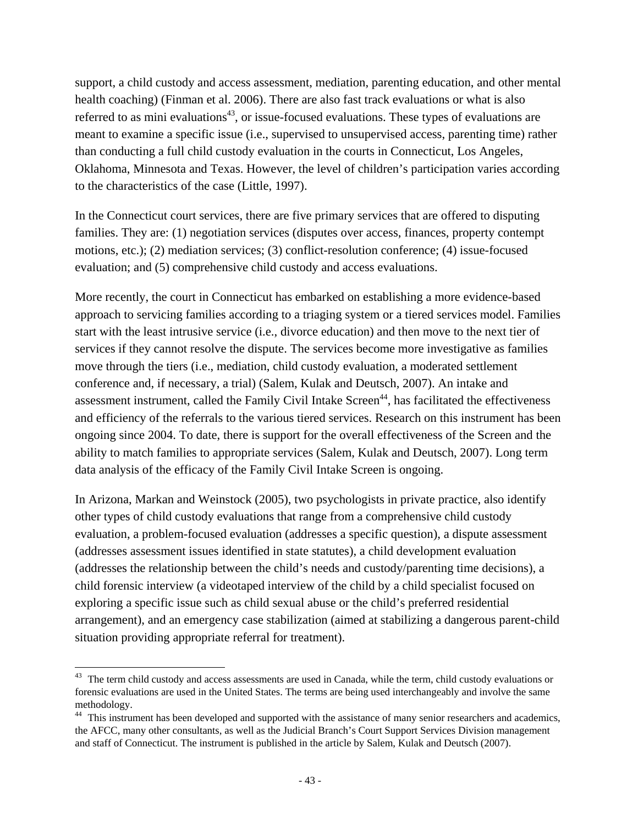support, a child custody and access assessment, mediation, parenting education, and other mental health coaching) (Finman et al. 2006). There are also fast track evaluations or what is also referred to as mini evaluations<sup>43</sup>, or issue-focused evaluations. These types of evaluations are meant to examine a specific issue (i.e., supervised to unsupervised access, parenting time) rather than conducting a full child custody evaluation in the courts in Connecticut, Los Angeles, Oklahoma, Minnesota and Texas. However, the level of children's participation varies according to the characteristics of the case (Little, 1997).

In the Connecticut court services, there are five primary services that are offered to disputing families. They are: (1) negotiation services (disputes over access, finances, property contempt motions, etc.); (2) mediation services; (3) conflict-resolution conference; (4) issue-focused evaluation; and (5) comprehensive child custody and access evaluations.

More recently, the court in Connecticut has embarked on establishing a more evidence-based approach to servicing families according to a triaging system or a tiered services model. Families start with the least intrusive service (i.e., divorce education) and then move to the next tier of services if they cannot resolve the dispute. The services become more investigative as families move through the tiers (i.e., mediation, child custody evaluation, a moderated settlement conference and, if necessary, a trial) (Salem, Kulak and Deutsch, 2007). An intake and assessment instrument, called the Family Civil Intake Screen<sup>44</sup>, has facilitated the effectiveness and efficiency of the referrals to the various tiered services. Research on this instrument has been ongoing since 2004. To date, there is support for the overall effectiveness of the Screen and the ability to match families to appropriate services (Salem, Kulak and Deutsch, 2007). Long term data analysis of the efficacy of the Family Civil Intake Screen is ongoing.

In Arizona, Markan and Weinstock (2005), two psychologists in private practice, also identify other types of child custody evaluations that range from a comprehensive child custody evaluation, a problem-focused evaluation (addresses a specific question), a dispute assessment (addresses assessment issues identified in state statutes), a child development evaluation (addresses the relationship between the child's needs and custody/parenting time decisions), a child forensic interview (a videotaped interview of the child by a child specialist focused on exploring a specific issue such as child sexual abuse or the child's preferred residential arrangement), and an emergency case stabilization (aimed at stabilizing a dangerous parent-child situation providing appropriate referral for treatment).

 $43$  The term child custody and access assessments are used in Canada, while the term, child custody evaluations or forensic evaluations are used in the United States. The terms are being used interchangeably and involve the same methodology.

<sup>&</sup>lt;sup>44</sup> This instrument has been developed and supported with the assistance of many senior researchers and academics, the AFCC, many other consultants, as well as the Judicial Branch's Court Support Services Division management and staff of Connecticut. The instrument is published in the article by Salem, Kulak and Deutsch (2007).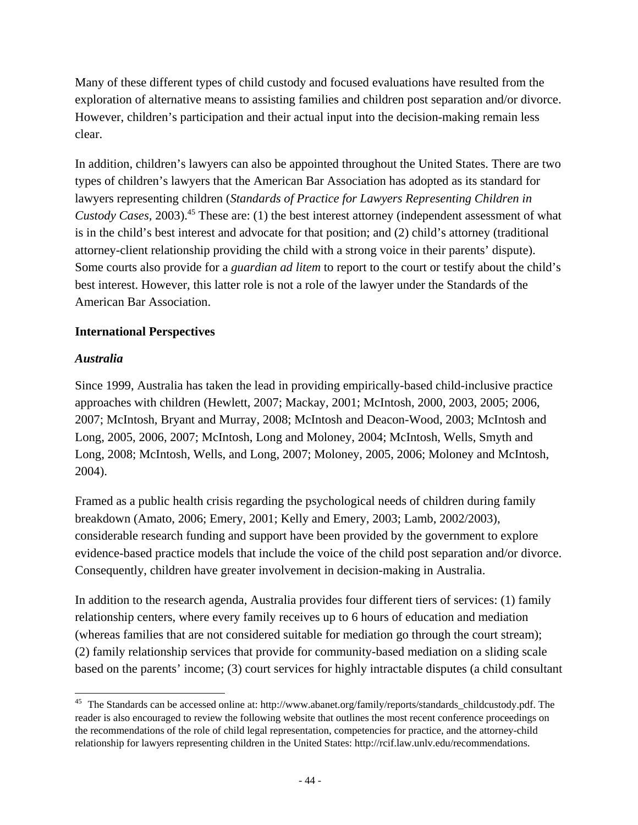Many of these different types of child custody and focused evaluations have resulted from the exploration of alternative means to assisting families and children post separation and/or divorce. However, children's participation and their actual input into the decision-making remain less clear.

In addition, children's lawyers can also be appointed throughout the United States. There are two types of children's lawyers that the American Bar Association has adopted as its standard for lawyers representing children (*Standards of Practice for Lawyers Representing Children in Custody Cases,* 2003).<sup>45</sup> These are: (1) the best interest attorney (independent assessment of what is in the child's best interest and advocate for that position; and (2) child's attorney (traditional attorney-client relationship providing the child with a strong voice in their parents' dispute). Some courts also provide for a *guardian ad litem* to report to the court or testify about the child's best interest. However, this latter role is not a role of the lawyer under the Standards of the American Bar Association.

#### **International Perspectives**

### *Australia*

Since 1999, Australia has taken the lead in providing empirically-based child-inclusive practice approaches with children (Hewlett, 2007; Mackay, 2001; McIntosh, 2000, 2003, 2005; 2006, 2007; McIntosh, Bryant and Murray, 2008; McIntosh and Deacon-Wood, 2003; McIntosh and Long, 2005, 2006, 2007; McIntosh, Long and Moloney, 2004; McIntosh, Wells, Smyth and Long, 2008; McIntosh, Wells, and Long, 2007; Moloney, 2005, 2006; Moloney and McIntosh, 2004).

Framed as a public health crisis regarding the psychological needs of children during family breakdown (Amato, 2006; Emery, 2001; Kelly and Emery, 2003; Lamb, 2002/2003), considerable research funding and support have been provided by the government to explore evidence-based practice models that include the voice of the child post separation and/or divorce. Consequently, children have greater involvement in decision-making in Australia.

In addition to the research agenda, Australia provides four different tiers of services: (1) family relationship centers, where every family receives up to 6 hours of education and mediation (whereas families that are not considered suitable for mediation go through the court stream); (2) family relationship services that provide for community-based mediation on a sliding scale based on the parents' income; (3) court services for highly intractable disputes (a child consultant

<sup>45</sup> The Standards can be accessed online at: http://www.abanet.org/family/reports/standards\_childcustody.pdf. The reader is also encouraged to review the following website that outlines the most recent conference proceedings on the recommendations of the role of child legal representation, competencies for practice, and the attorney-child relationship for lawyers representing children in the United States: http://rcif.law.unlv.edu/recommendations.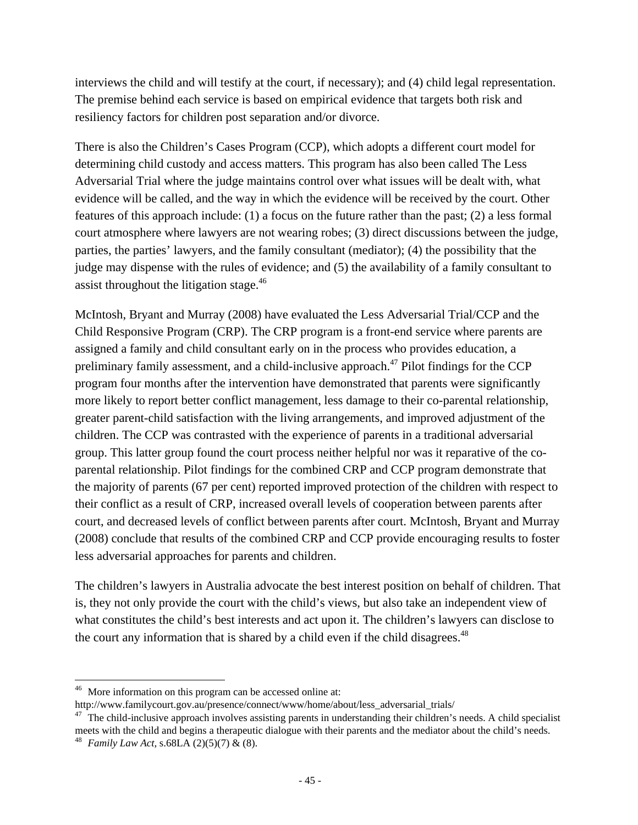interviews the child and will testify at the court, if necessary); and (4) child legal representation. The premise behind each service is based on empirical evidence that targets both risk and resiliency factors for children post separation and/or divorce.

There is also the Children's Cases Program (CCP), which adopts a different court model for determining child custody and access matters. This program has also been called The Less Adversarial Trial where the judge maintains control over what issues will be dealt with, what evidence will be called, and the way in which the evidence will be received by the court. Other features of this approach include: (1) a focus on the future rather than the past; (2) a less formal court atmosphere where lawyers are not wearing robes; (3) direct discussions between the judge, parties, the parties' lawyers, and the family consultant (mediator); (4) the possibility that the judge may dispense with the rules of evidence; and (5) the availability of a family consultant to assist throughout the litigation stage.<sup>46</sup>

McIntosh, Bryant and Murray (2008) have evaluated the Less Adversarial Trial/CCP and the Child Responsive Program (CRP). The CRP program is a front-end service where parents are assigned a family and child consultant early on in the process who provides education, a preliminary family assessment, and a child-inclusive approach.<sup>47</sup> Pilot findings for the CCP program four months after the intervention have demonstrated that parents were significantly more likely to report better conflict management, less damage to their co-parental relationship, greater parent-child satisfaction with the living arrangements, and improved adjustment of the children. The CCP was contrasted with the experience of parents in a traditional adversarial group. This latter group found the court process neither helpful nor was it reparative of the coparental relationship. Pilot findings for the combined CRP and CCP program demonstrate that the majority of parents (67 per cent) reported improved protection of the children with respect to their conflict as a result of CRP, increased overall levels of cooperation between parents after court, and decreased levels of conflict between parents after court. McIntosh, Bryant and Murray (2008) conclude that results of the combined CRP and CCP provide encouraging results to foster less adversarial approaches for parents and children.

The children's lawyers in Australia advocate the best interest position on behalf of children. That is, they not only provide the court with the child's views, but also take an independent view of what constitutes the child's best interests and act upon it. The children's lawyers can disclose to the court any information that is shared by a child even if the child disagrees.<sup>48</sup>

<sup>&</sup>lt;sup>46</sup> More information on this program can be accessed online at:

http://www.familycourt.gov.au/presence/connect/www/home/about/less\_adversarial\_trials/ 47 The child-inclusive approach involves assisting parents in understanding their children's needs. A child specialist meets with the child and begins a therapeutic dialogue with their parents and the mediator about the child's needs. 48 *Family Law Act,* s.68LA (2)(5)(7) & (8).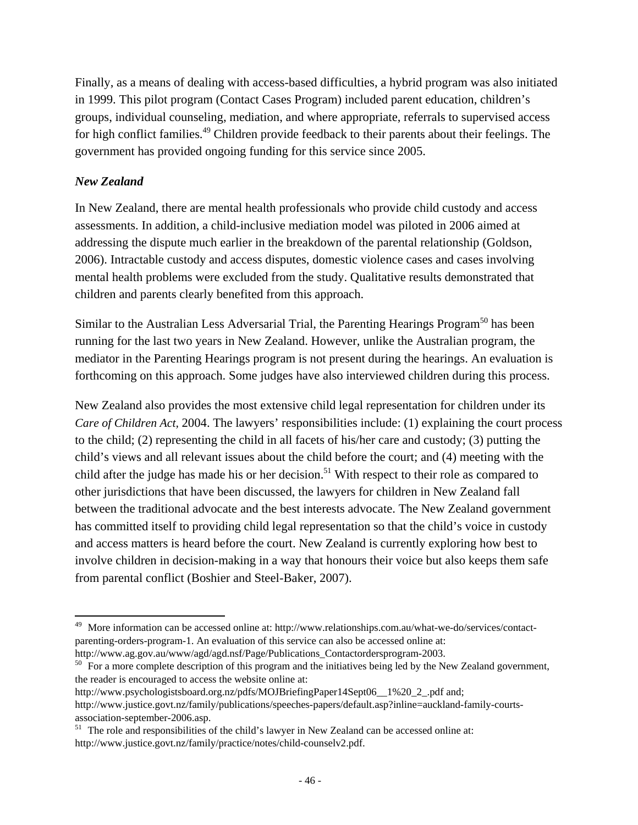Finally, as a means of dealing with access-based difficulties, a hybrid program was also initiated in 1999. This pilot program (Contact Cases Program) included parent education, children's groups, individual counseling, mediation, and where appropriate, referrals to supervised access for high conflict families.<sup>49</sup> Children provide feedback to their parents about their feelings. The government has provided ongoing funding for this service since 2005.

### *New Zealand*

In New Zealand, there are mental health professionals who provide child custody and access assessments. In addition, a child-inclusive mediation model was piloted in 2006 aimed at addressing the dispute much earlier in the breakdown of the parental relationship (Goldson, 2006). Intractable custody and access disputes, domestic violence cases and cases involving mental health problems were excluded from the study. Qualitative results demonstrated that children and parents clearly benefited from this approach.

Similar to the Australian Less Adversarial Trial, the Parenting Hearings Program<sup>50</sup> has been running for the last two years in New Zealand. However, unlike the Australian program, the mediator in the Parenting Hearings program is not present during the hearings. An evaluation is forthcoming on this approach. Some judges have also interviewed children during this process.

New Zealand also provides the most extensive child legal representation for children under its *Care of Children Act, 2004.* The lawyers' responsibilities include: (1) explaining the court process to the child; (2) representing the child in all facets of his/her care and custody; (3) putting the child's views and all relevant issues about the child before the court; and (4) meeting with the child after the judge has made his or her decision.<sup>51</sup> With respect to their role as compared to other jurisdictions that have been discussed, the lawyers for children in New Zealand fall between the traditional advocate and the best interests advocate. The New Zealand government has committed itself to providing child legal representation so that the child's voice in custody and access matters is heard before the court. New Zealand is currently exploring how best to involve children in decision-making in a way that honours their voice but also keeps them safe from parental conflict (Boshier and Steel-Baker, 2007).

 More information can be accessed online at: http://www.relationships.com.au/what-we-do/services/contactparenting-orders-program-1. An evaluation of this service can also be accessed online at:

http://www.ag.gov.au/www/agd/agd.nsf/Page/Publications\_Contactordersprogram-2003.<br><sup>50</sup> For a more complete description of this program and the initiatives being led by the New Zealand government, the reader is encouraged to access the website online at:

http://www.psychologistsboard.org.nz/pdfs/MOJBriefingPaper14Sept06\_\_1%20\_2\_.pdf and; http://www.justice.govt.nz/family/publications/speeches-papers/default.asp?inline=auckland-family-courtsassociation-september-2006.asp.

<sup>&</sup>lt;sup>51</sup> The role and responsibilities of the child's lawyer in New Zealand can be accessed online at: http://www.justice.govt.nz/family/practice/notes/child-counselv2.pdf.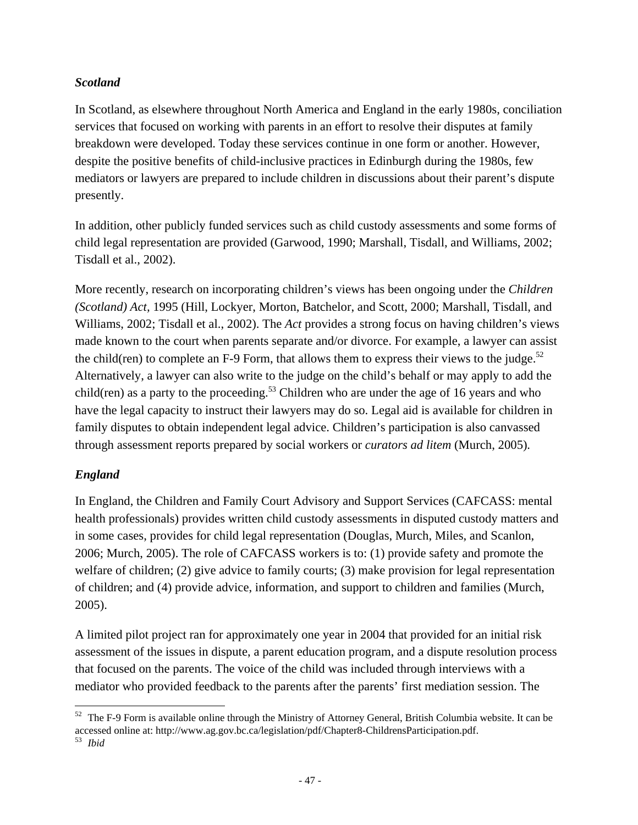### *Scotland*

In Scotland, as elsewhere throughout North America and England in the early 1980s, conciliation services that focused on working with parents in an effort to resolve their disputes at family breakdown were developed. Today these services continue in one form or another. However, despite the positive benefits of child-inclusive practices in Edinburgh during the 1980s, few mediators or lawyers are prepared to include children in discussions about their parent's dispute presently.

In addition, other publicly funded services such as child custody assessments and some forms of child legal representation are provided (Garwood, 1990; Marshall, Tisdall, and Williams, 2002; Tisdall et al., 2002).

More recently, research on incorporating children's views has been ongoing under the *Children (Scotland) Act,* 1995 (Hill, Lockyer, Morton, Batchelor, and Scott, 2000; Marshall, Tisdall, and Williams, 2002; Tisdall et al., 2002). The *Act* provides a strong focus on having children's views made known to the court when parents separate and/or divorce. For example, a lawyer can assist the child(ren) to complete an F-9 Form, that allows them to express their views to the judge.<sup>52</sup> Alternatively, a lawyer can also write to the judge on the child's behalf or may apply to add the child(ren) as a party to the proceeding.<sup>53</sup> Children who are under the age of 16 years and who have the legal capacity to instruct their lawyers may do so. Legal aid is available for children in family disputes to obtain independent legal advice. Children's participation is also canvassed through assessment reports prepared by social workers or *curators ad litem* (Murch, 2005)*.*

### *England*

In England, the Children and Family Court Advisory and Support Services (CAFCASS: mental health professionals) provides written child custody assessments in disputed custody matters and in some cases, provides for child legal representation (Douglas, Murch, Miles, and Scanlon, 2006; Murch, 2005). The role of CAFCASS workers is to: (1) provide safety and promote the welfare of children; (2) give advice to family courts; (3) make provision for legal representation of children; and (4) provide advice, information, and support to children and families (Murch, 2005).

A limited pilot project ran for approximately one year in 2004 that provided for an initial risk assessment of the issues in dispute, a parent education program, and a dispute resolution process that focused on the parents. The voice of the child was included through interviews with a mediator who provided feedback to the parents after the parents' first mediation session. The

  $52$  The F-9 Form is available online through the Ministry of Attorney General, British Columbia website. It can be accessed online at: http://www.ag.gov.bc.ca/legislation/pdf/Chapter8-ChildrensParticipation.pdf. 53 *Ibid*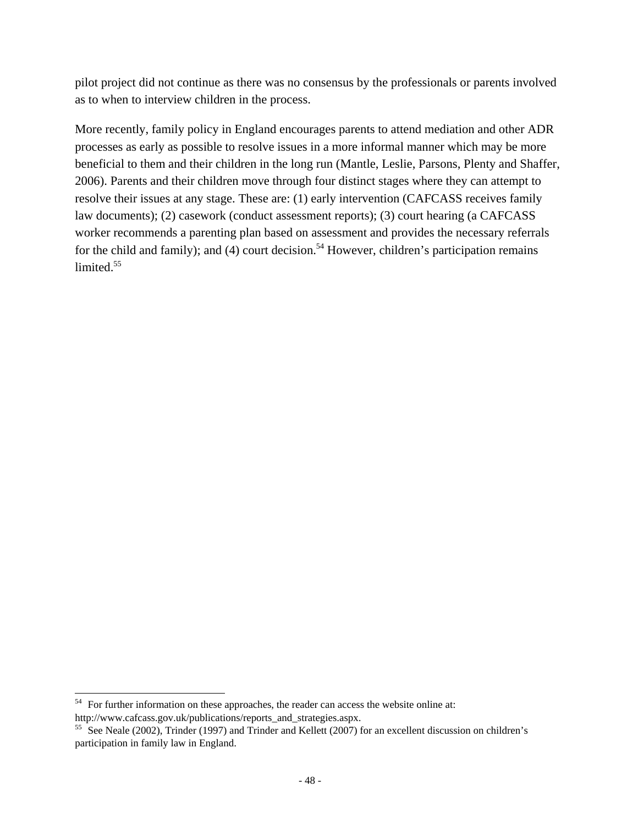pilot project did not continue as there was no consensus by the professionals or parents involved as to when to interview children in the process.

More recently, family policy in England encourages parents to attend mediation and other ADR processes as early as possible to resolve issues in a more informal manner which may be more beneficial to them and their children in the long run (Mantle, Leslie, Parsons, Plenty and Shaffer, 2006). Parents and their children move through four distinct stages where they can attempt to resolve their issues at any stage. These are: (1) early intervention (CAFCASS receives family law documents); (2) casework (conduct assessment reports); (3) court hearing (a CAFCASS worker recommends a parenting plan based on assessment and provides the necessary referrals for the child and family); and (4) court decision.<sup>54</sup> However, children's participation remains limited.<sup>55</sup>

 $54$  For further information on these approaches, the reader can access the website online at: http://www.cafcass.gov.uk/publications/reports\_and\_strategies.aspx.<br><sup>55</sup> See Neale (2002), Trinder (1997) and Trinder and Kellett (2007) for an excellent discussion on children's

participation in family law in England.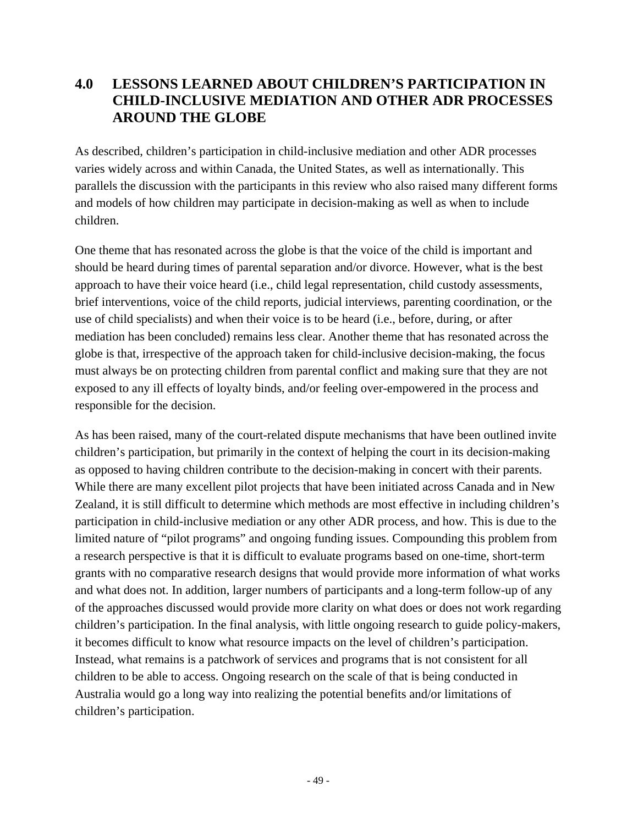# **4.0 LESSONS LEARNED ABOUT CHILDREN'S PARTICIPATION IN CHILD-INCLUSIVE MEDIATION AND OTHER ADR PROCESSES AROUND THE GLOBE**

As described, children's participation in child-inclusive mediation and other ADR processes varies widely across and within Canada, the United States, as well as internationally. This parallels the discussion with the participants in this review who also raised many different forms and models of how children may participate in decision-making as well as when to include children.

One theme that has resonated across the globe is that the voice of the child is important and should be heard during times of parental separation and/or divorce. However, what is the best approach to have their voice heard (i.e., child legal representation, child custody assessments, brief interventions, voice of the child reports, judicial interviews, parenting coordination, or the use of child specialists) and when their voice is to be heard (i.e., before, during, or after mediation has been concluded) remains less clear. Another theme that has resonated across the globe is that, irrespective of the approach taken for child-inclusive decision-making, the focus must always be on protecting children from parental conflict and making sure that they are not exposed to any ill effects of loyalty binds, and/or feeling over-empowered in the process and responsible for the decision.

As has been raised, many of the court-related dispute mechanisms that have been outlined invite children's participation, but primarily in the context of helping the court in its decision-making as opposed to having children contribute to the decision-making in concert with their parents. While there are many excellent pilot projects that have been initiated across Canada and in New Zealand, it is still difficult to determine which methods are most effective in including children's participation in child-inclusive mediation or any other ADR process, and how. This is due to the limited nature of "pilot programs" and ongoing funding issues. Compounding this problem from a research perspective is that it is difficult to evaluate programs based on one-time, short-term grants with no comparative research designs that would provide more information of what works and what does not. In addition, larger numbers of participants and a long-term follow-up of any of the approaches discussed would provide more clarity on what does or does not work regarding children's participation. In the final analysis, with little ongoing research to guide policy-makers, it becomes difficult to know what resource impacts on the level of children's participation. Instead, what remains is a patchwork of services and programs that is not consistent for all children to be able to access. Ongoing research on the scale of that is being conducted in Australia would go a long way into realizing the potential benefits and/or limitations of children's participation.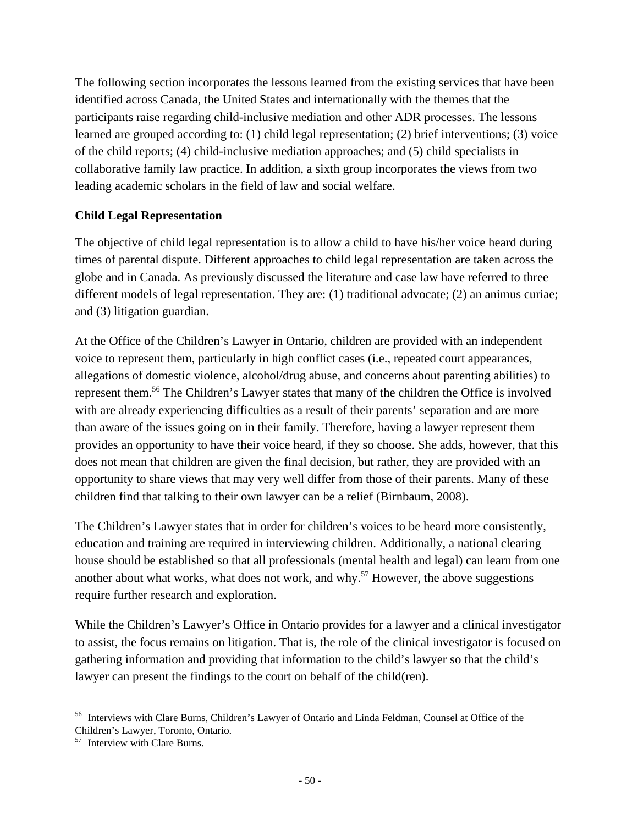The following section incorporates the lessons learned from the existing services that have been identified across Canada, the United States and internationally with the themes that the participants raise regarding child-inclusive mediation and other ADR processes. The lessons learned are grouped according to: (1) child legal representation; (2) brief interventions; (3) voice of the child reports; (4) child-inclusive mediation approaches; and (5) child specialists in collaborative family law practice. In addition, a sixth group incorporates the views from two leading academic scholars in the field of law and social welfare.

### **Child Legal Representation**

The objective of child legal representation is to allow a child to have his/her voice heard during times of parental dispute. Different approaches to child legal representation are taken across the globe and in Canada. As previously discussed the literature and case law have referred to three different models of legal representation. They are: (1) traditional advocate; (2) an animus curiae; and (3) litigation guardian.

At the Office of the Children's Lawyer in Ontario, children are provided with an independent voice to represent them, particularly in high conflict cases (i.e., repeated court appearances, allegations of domestic violence, alcohol/drug abuse, and concerns about parenting abilities) to represent them.56 The Children's Lawyer states that many of the children the Office is involved with are already experiencing difficulties as a result of their parents' separation and are more than aware of the issues going on in their family. Therefore, having a lawyer represent them provides an opportunity to have their voice heard, if they so choose. She adds, however, that this does not mean that children are given the final decision, but rather, they are provided with an opportunity to share views that may very well differ from those of their parents. Many of these children find that talking to their own lawyer can be a relief (Birnbaum, 2008).

The Children's Lawyer states that in order for children's voices to be heard more consistently, education and training are required in interviewing children. Additionally, a national clearing house should be established so that all professionals (mental health and legal) can learn from one another about what works, what does not work, and why.<sup>57</sup> However, the above suggestions require further research and exploration.

While the Children's Lawyer's Office in Ontario provides for a lawyer and a clinical investigator to assist, the focus remains on litigation. That is, the role of the clinical investigator is focused on gathering information and providing that information to the child's lawyer so that the child's lawyer can present the findings to the court on behalf of the child(ren).

 56 Interviews with Clare Burns, Children's Lawyer of Ontario and Linda Feldman, Counsel at Office of the Children's Lawyer, Toronto, Ontario.

<sup>57</sup> Interview with Clare Burns.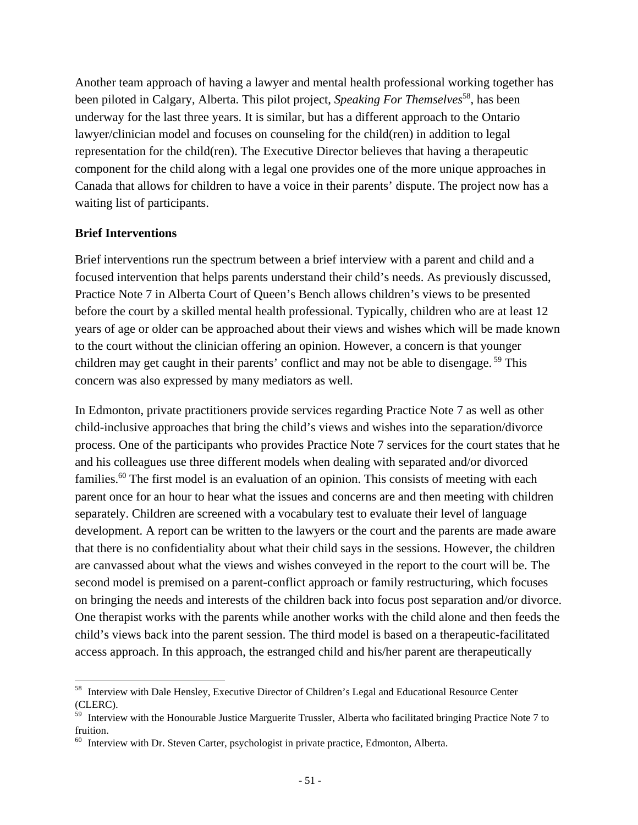Another team approach of having a lawyer and mental health professional working together has been piloted in Calgary, Alberta. This pilot project, *Speaking For Themselves*<sup>58</sup>, has been underway for the last three years. It is similar, but has a different approach to the Ontario lawyer/clinician model and focuses on counseling for the child(ren) in addition to legal representation for the child(ren). The Executive Director believes that having a therapeutic component for the child along with a legal one provides one of the more unique approaches in Canada that allows for children to have a voice in their parents' dispute. The project now has a waiting list of participants.

#### **Brief Interventions**

Brief interventions run the spectrum between a brief interview with a parent and child and a focused intervention that helps parents understand their child's needs. As previously discussed, Practice Note 7 in Alberta Court of Queen's Bench allows children's views to be presented before the court by a skilled mental health professional. Typically, children who are at least 12 years of age or older can be approached about their views and wishes which will be made known to the court without the clinician offering an opinion. However, a concern is that younger children may get caught in their parents' conflict and may not be able to disengage. 59 This concern was also expressed by many mediators as well.

In Edmonton, private practitioners provide services regarding Practice Note 7 as well as other child-inclusive approaches that bring the child's views and wishes into the separation/divorce process. One of the participants who provides Practice Note 7 services for the court states that he and his colleagues use three different models when dealing with separated and/or divorced families.<sup>60</sup> The first model is an evaluation of an opinion. This consists of meeting with each parent once for an hour to hear what the issues and concerns are and then meeting with children separately. Children are screened with a vocabulary test to evaluate their level of language development. A report can be written to the lawyers or the court and the parents are made aware that there is no confidentiality about what their child says in the sessions. However, the children are canvassed about what the views and wishes conveyed in the report to the court will be. The second model is premised on a parent-conflict approach or family restructuring, which focuses on bringing the needs and interests of the children back into focus post separation and/or divorce. One therapist works with the parents while another works with the child alone and then feeds the child's views back into the parent session. The third model is based on a therapeutic-facilitated access approach. In this approach, the estranged child and his/her parent are therapeutically

 <sup>58</sup> Interview with Dale Hensley, Executive Director of Children's Legal and Educational Resource Center (CLERC).

<sup>&</sup>lt;sup>59</sup> Interview with the Honourable Justice Marguerite Trussler, Alberta who facilitated bringing Practice Note 7 to fruition.

 $60$  Interview with Dr. Steven Carter, psychologist in private practice, Edmonton, Alberta.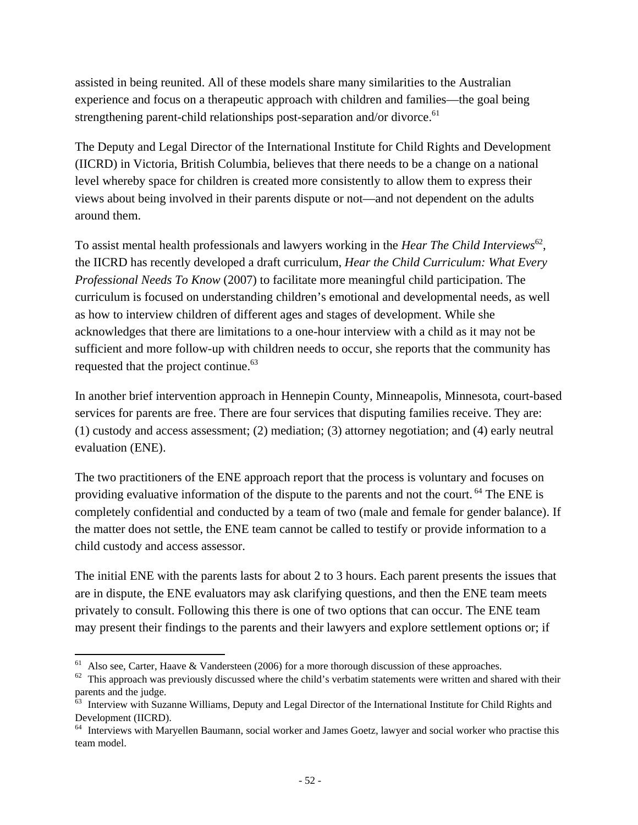assisted in being reunited. All of these models share many similarities to the Australian experience and focus on a therapeutic approach with children and families—the goal being strengthening parent-child relationships post-separation and/or divorce.<sup>61</sup>

The Deputy and Legal Director of the International Institute for Child Rights and Development (IICRD) in Victoria, British Columbia, believes that there needs to be a change on a national level whereby space for children is created more consistently to allow them to express their views about being involved in their parents dispute or not—and not dependent on the adults around them.

To assist mental health professionals and lawyers working in the *Hear The Child Interviews*62, the IICRD has recently developed a draft curriculum, *Hear the Child Curriculum: What Every Professional Needs To Know* (2007) to facilitate more meaningful child participation. The curriculum is focused on understanding children's emotional and developmental needs, as well as how to interview children of different ages and stages of development. While she acknowledges that there are limitations to a one-hour interview with a child as it may not be sufficient and more follow-up with children needs to occur, she reports that the community has requested that the project continue.<sup>63</sup>

In another brief intervention approach in Hennepin County, Minneapolis, Minnesota, court-based services for parents are free. There are four services that disputing families receive. They are: (1) custody and access assessment; (2) mediation; (3) attorney negotiation; and (4) early neutral evaluation (ENE).

The two practitioners of the ENE approach report that the process is voluntary and focuses on providing evaluative information of the dispute to the parents and not the court. <sup>64</sup> The ENE is completely confidential and conducted by a team of two (male and female for gender balance). If the matter does not settle, the ENE team cannot be called to testify or provide information to a child custody and access assessor.

The initial ENE with the parents lasts for about 2 to 3 hours. Each parent presents the issues that are in dispute, the ENE evaluators may ask clarifying questions, and then the ENE team meets privately to consult. Following this there is one of two options that can occur. The ENE team may present their findings to the parents and their lawyers and explore settlement options or; if

 $<sup>61</sup>$  Also see, Carter, Haave & Vandersteen (2006) for a more thorough discussion of these approaches.</sup>

 $\frac{62}{2}$  This approach was previously discussed where the child's verbatim statements were written and shared with their parents and the judge.

<sup>&</sup>lt;sup>63</sup> Interview with Suzanne Williams, Deputy and Legal Director of the International Institute for Child Rights and Development (IICRD).

<sup>&</sup>lt;sup>64</sup> Interviews with Maryellen Baumann, social worker and James Goetz, lawyer and social worker who practise this team model.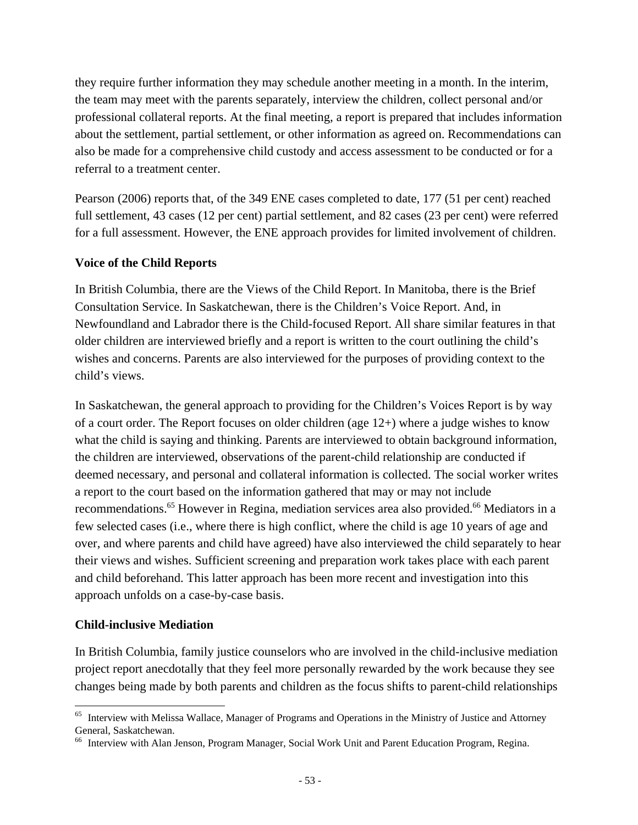they require further information they may schedule another meeting in a month. In the interim, the team may meet with the parents separately, interview the children, collect personal and/or professional collateral reports. At the final meeting, a report is prepared that includes information about the settlement, partial settlement, or other information as agreed on. Recommendations can also be made for a comprehensive child custody and access assessment to be conducted or for a referral to a treatment center.

Pearson (2006) reports that, of the 349 ENE cases completed to date, 177 (51 per cent) reached full settlement, 43 cases (12 per cent) partial settlement, and 82 cases (23 per cent) were referred for a full assessment. However, the ENE approach provides for limited involvement of children.

#### **Voice of the Child Reports**

In British Columbia, there are the Views of the Child Report. In Manitoba, there is the Brief Consultation Service. In Saskatchewan, there is the Children's Voice Report. And, in Newfoundland and Labrador there is the Child-focused Report. All share similar features in that older children are interviewed briefly and a report is written to the court outlining the child's wishes and concerns. Parents are also interviewed for the purposes of providing context to the child's views.

In Saskatchewan, the general approach to providing for the Children's Voices Report is by way of a court order. The Report focuses on older children (age 12+) where a judge wishes to know what the child is saying and thinking. Parents are interviewed to obtain background information, the children are interviewed, observations of the parent-child relationship are conducted if deemed necessary, and personal and collateral information is collected. The social worker writes a report to the court based on the information gathered that may or may not include recommendations.<sup>65</sup> However in Regina, mediation services area also provided.<sup>66</sup> Mediators in a few selected cases (i.e., where there is high conflict, where the child is age 10 years of age and over, and where parents and child have agreed) have also interviewed the child separately to hear their views and wishes. Sufficient screening and preparation work takes place with each parent and child beforehand. This latter approach has been more recent and investigation into this approach unfolds on a case-by-case basis.

#### **Child-inclusive Mediation**

In British Columbia, family justice counselors who are involved in the child-inclusive mediation project report anecdotally that they feel more personally rewarded by the work because they see changes being made by both parents and children as the focus shifts to parent-child relationships

 <sup>65</sup> Interview with Melissa Wallace, Manager of Programs and Operations in the Ministry of Justice and Attorney General, Saskatchewan.

<sup>66</sup> Interview with Alan Jenson, Program Manager, Social Work Unit and Parent Education Program, Regina.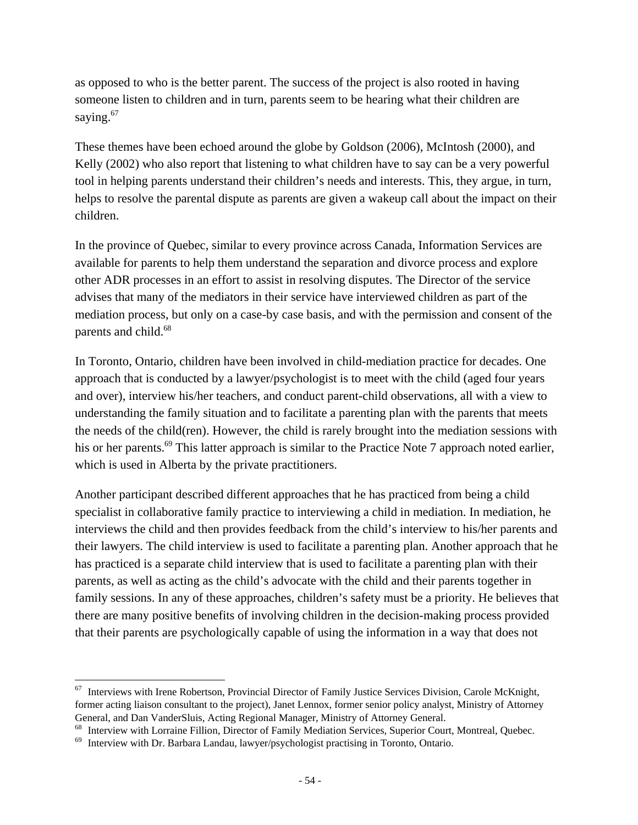as opposed to who is the better parent. The success of the project is also rooted in having someone listen to children and in turn, parents seem to be hearing what their children are saying. $67$ 

These themes have been echoed around the globe by Goldson (2006), McIntosh (2000), and Kelly (2002) who also report that listening to what children have to say can be a very powerful tool in helping parents understand their children's needs and interests. This, they argue, in turn, helps to resolve the parental dispute as parents are given a wakeup call about the impact on their children.

In the province of Quebec, similar to every province across Canada, Information Services are available for parents to help them understand the separation and divorce process and explore other ADR processes in an effort to assist in resolving disputes. The Director of the service advises that many of the mediators in their service have interviewed children as part of the mediation process, but only on a case-by case basis, and with the permission and consent of the parents and child.<sup>68</sup>

In Toronto, Ontario, children have been involved in child-mediation practice for decades. One approach that is conducted by a lawyer/psychologist is to meet with the child (aged four years and over), interview his/her teachers, and conduct parent-child observations, all with a view to understanding the family situation and to facilitate a parenting plan with the parents that meets the needs of the child(ren). However, the child is rarely brought into the mediation sessions with his or her parents.<sup>69</sup> This latter approach is similar to the Practice Note 7 approach noted earlier, which is used in Alberta by the private practitioners.

Another participant described different approaches that he has practiced from being a child specialist in collaborative family practice to interviewing a child in mediation. In mediation, he interviews the child and then provides feedback from the child's interview to his/her parents and their lawyers. The child interview is used to facilitate a parenting plan. Another approach that he has practiced is a separate child interview that is used to facilitate a parenting plan with their parents, as well as acting as the child's advocate with the child and their parents together in family sessions. In any of these approaches, children's safety must be a priority. He believes that there are many positive benefits of involving children in the decision-making process provided that their parents are psychologically capable of using the information in a way that does not

<sup>&</sup>lt;sup>67</sup> Interviews with Irene Robertson, Provincial Director of Family Justice Services Division, Carole McKnight, former acting liaison consultant to the project), Janet Lennox, former senior policy analyst, Ministry of Attorney General, and Dan VanderSluis, Acting Regional Manager, Ministry of Attorney General.

<sup>&</sup>lt;sup>68</sup> Interview with Lorraine Fillion, Director of Family Mediation Services, Superior Court, Montreal, Quebec.<br><sup>69</sup> Interview with Dr. Barbara Landau, lawyer/psychologist practising in Toronto, Ontario.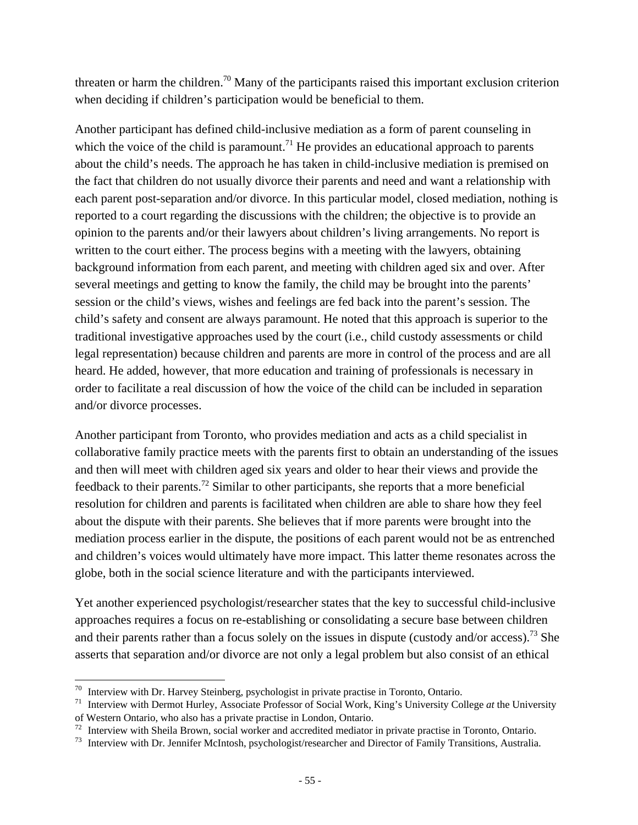threaten or harm the children.<sup>70</sup> Many of the participants raised this important exclusion criterion when deciding if children's participation would be beneficial to them.

Another participant has defined child-inclusive mediation as a form of parent counseling in which the voice of the child is paramount.<sup>71</sup> He provides an educational approach to parents about the child's needs. The approach he has taken in child-inclusive mediation is premised on the fact that children do not usually divorce their parents and need and want a relationship with each parent post-separation and/or divorce. In this particular model, closed mediation, nothing is reported to a court regarding the discussions with the children; the objective is to provide an opinion to the parents and/or their lawyers about children's living arrangements. No report is written to the court either. The process begins with a meeting with the lawyers, obtaining background information from each parent, and meeting with children aged six and over. After several meetings and getting to know the family, the child may be brought into the parents' session or the child's views, wishes and feelings are fed back into the parent's session. The child's safety and consent are always paramount. He noted that this approach is superior to the traditional investigative approaches used by the court (i.e., child custody assessments or child legal representation) because children and parents are more in control of the process and are all heard. He added, however, that more education and training of professionals is necessary in order to facilitate a real discussion of how the voice of the child can be included in separation and/or divorce processes.

Another participant from Toronto, who provides mediation and acts as a child specialist in collaborative family practice meets with the parents first to obtain an understanding of the issues and then will meet with children aged six years and older to hear their views and provide the feedback to their parents.<sup>72</sup> Similar to other participants, she reports that a more beneficial resolution for children and parents is facilitated when children are able to share how they feel about the dispute with their parents. She believes that if more parents were brought into the mediation process earlier in the dispute, the positions of each parent would not be as entrenched and children's voices would ultimately have more impact. This latter theme resonates across the globe, both in the social science literature and with the participants interviewed.

Yet another experienced psychologist/researcher states that the key to successful child-inclusive approaches requires a focus on re-establishing or consolidating a secure base between children and their parents rather than a focus solely on the issues in dispute (custody and/or access).<sup>73</sup> She asserts that separation and/or divorce are not only a legal problem but also consist of an ethical

 $70$  Interview with Dr. Harvey Steinberg, psychologist in private practise in Toronto, Ontario.

<sup>&</sup>lt;sup>71</sup> Interview with Dermot Hurley, Associate Professor of Social Work, King's University College *at* the University of Western Ontario, who also has a private practise in London, Ontario.

<sup>&</sup>lt;sup>72</sup> Interview with Sheila Brown, social worker and accredited mediator in private practise in Toronto, Ontario.  $73$  Interview with Dr. Jennifer McIntosh, psychologist/researcher and Director of Family Transitions, Austr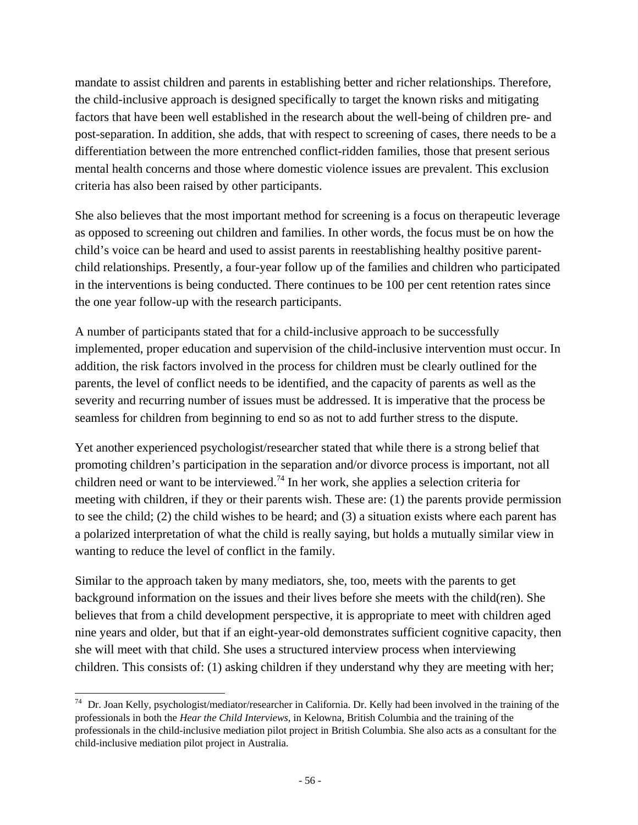mandate to assist children and parents in establishing better and richer relationships. Therefore, the child-inclusive approach is designed specifically to target the known risks and mitigating factors that have been well established in the research about the well-being of children pre- and post-separation. In addition, she adds, that with respect to screening of cases, there needs to be a differentiation between the more entrenched conflict-ridden families, those that present serious mental health concerns and those where domestic violence issues are prevalent. This exclusion criteria has also been raised by other participants.

She also believes that the most important method for screening is a focus on therapeutic leverage as opposed to screening out children and families. In other words, the focus must be on how the child's voice can be heard and used to assist parents in reestablishing healthy positive parentchild relationships. Presently, a four-year follow up of the families and children who participated in the interventions is being conducted. There continues to be 100 per cent retention rates since the one year follow-up with the research participants.

A number of participants stated that for a child-inclusive approach to be successfully implemented, proper education and supervision of the child-inclusive intervention must occur. In addition, the risk factors involved in the process for children must be clearly outlined for the parents, the level of conflict needs to be identified, and the capacity of parents as well as the severity and recurring number of issues must be addressed. It is imperative that the process be seamless for children from beginning to end so as not to add further stress to the dispute.

Yet another experienced psychologist/researcher stated that while there is a strong belief that promoting children's participation in the separation and/or divorce process is important, not all children need or want to be interviewed.<sup>74</sup> In her work, she applies a selection criteria for meeting with children, if they or their parents wish. These are: (1) the parents provide permission to see the child; (2) the child wishes to be heard; and (3) a situation exists where each parent has a polarized interpretation of what the child is really saying, but holds a mutually similar view in wanting to reduce the level of conflict in the family.

Similar to the approach taken by many mediators, she, too, meets with the parents to get background information on the issues and their lives before she meets with the child(ren). She believes that from a child development perspective, it is appropriate to meet with children aged nine years and older, but that if an eight-year-old demonstrates sufficient cognitive capacity, then she will meet with that child. She uses a structured interview process when interviewing children. This consists of: (1) asking children if they understand why they are meeting with her;

 $74$  Dr. Joan Kelly, psychologist/mediator/researcher in California. Dr. Kelly had been involved in the training of the professionals in both the *Hear the Child Interviews*, in Kelowna, British Columbia and the training of the professionals in the child-inclusive mediation pilot project in British Columbia. She also acts as a consultant for the child-inclusive mediation pilot project in Australia.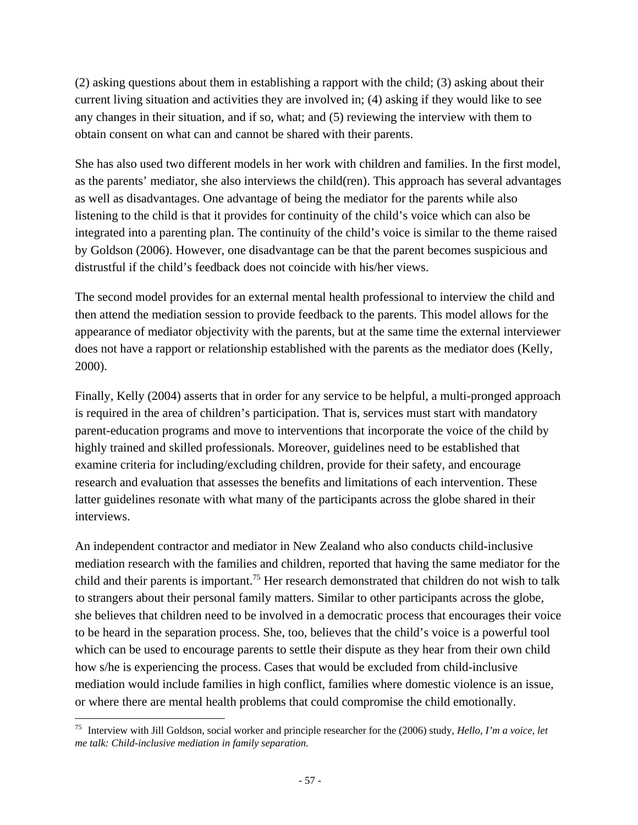(2) asking questions about them in establishing a rapport with the child; (3) asking about their current living situation and activities they are involved in; (4) asking if they would like to see any changes in their situation, and if so, what; and (5) reviewing the interview with them to obtain consent on what can and cannot be shared with their parents.

She has also used two different models in her work with children and families. In the first model, as the parents' mediator, she also interviews the child(ren). This approach has several advantages as well as disadvantages. One advantage of being the mediator for the parents while also listening to the child is that it provides for continuity of the child's voice which can also be integrated into a parenting plan. The continuity of the child's voice is similar to the theme raised by Goldson (2006). However, one disadvantage can be that the parent becomes suspicious and distrustful if the child's feedback does not coincide with his/her views.

The second model provides for an external mental health professional to interview the child and then attend the mediation session to provide feedback to the parents. This model allows for the appearance of mediator objectivity with the parents, but at the same time the external interviewer does not have a rapport or relationship established with the parents as the mediator does (Kelly, 2000).

Finally, Kelly (2004) asserts that in order for any service to be helpful, a multi-pronged approach is required in the area of children's participation. That is, services must start with mandatory parent-education programs and move to interventions that incorporate the voice of the child by highly trained and skilled professionals. Moreover, guidelines need to be established that examine criteria for including/excluding children, provide for their safety, and encourage research and evaluation that assesses the benefits and limitations of each intervention. These latter guidelines resonate with what many of the participants across the globe shared in their interviews.

An independent contractor and mediator in New Zealand who also conducts child-inclusive mediation research with the families and children, reported that having the same mediator for the child and their parents is important.<sup>75</sup> Her research demonstrated that children do not wish to talk to strangers about their personal family matters. Similar to other participants across the globe, she believes that children need to be involved in a democratic process that encourages their voice to be heard in the separation process. She, too, believes that the child's voice is a powerful tool which can be used to encourage parents to settle their dispute as they hear from their own child how s/he is experiencing the process. Cases that would be excluded from child-inclusive mediation would include families in high conflict, families where domestic violence is an issue, or where there are mental health problems that could compromise the child emotionally.

 75 Interview with Jill Goldson, social worker and principle researcher for the (2006) study, *Hello, I'm a voice, let me talk: Child-inclusive mediation in family separation*.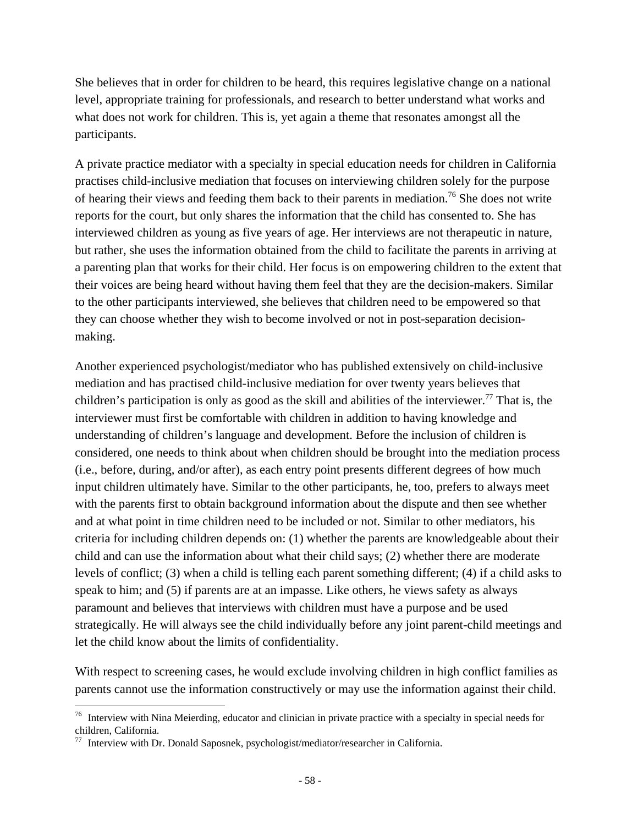She believes that in order for children to be heard, this requires legislative change on a national level, appropriate training for professionals, and research to better understand what works and what does not work for children. This is, yet again a theme that resonates amongst all the participants.

A private practice mediator with a specialty in special education needs for children in California practises child-inclusive mediation that focuses on interviewing children solely for the purpose of hearing their views and feeding them back to their parents in mediation.<sup>76</sup> She does not write reports for the court, but only shares the information that the child has consented to. She has interviewed children as young as five years of age. Her interviews are not therapeutic in nature, but rather, she uses the information obtained from the child to facilitate the parents in arriving at a parenting plan that works for their child. Her focus is on empowering children to the extent that their voices are being heard without having them feel that they are the decision-makers. Similar to the other participants interviewed, she believes that children need to be empowered so that they can choose whether they wish to become involved or not in post-separation decisionmaking.

Another experienced psychologist/mediator who has published extensively on child-inclusive mediation and has practised child-inclusive mediation for over twenty years believes that children's participation is only as good as the skill and abilities of the interviewer.<sup>77</sup> That is, the interviewer must first be comfortable with children in addition to having knowledge and understanding of children's language and development. Before the inclusion of children is considered, one needs to think about when children should be brought into the mediation process (i.e., before, during, and/or after), as each entry point presents different degrees of how much input children ultimately have. Similar to the other participants, he, too, prefers to always meet with the parents first to obtain background information about the dispute and then see whether and at what point in time children need to be included or not. Similar to other mediators, his criteria for including children depends on: (1) whether the parents are knowledgeable about their child and can use the information about what their child says; (2) whether there are moderate levels of conflict; (3) when a child is telling each parent something different; (4) if a child asks to speak to him; and (5) if parents are at an impasse. Like others, he views safety as always paramount and believes that interviews with children must have a purpose and be used strategically. He will always see the child individually before any joint parent-child meetings and let the child know about the limits of confidentiality.

With respect to screening cases, he would exclude involving children in high conflict families as parents cannot use the information constructively or may use the information against their child.

 $76$  Interview with Nina Meierding, educator and clinician in private practice with a specialty in special needs for children, California.

<sup>77</sup> Interview with Dr. Donald Saposnek, psychologist/mediator/researcher in California.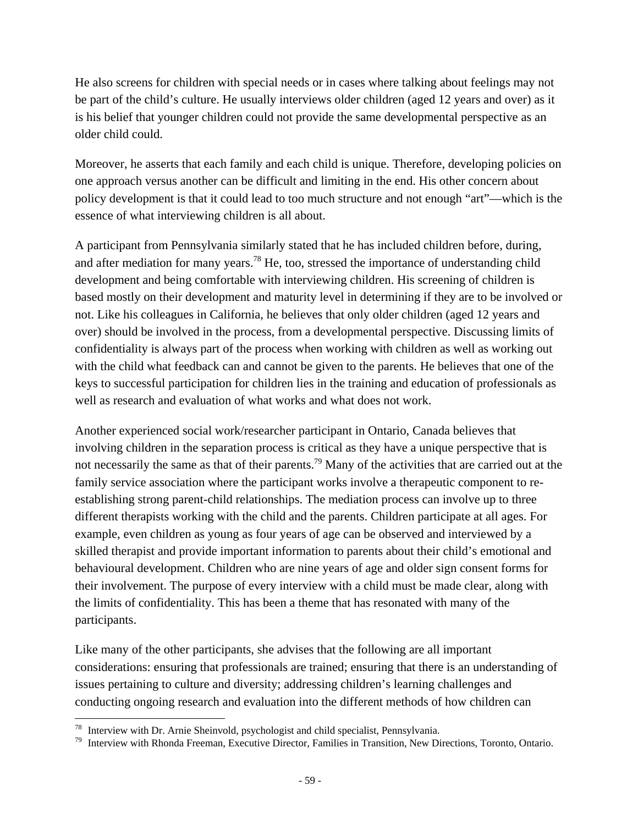He also screens for children with special needs or in cases where talking about feelings may not be part of the child's culture. He usually interviews older children (aged 12 years and over) as it is his belief that younger children could not provide the same developmental perspective as an older child could.

Moreover, he asserts that each family and each child is unique. Therefore, developing policies on one approach versus another can be difficult and limiting in the end. His other concern about policy development is that it could lead to too much structure and not enough "art"—which is the essence of what interviewing children is all about.

A participant from Pennsylvania similarly stated that he has included children before, during, and after mediation for many years.78 He, too, stressed the importance of understanding child development and being comfortable with interviewing children. His screening of children is based mostly on their development and maturity level in determining if they are to be involved or not. Like his colleagues in California, he believes that only older children (aged 12 years and over) should be involved in the process, from a developmental perspective. Discussing limits of confidentiality is always part of the process when working with children as well as working out with the child what feedback can and cannot be given to the parents. He believes that one of the keys to successful participation for children lies in the training and education of professionals as well as research and evaluation of what works and what does not work.

Another experienced social work/researcher participant in Ontario, Canada believes that involving children in the separation process is critical as they have a unique perspective that is not necessarily the same as that of their parents.<sup>79</sup> Many of the activities that are carried out at the family service association where the participant works involve a therapeutic component to reestablishing strong parent-child relationships. The mediation process can involve up to three different therapists working with the child and the parents. Children participate at all ages. For example, even children as young as four years of age can be observed and interviewed by a skilled therapist and provide important information to parents about their child's emotional and behavioural development. Children who are nine years of age and older sign consent forms for their involvement. The purpose of every interview with a child must be made clear, along with the limits of confidentiality. This has been a theme that has resonated with many of the participants.

Like many of the other participants, she advises that the following are all important considerations: ensuring that professionals are trained; ensuring that there is an understanding of issues pertaining to culture and diversity; addressing children's learning challenges and conducting ongoing research and evaluation into the different methods of how children can

<sup>&</sup>lt;sup>78</sup> Interview with Dr. Arnie Sheinvold, psychologist and child specialist, Pennsylvania.<br><sup>79</sup> Interview with Rhonda Freeman, Executive Director, Families in Transition, New Directions, Toronto, Ontario.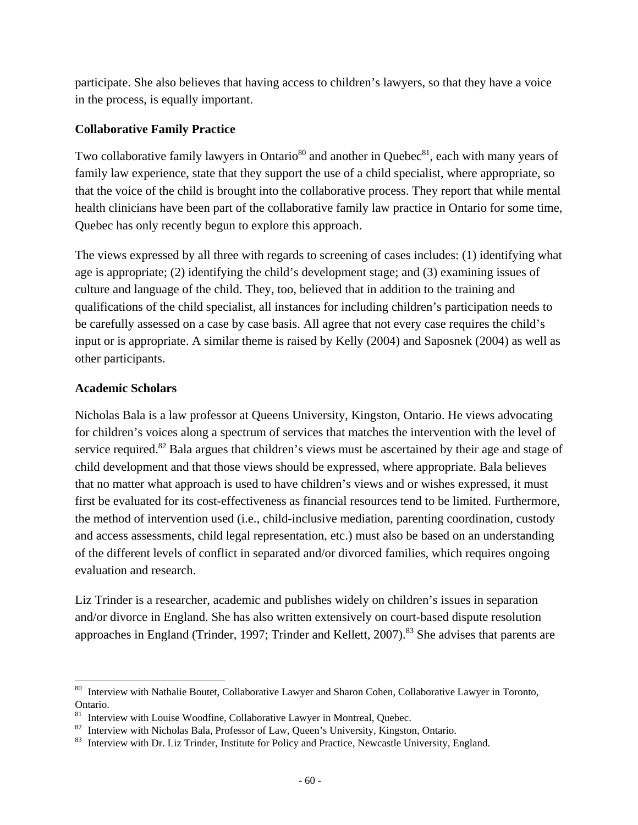participate. She also believes that having access to children's lawyers, so that they have a voice in the process, is equally important.

#### **Collaborative Family Practice**

Two collaborative family lawyers in Ontario<sup>80</sup> and another in Ouebec<sup>81</sup>, each with many years of family law experience, state that they support the use of a child specialist, where appropriate, so that the voice of the child is brought into the collaborative process. They report that while mental health clinicians have been part of the collaborative family law practice in Ontario for some time, Quebec has only recently begun to explore this approach.

The views expressed by all three with regards to screening of cases includes: (1) identifying what age is appropriate; (2) identifying the child's development stage; and (3) examining issues of culture and language of the child. They, too, believed that in addition to the training and qualifications of the child specialist, all instances for including children's participation needs to be carefully assessed on a case by case basis. All agree that not every case requires the child's input or is appropriate. A similar theme is raised by Kelly (2004) and Saposnek (2004) as well as other participants.

### **Academic Scholars**

Nicholas Bala is a law professor at Queens University, Kingston, Ontario. He views advocating for children's voices along a spectrum of services that matches the intervention with the level of service required.<sup>82</sup> Bala argues that children's views must be ascertained by their age and stage of child development and that those views should be expressed, where appropriate. Bala believes that no matter what approach is used to have children's views and or wishes expressed, it must first be evaluated for its cost-effectiveness as financial resources tend to be limited. Furthermore, the method of intervention used (i.e., child-inclusive mediation, parenting coordination, custody and access assessments, child legal representation, etc.) must also be based on an understanding of the different levels of conflict in separated and/or divorced families, which requires ongoing evaluation and research.

Liz Trinder is a researcher, academic and publishes widely on children's issues in separation and/or divorce in England. She has also written extensively on court-based dispute resolution approaches in England (Trinder, 1997; Trinder and Kellett, 2007).<sup>83</sup> She advises that parents are

<sup>&</sup>lt;sup>80</sup> Interview with Nathalie Boutet, Collaborative Lawyer and Sharon Cohen, Collaborative Lawyer in Toronto, Ontario.

 $81$  Interview with Louise Woodfine, Collaborative Lawyer in Montreal, Ouebec.

<sup>&</sup>lt;sup>82</sup> Interview with Nicholas Bala, Professor of Law, Queen's University, Kingston, Ontario.<br><sup>83</sup> Interview with Dr. Liz Trinder, Institute for Policy and Practice, Newcastle University, England.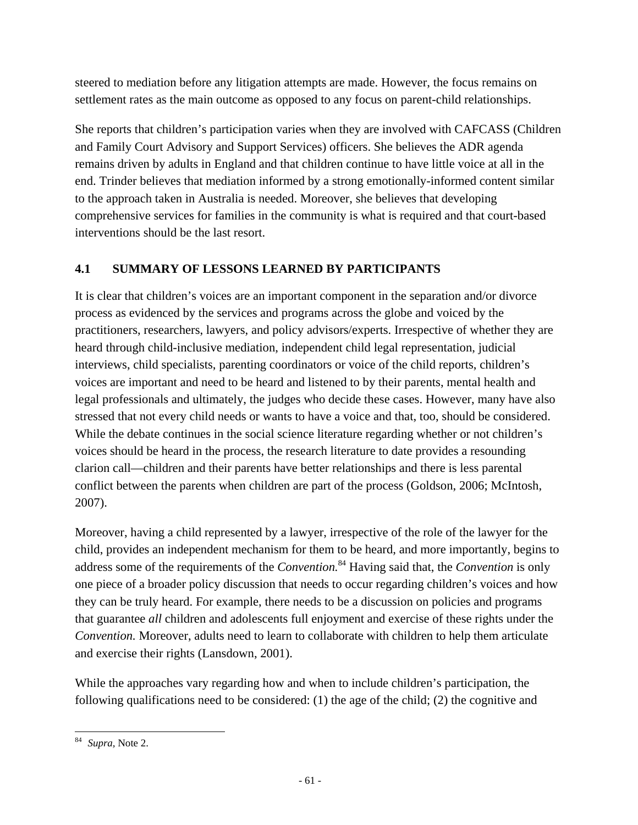steered to mediation before any litigation attempts are made. However, the focus remains on settlement rates as the main outcome as opposed to any focus on parent-child relationships.

She reports that children's participation varies when they are involved with CAFCASS (Children and Family Court Advisory and Support Services) officers. She believes the ADR agenda remains driven by adults in England and that children continue to have little voice at all in the end. Trinder believes that mediation informed by a strong emotionally-informed content similar to the approach taken in Australia is needed. Moreover, she believes that developing comprehensive services for families in the community is what is required and that court-based interventions should be the last resort.

## **4.1 SUMMARY OF LESSONS LEARNED BY PARTICIPANTS**

It is clear that children's voices are an important component in the separation and/or divorce process as evidenced by the services and programs across the globe and voiced by the practitioners, researchers, lawyers, and policy advisors/experts. Irrespective of whether they are heard through child-inclusive mediation, independent child legal representation, judicial interviews, child specialists, parenting coordinators or voice of the child reports, children's voices are important and need to be heard and listened to by their parents, mental health and legal professionals and ultimately, the judges who decide these cases. However, many have also stressed that not every child needs or wants to have a voice and that, too, should be considered. While the debate continues in the social science literature regarding whether or not children's voices should be heard in the process, the research literature to date provides a resounding clarion call—children and their parents have better relationships and there is less parental conflict between the parents when children are part of the process (Goldson, 2006; McIntosh, 2007).

Moreover, having a child represented by a lawyer, irrespective of the role of the lawyer for the child, provides an independent mechanism for them to be heard, and more importantly, begins to address some of the requirements of the *Convention.*84 Having said that, the *Convention* is only one piece of a broader policy discussion that needs to occur regarding children's voices and how they can be truly heard. For example, there needs to be a discussion on policies and programs that guarantee *all* children and adolescents full enjoyment and exercise of these rights under the *Convention.* Moreover, adults need to learn to collaborate with children to help them articulate and exercise their rights (Lansdown, 2001).

While the approaches vary regarding how and when to include children's participation, the following qualifications need to be considered: (1) the age of the child; (2) the cognitive and

 <sup>84</sup> *Supra,* Note 2.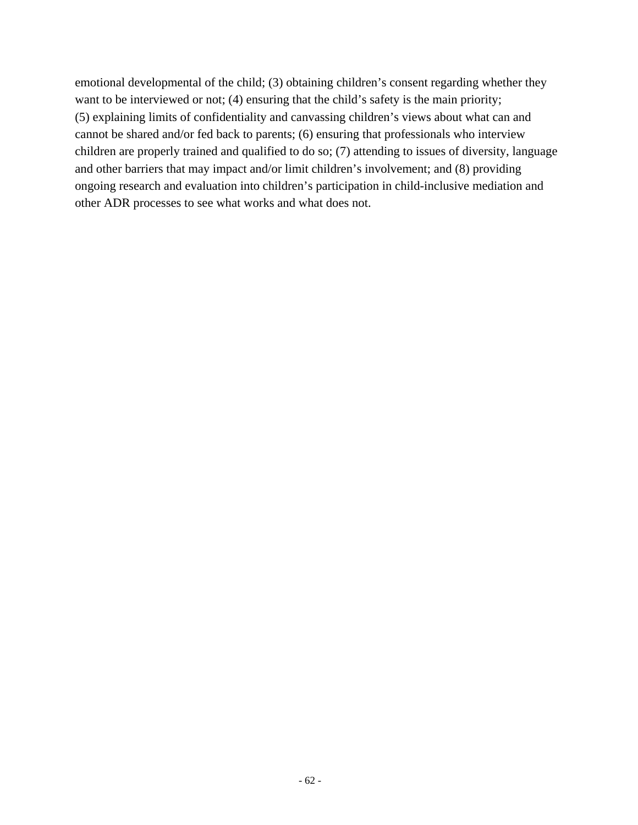emotional developmental of the child; (3) obtaining children's consent regarding whether they want to be interviewed or not; (4) ensuring that the child's safety is the main priority; (5) explaining limits of confidentiality and canvassing children's views about what can and cannot be shared and/or fed back to parents; (6) ensuring that professionals who interview children are properly trained and qualified to do so; (7) attending to issues of diversity, language and other barriers that may impact and/or limit children's involvement; and (8) providing ongoing research and evaluation into children's participation in child-inclusive mediation and other ADR processes to see what works and what does not.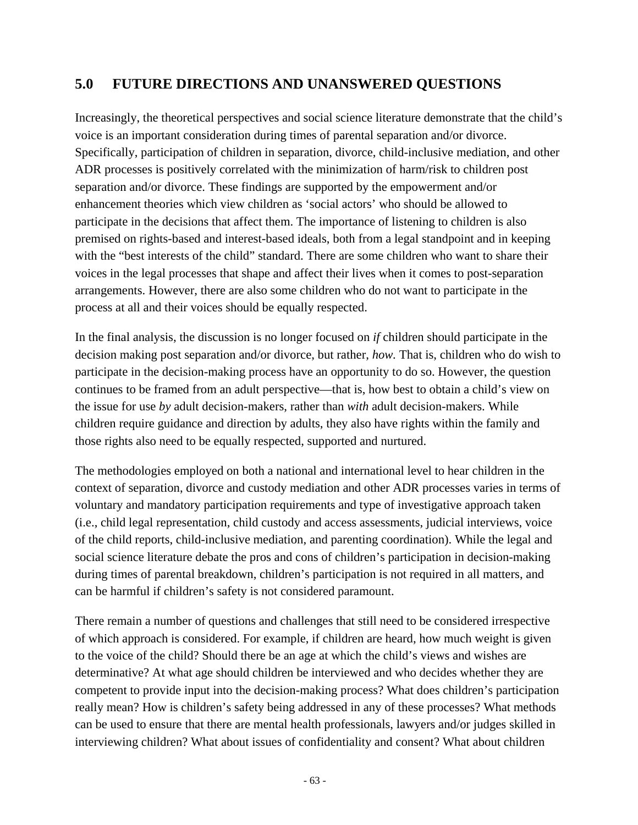# **5.0 FUTURE DIRECTIONS AND UNANSWERED QUESTIONS**

Increasingly, the theoretical perspectives and social science literature demonstrate that the child's voice is an important consideration during times of parental separation and/or divorce. Specifically, participation of children in separation, divorce, child-inclusive mediation, and other ADR processes is positively correlated with the minimization of harm/risk to children post separation and/or divorce. These findings are supported by the empowerment and/or enhancement theories which view children as 'social actors' who should be allowed to participate in the decisions that affect them. The importance of listening to children is also premised on rights-based and interest-based ideals, both from a legal standpoint and in keeping with the "best interests of the child" standard. There are some children who want to share their voices in the legal processes that shape and affect their lives when it comes to post-separation arrangements. However, there are also some children who do not want to participate in the process at all and their voices should be equally respected.

In the final analysis, the discussion is no longer focused on *if* children should participate in the decision making post separation and/or divorce, but rather, *how.* That is, children who do wish to participate in the decision-making process have an opportunity to do so. However, the question continues to be framed from an adult perspective—that is, how best to obtain a child's view on the issue for use *by* adult decision-makers, rather than *with* adult decision-makers. While children require guidance and direction by adults, they also have rights within the family and those rights also need to be equally respected, supported and nurtured.

The methodologies employed on both a national and international level to hear children in the context of separation, divorce and custody mediation and other ADR processes varies in terms of voluntary and mandatory participation requirements and type of investigative approach taken (i.e., child legal representation, child custody and access assessments, judicial interviews, voice of the child reports, child-inclusive mediation, and parenting coordination). While the legal and social science literature debate the pros and cons of children's participation in decision-making during times of parental breakdown, children's participation is not required in all matters, and can be harmful if children's safety is not considered paramount.

There remain a number of questions and challenges that still need to be considered irrespective of which approach is considered. For example, if children are heard, how much weight is given to the voice of the child? Should there be an age at which the child's views and wishes are determinative? At what age should children be interviewed and who decides whether they are competent to provide input into the decision-making process? What does children's participation really mean? How is children's safety being addressed in any of these processes? What methods can be used to ensure that there are mental health professionals, lawyers and/or judges skilled in interviewing children? What about issues of confidentiality and consent? What about children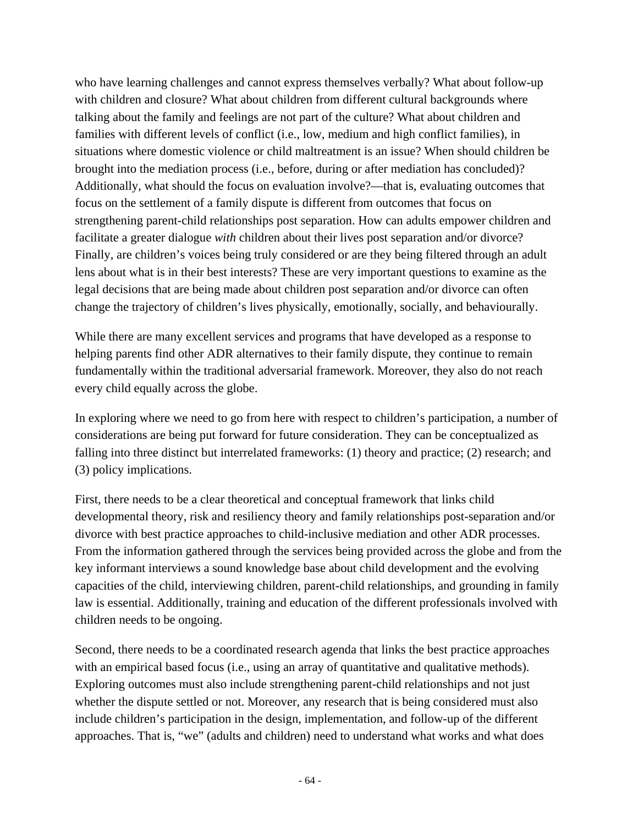who have learning challenges and cannot express themselves verbally? What about follow-up with children and closure? What about children from different cultural backgrounds where talking about the family and feelings are not part of the culture? What about children and families with different levels of conflict (i.e., low, medium and high conflict families), in situations where domestic violence or child maltreatment is an issue? When should children be brought into the mediation process (i.e., before, during or after mediation has concluded)? Additionally, what should the focus on evaluation involve?—that is, evaluating outcomes that focus on the settlement of a family dispute is different from outcomes that focus on strengthening parent-child relationships post separation. How can adults empower children and facilitate a greater dialogue *with* children about their lives post separation and/or divorce? Finally, are children's voices being truly considered or are they being filtered through an adult lens about what is in their best interests? These are very important questions to examine as the legal decisions that are being made about children post separation and/or divorce can often change the trajectory of children's lives physically, emotionally, socially, and behaviourally.

While there are many excellent services and programs that have developed as a response to helping parents find other ADR alternatives to their family dispute, they continue to remain fundamentally within the traditional adversarial framework. Moreover, they also do not reach every child equally across the globe.

In exploring where we need to go from here with respect to children's participation, a number of considerations are being put forward for future consideration. They can be conceptualized as falling into three distinct but interrelated frameworks: (1) theory and practice; (2) research; and (3) policy implications.

First, there needs to be a clear theoretical and conceptual framework that links child developmental theory, risk and resiliency theory and family relationships post-separation and/or divorce with best practice approaches to child-inclusive mediation and other ADR processes. From the information gathered through the services being provided across the globe and from the key informant interviews a sound knowledge base about child development and the evolving capacities of the child, interviewing children, parent-child relationships, and grounding in family law is essential. Additionally, training and education of the different professionals involved with children needs to be ongoing.

Second, there needs to be a coordinated research agenda that links the best practice approaches with an empirical based focus (i.e., using an array of quantitative and qualitative methods). Exploring outcomes must also include strengthening parent-child relationships and not just whether the dispute settled or not. Moreover, any research that is being considered must also include children's participation in the design, implementation, and follow-up of the different approaches. That is, "we" (adults and children) need to understand what works and what does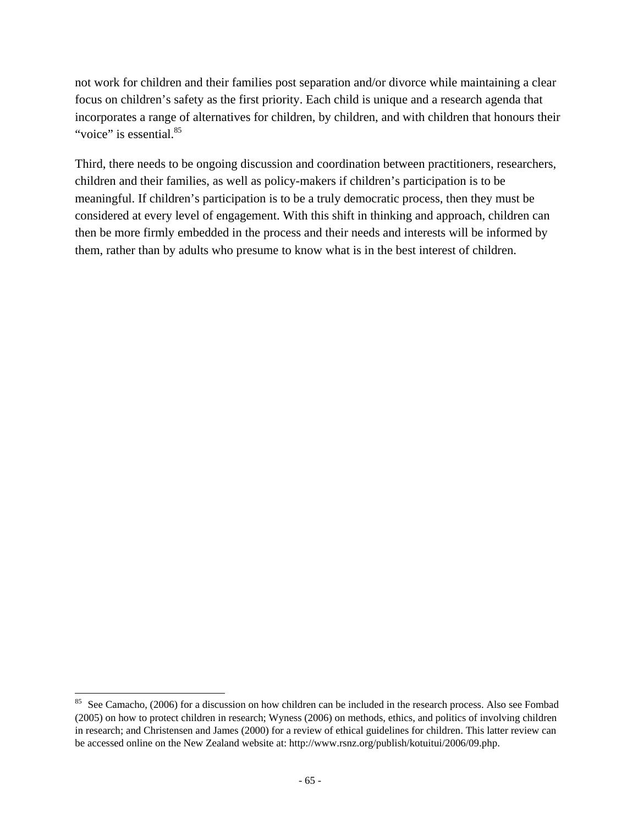not work for children and their families post separation and/or divorce while maintaining a clear focus on children's safety as the first priority. Each child is unique and a research agenda that incorporates a range of alternatives for children, by children, and with children that honours their "voice" is essential.<sup>85</sup>

Third, there needs to be ongoing discussion and coordination between practitioners, researchers, children and their families, as well as policy-makers if children's participation is to be meaningful. If children's participation is to be a truly democratic process, then they must be considered at every level of engagement. With this shift in thinking and approach, children can then be more firmly embedded in the process and their needs and interests will be informed by them, rather than by adults who presume to know what is in the best interest of children.

<sup>&</sup>lt;sup>85</sup> See Camacho, (2006) for a discussion on how children can be included in the research process. Also see Fombad (2005) on how to protect children in research; Wyness (2006) on methods, ethics, and politics of involving children in research; and Christensen and James (2000) for a review of ethical guidelines for children. This latter review can be accessed online on the New Zealand website at: http://www.rsnz.org/publish/kotuitui/2006/09.php.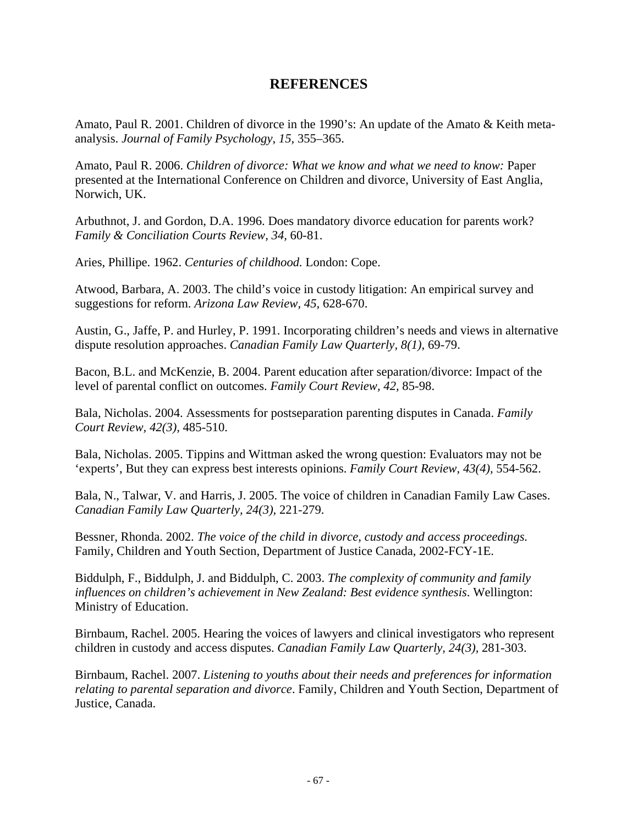## **REFERENCES**

Amato, Paul R. 2001. Children of divorce in the 1990's: An update of the Amato & Keith metaanalysis. *Journal of Family Psychology, 15,* 355–365.

Amato, Paul R. 2006. *Children of divorce: What we know and what we need to know: Paper* presented at the International Conference on Children and divorce, University of East Anglia, Norwich, UK.

Arbuthnot, J. and Gordon, D.A. 1996. Does mandatory divorce education for parents work? *Family & Conciliation Courts Review, 34,* 60-81.

Aries, Phillipe. 1962. *Centuries of childhood.* London: Cope.

Atwood, Barbara, A. 2003. The child's voice in custody litigation: An empirical survey and suggestions for reform. *Arizona Law Review, 45,* 628-670.

Austin, G., Jaffe, P. and Hurley, P. 1991. Incorporating children's needs and views in alternative dispute resolution approaches. *Canadian Family Law Quarterly, 8(1),* 69-79.

Bacon, B.L. and McKenzie, B. 2004. Parent education after separation/divorce: Impact of the level of parental conflict on outcomes. *Family Court Review, 42,* 85-98.

Bala, Nicholas. 2004. Assessments for postseparation parenting disputes in Canada. *Family Court Review, 42(3),* 485-510.

Bala, Nicholas. 2005. Tippins and Wittman asked the wrong question: Evaluators may not be 'experts', But they can express best interests opinions. *Family Court Review, 43(4),* 554-562.

Bala, N., Talwar, V. and Harris, J. 2005. The voice of children in Canadian Family Law Cases. *Canadian Family Law Quarterly, 24(3),* 221-279.

Bessner, Rhonda. 2002. *The voice of the child in divorce, custody and access proceedings.* Family, Children and Youth Section, Department of Justice Canada, 2002-FCY-1E.

Biddulph, F., Biddulph, J. and Biddulph, C. 2003. *The complexity of community and family influences on children's achievement in New Zealand: Best evidence synthesis*. Wellington: Ministry of Education.

Birnbaum, Rachel. 2005. Hearing the voices of lawyers and clinical investigators who represent children in custody and access disputes. *Canadian Family Law Quarterly, 24(3),* 281-303.

Birnbaum, Rachel. 2007. *Listening to youths about their needs and preferences for information relating to parental separation and divorce*. Family, Children and Youth Section, Department of Justice, Canada.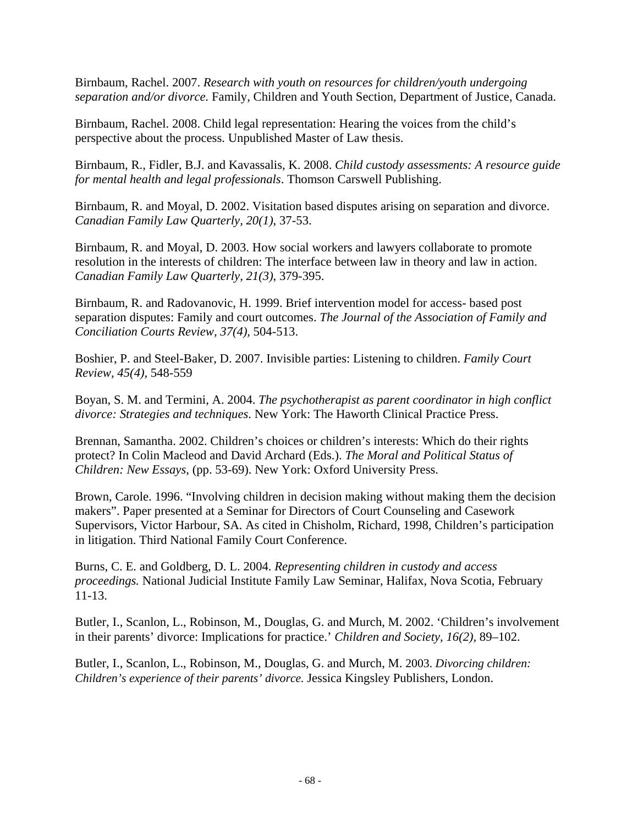Birnbaum, Rachel. 2007. *Research with youth on resources for children/youth undergoing separation and/or divorce.* Family, Children and Youth Section, Department of Justice, Canada.

Birnbaum, Rachel. 2008. Child legal representation: Hearing the voices from the child's perspective about the process. Unpublished Master of Law thesis.

Birnbaum, R., Fidler, B.J. and Kavassalis, K. 2008. *Child custody assessments: A resource guide for mental health and legal professionals*. Thomson Carswell Publishing.

Birnbaum, R. and Moyal, D. 2002. Visitation based disputes arising on separation and divorce. *Canadian Family Law Quarterly, 20(1)*, 37-53.

Birnbaum, R. and Moyal, D. 2003. How social workers and lawyers collaborate to promote resolution in the interests of children: The interface between law in theory and law in action. *Canadian Family Law Quarterly, 21(3)*, 379-395.

Birnbaum, R. and Radovanovic, H. 1999. Brief intervention model for access- based post separation disputes: Family and court outcomes. *The Journal of the Association of Family and Conciliation Courts Review, 37(4),* 504-513.

Boshier, P. and Steel-Baker, D. 2007. Invisible parties: Listening to children. *Family Court Review, 45(4),* 548-559

Boyan, S. M. and Termini, A. 2004. *The psychotherapist as parent coordinator in high conflict divorce: Strategies and techniques*. New York: The Haworth Clinical Practice Press.

Brennan, Samantha. 2002. Children's choices or children's interests: Which do their rights protect? In Colin Macleod and David Archard (Eds.). *The Moral and Political Status of Children: New Essays*, (pp. 53-69). New York: Oxford University Press.

Brown, Carole. 1996. "Involving children in decision making without making them the decision makers". Paper presented at a Seminar for Directors of Court Counseling and Casework Supervisors, Victor Harbour, SA. As cited in Chisholm, Richard, 1998, Children's participation in litigation. Third National Family Court Conference.

Burns, C. E. and Goldberg, D. L. 2004. *Representing children in custody and access proceedings.* National Judicial Institute Family Law Seminar, Halifax, Nova Scotia, February 11-13.

Butler, I., Scanlon, L., Robinson, M., Douglas, G. and Murch, M. 2002. 'Children's involvement in their parents' divorce: Implications for practice.' *Children and Society, 16(2),* 89–102.

Butler, I., Scanlon, L., Robinson, M., Douglas, G. and Murch, M. 2003. *Divorcing children: Children's experience of their parents' divorce.* Jessica Kingsley Publishers, London.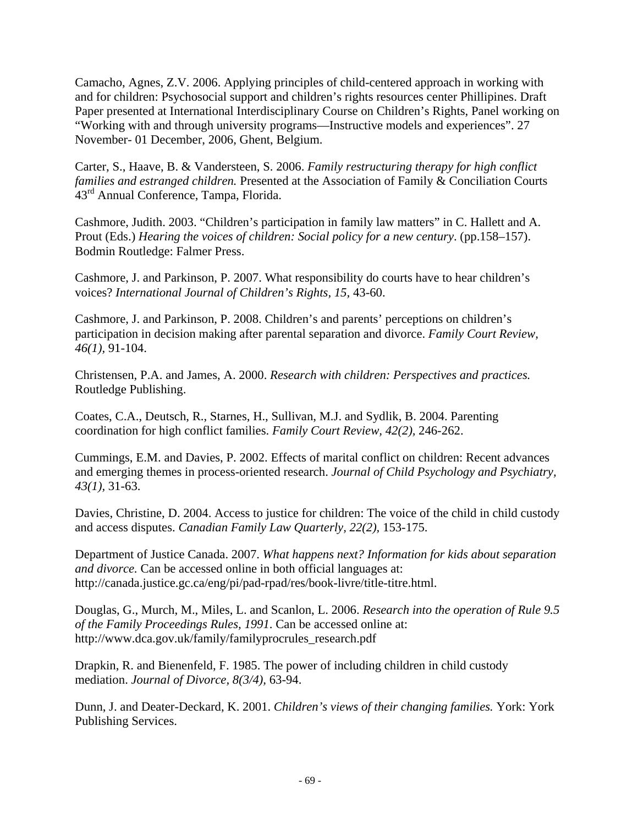Camacho, Agnes, Z.V. 2006. Applying principles of child-centered approach in working with and for children: Psychosocial support and children's rights resources center Phillipines. Draft Paper presented at International Interdisciplinary Course on Children's Rights, Panel working on "Working with and through university programs—Instructive models and experiences". 27 November- 01 December, 2006, Ghent, Belgium.

Carter, S., Haave, B. & Vandersteen, S. 2006. *Family restructuring therapy for high conflict families and estranged children.* Presented at the Association of Family & Conciliation Courts 43<sup>rd</sup> Annual Conference, Tampa, Florida.

Cashmore, Judith. 2003. "Children's participation in family law matters" in C. Hallett and A. Prout (Eds.) *Hearing the voices of children: Social policy for a new century*. (pp.158–157). Bodmin Routledge: Falmer Press.

Cashmore, J. and Parkinson, P. 2007. What responsibility do courts have to hear children's voices? *International Journal of Children's Rights, 15,* 43-60.

Cashmore, J. and Parkinson, P. 2008. Children's and parents' perceptions on children's participation in decision making after parental separation and divorce. *Family Court Review, 46(1),* 91-104.

Christensen, P.A. and James, A. 2000. *Research with children: Perspectives and practices.*  Routledge Publishing.

Coates, C.A., Deutsch, R., Starnes, H., Sullivan, M.J. and Sydlik, B. 2004. Parenting coordination for high conflict families. *Family Court Review, 42(2),* 246-262.

Cummings, E.M. and Davies, P. 2002. Effects of marital conflict on children: Recent advances and emerging themes in process-oriented research. *Journal of Child Psychology and Psychiatry, 43(1),* 31-63.

Davies, Christine, D. 2004. Access to justice for children: The voice of the child in child custody and access disputes. *Canadian Family Law Quarterly, 22(2),* 153-175.

Department of Justice Canada. 2007. *What happens next? Information for kids about separation and divorce.* Can be accessed online in both official languages at: http://canada.justice.gc.ca/eng/pi/pad-rpad/res/book-livre/title-titre.html.

Douglas, G., Murch, M., Miles, L. and Scanlon, L. 2006. *Research into the operation of Rule 9.5 of the Family Proceedings Rules, 1991*. Can be accessed online at: http://www.dca.gov.uk/family/familyprocrules\_research.pdf

Drapkin, R. and Bienenfeld, F. 1985. The power of including children in child custody mediation. *Journal of Divorce, 8(3/4),* 63-94.

Dunn, J. and Deater-Deckard, K. 2001. *Children's views of their changing families.* York: York Publishing Services.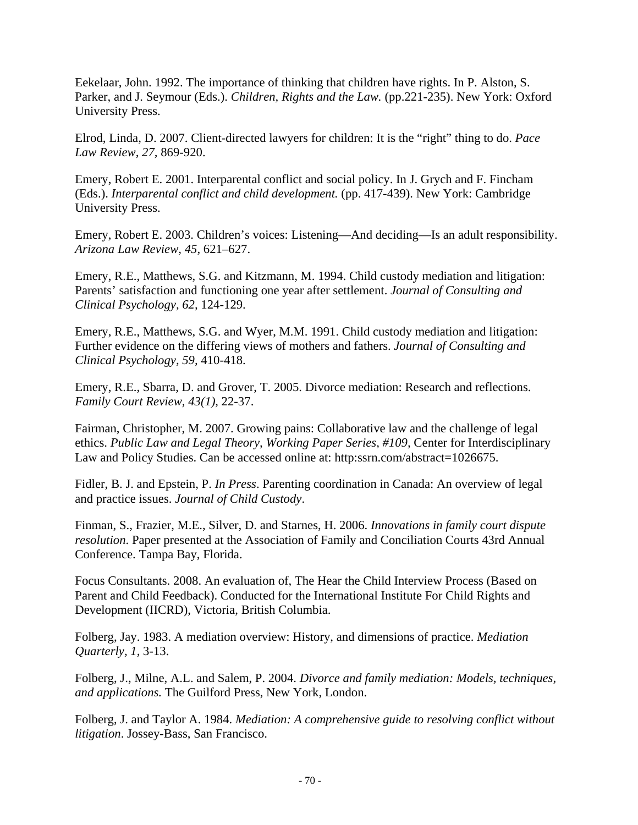Eekelaar, John. 1992. The importance of thinking that children have rights. In P. Alston, S. Parker, and J. Seymour (Eds.). *Children, Rights and the Law.* (pp.221-235). New York: Oxford University Press.

Elrod, Linda, D. 2007. Client-directed lawyers for children: It is the "right" thing to do. *Pace Law Review, 27,* 869-920.

Emery, Robert E. 2001. Interparental conflict and social policy. In J. Grych and F. Fincham (Eds.). *Interparental conflict and child development.* (pp. 417-439). New York: Cambridge University Press.

Emery, Robert E. 2003. Children's voices: Listening—And deciding—Is an adult responsibility. *Arizona Law Review, 45,* 621–627.

Emery, R.E., Matthews, S.G. and Kitzmann, M. 1994. Child custody mediation and litigation: Parents' satisfaction and functioning one year after settlement. *Journal of Consulting and Clinical Psychology, 62,* 124-129.

Emery, R.E., Matthews, S.G. and Wyer, M.M. 1991. Child custody mediation and litigation: Further evidence on the differing views of mothers and fathers. *Journal of Consulting and Clinical Psychology, 59,* 410-418.

Emery, R.E., Sbarra, D. and Grover, T. 2005. Divorce mediation: Research and reflections. *Family Court Review, 43(1),* 22-37.

Fairman, Christopher, M. 2007. Growing pains: Collaborative law and the challenge of legal ethics. *Public Law and Legal Theory, Working Paper Series, #109,* Center for Interdisciplinary Law and Policy Studies. Can be accessed online at: http:ssrn.com/abstract=1026675.

Fidler, B. J. and Epstein, P. *In Press*. Parenting coordination in Canada: An overview of legal and practice issues. *Journal of Child Custody*.

Finman, S., Frazier, M.E., Silver, D. and Starnes, H. 2006. *Innovations in family court dispute resolution*. Paper presented at the Association of Family and Conciliation Courts 43rd Annual Conference. Tampa Bay, Florida.

Focus Consultants. 2008. An evaluation of, The Hear the Child Interview Process (Based on Parent and Child Feedback). Conducted for the International Institute For Child Rights and Development (IICRD), Victoria, British Columbia.

Folberg, Jay. 1983. A mediation overview: History, and dimensions of practice. *Mediation Quarterly, 1,* 3-13.

Folberg, J., Milne, A.L. and Salem, P. 2004. *Divorce and family mediation: Models, techniques, and applications.* The Guilford Press, New York, London.

Folberg, J. and Taylor A. 1984. *Mediation: A comprehensive guide to resolving conflict without litigation*. Jossey-Bass, San Francisco.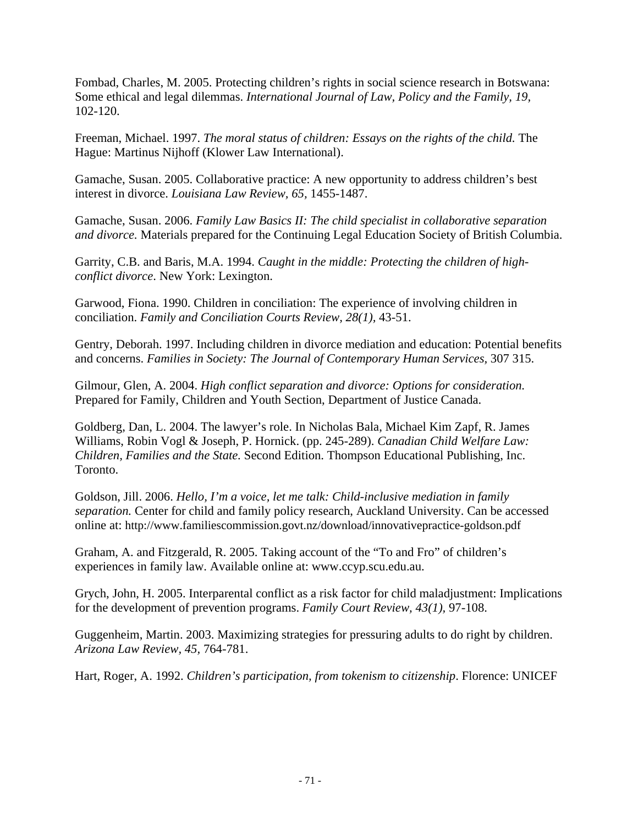Fombad, Charles, M. 2005. Protecting children's rights in social science research in Botswana: Some ethical and legal dilemmas. *International Journal of Law, Policy and the Family, 19,*  102-120.

Freeman, Michael. 1997. *The moral status of children: Essays on the rights of the child.* The Hague: Martinus Nijhoff (Klower Law International).

Gamache, Susan. 2005. Collaborative practice: A new opportunity to address children's best interest in divorce. *Louisiana Law Review, 65,* 1455-1487.

Gamache, Susan. 2006. *Family Law Basics II: The child specialist in collaborative separation and divorce.* Materials prepared for the Continuing Legal Education Society of British Columbia.

Garrity, C.B. and Baris, M.A. 1994. *Caught in the middle: Protecting the children of highconflict divorce*. New York: Lexington.

Garwood, Fiona. 1990. Children in conciliation: The experience of involving children in conciliation. *Family and Conciliation Courts Review, 28(1),* 43-51.

Gentry, Deborah. 1997. Including children in divorce mediation and education: Potential benefits and concerns. *Families in Society: The Journal of Contemporary Human Services,* 307 315.

Gilmour, Glen, A. 2004. *High conflict separation and divorce: Options for consideration.* Prepared for Family, Children and Youth Section, Department of Justice Canada.

Goldberg, Dan, L. 2004. The lawyer's role. In Nicholas Bala, Michael Kim Zapf, R. James Williams, Robin Vogl & Joseph, P. Hornick. (pp. 245-289). *Canadian Child Welfare Law: Children, Families and the State.* Second Edition. Thompson Educational Publishing, Inc. Toronto.

Goldson, Jill. 2006. *Hello, I'm a voice, let me talk: Child-inclusive mediation in family separation.* Center for child and family policy research, Auckland University. Can be accessed online at: http://www.familiescommission.govt.nz/download/innovativepractice-goldson.pdf

Graham, A. and Fitzgerald, R. 2005. Taking account of the "To and Fro" of children's experiences in family law. Available online at: www.ccyp.scu.edu.au.

Grych, John, H. 2005. Interparental conflict as a risk factor for child maladjustment: Implications for the development of prevention programs. *Family Court Review, 43(1),* 97-108.

Guggenheim, Martin. 2003. Maximizing strategies for pressuring adults to do right by children. *Arizona Law Review, 45,* 764-781.

Hart, Roger, A. 1992. *Children's participation, from tokenism to citizenship*. Florence: UNICEF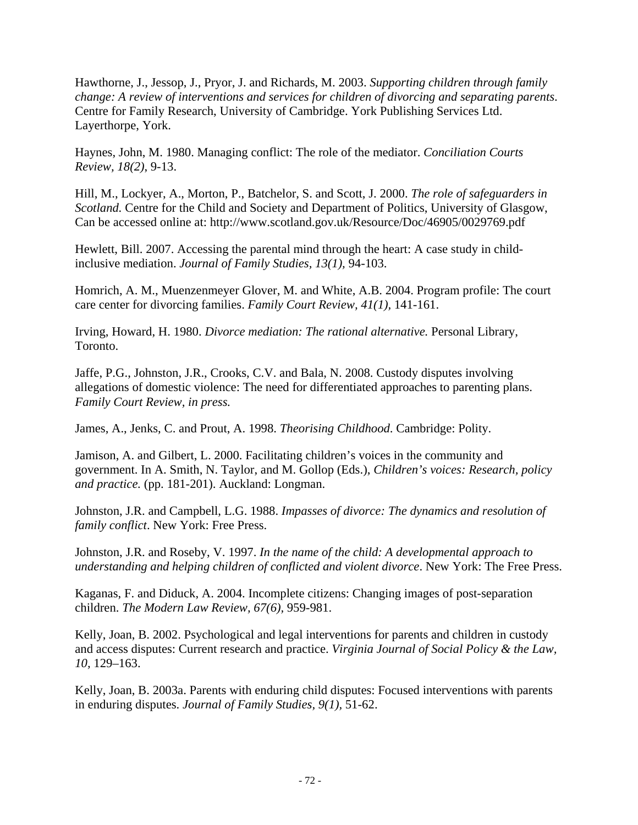Hawthorne, J., Jessop, J., Pryor, J. and Richards, M. 2003. *Supporting children through family change: A review of interventions and services for children of divorcing and separating parents*. Centre for Family Research, University of Cambridge. York Publishing Services Ltd. Layerthorpe, York.

Haynes, John, M. 1980. Managing conflict: The role of the mediator. *Conciliation Courts Review, 18(2)*, 9-13.

Hill, M., Lockyer, A., Morton, P., Batchelor, S. and Scott, J. 2000. *The role of safeguarders in Scotland.* Centre for the Child and Society and Department of Politics, University of Glasgow, Can be accessed online at: http://www.scotland.gov.uk/Resource/Doc/46905/0029769.pdf

Hewlett, Bill. 2007. Accessing the parental mind through the heart: A case study in childinclusive mediation. *Journal of Family Studies, 13(1),* 94-103.

Homrich, A. M., Muenzenmeyer Glover, M. and White, A.B. 2004. Program profile: The court care center for divorcing families. *Family Court Review, 41(1),* 141-161.

Irving, Howard, H. 1980. *Divorce mediation: The rational alternative.* Personal Library, Toronto.

Jaffe, P.G., Johnston, J.R., Crooks, C.V. and Bala, N. 2008. Custody disputes involving allegations of domestic violence: The need for differentiated approaches to parenting plans. *Family Court Review, in press.*

James, A., Jenks, C. and Prout, A. 1998. *Theorising Childhood*. Cambridge: Polity.

Jamison, A. and Gilbert, L. 2000. Facilitating children's voices in the community and government. In A. Smith, N. Taylor, and M. Gollop (Eds.), *Children's voices: Research, policy and practice.* (pp. 181-201). Auckland: Longman.

Johnston, J.R. and Campbell, L.G. 1988. *Impasses of divorce: The dynamics and resolution of family conflict*. New York: Free Press.

Johnston, J.R. and Roseby, V. 1997. *In the name of the child: A developmental approach to understanding and helping children of conflicted and violent divorce*. New York: The Free Press.

Kaganas, F. and Diduck, A. 2004. Incomplete citizens: Changing images of post-separation children. *The Modern Law Review, 67(6),* 959-981.

Kelly, Joan, B. 2002. Psychological and legal interventions for parents and children in custody and access disputes: Current research and practice. *Virginia Journal of Social Policy & the Law, 10,* 129–163.

Kelly, Joan, B. 2003a. Parents with enduring child disputes: Focused interventions with parents in enduring disputes. *Journal of Family Studies, 9(1),* 51-62.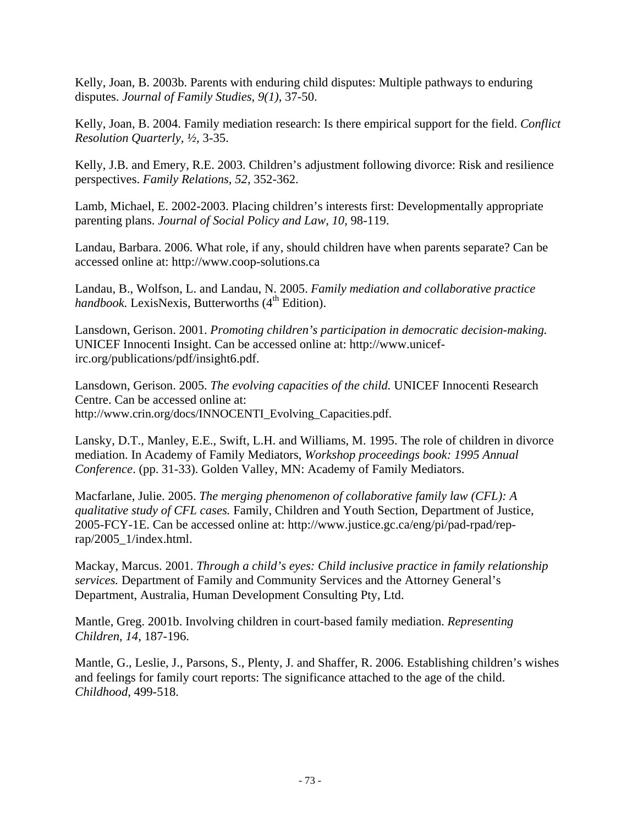Kelly, Joan, B. 2003b. Parents with enduring child disputes: Multiple pathways to enduring disputes. *Journal of Family Studies, 9(1),* 37-50.

Kelly, Joan, B. 2004. Family mediation research: Is there empirical support for the field. *Conflict Resolution Quarterly, ½,* 3-35.

Kelly, J.B. and Emery, R.E. 2003. Children's adjustment following divorce: Risk and resilience perspectives. *Family Relations, 52,* 352-362.

Lamb, Michael, E. 2002-2003. Placing children's interests first: Developmentally appropriate parenting plans. *Journal of Social Policy and Law, 10,* 98-119.

Landau, Barbara. 2006. What role, if any, should children have when parents separate? Can be accessed online at: http://www.coop-solutions.ca

Landau, B., Wolfson, L. and Landau, N. 2005. *Family mediation and collaborative practice handbook.* LexisNexis, Butterworths (4<sup>th</sup> Edition).

Lansdown, Gerison. 2001. *Promoting children's participation in democratic decision-making.*  UNICEF Innocenti Insight. Can be accessed online at: http://www.unicefirc.org/publications/pdf/insight6.pdf.

Lansdown, Gerison. 2005. *The evolving capacities of the child.* UNICEF Innocenti Research Centre. Can be accessed online at: http://www.crin.org/docs/INNOCENTI\_Evolving\_Capacities.pdf.

Lansky, D.T., Manley, E.E., Swift, L.H. and Williams, M. 1995. The role of children in divorce mediation. In Academy of Family Mediators, *Workshop proceedings book: 1995 Annual Conference*. (pp. 31-33). Golden Valley, MN: Academy of Family Mediators.

Macfarlane, Julie. 2005. *The merging phenomenon of collaborative family law (CFL): A qualitative study of CFL cases.* Family, Children and Youth Section, Department of Justice, 2005-FCY-1E. Can be accessed online at: http://www.justice.gc.ca/eng/pi/pad-rpad/reprap/2005\_1/index.html.

Mackay, Marcus. 2001. *Through a child's eyes: Child inclusive practice in family relationship services.* Department of Family and Community Services and the Attorney General's Department, Australia, Human Development Consulting Pty, Ltd.

Mantle, Greg. 2001b. Involving children in court-based family mediation. *Representing Children, 14,* 187-196.

Mantle, G., Leslie, J., Parsons, S., Plenty, J. and Shaffer, R. 2006. Establishing children's wishes and feelings for family court reports: The significance attached to the age of the child. *Childhood,* 499-518.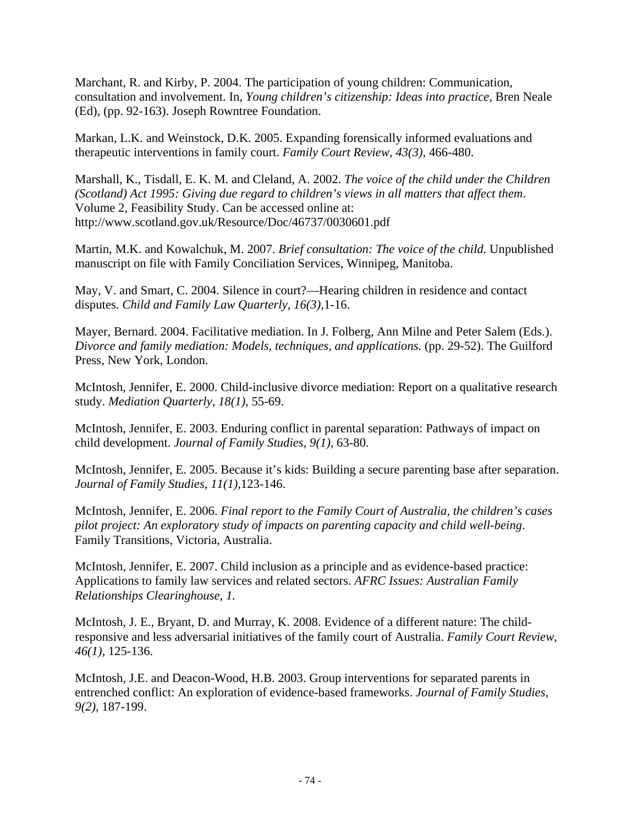Marchant, R. and Kirby, P. 2004. The participation of young children: Communication, consultation and involvement. In, *Young children's citizenship: Ideas into practice,* Bren Neale (Ed), (pp. 92-163). Joseph Rowntree Foundation.

Markan, L.K. and Weinstock, D.K. 2005. Expanding forensically informed evaluations and therapeutic interventions in family court. *Family Court Review, 43(3),* 466-480.

Marshall, K., Tisdall, E. K. M. and Cleland, A. 2002. *The voice of the child under the Children (Scotland) Act 1995: Giving due regard to children's views in all matters that affect them*. Volume 2, Feasibility Study. Can be accessed online at: http://www.scotland.gov.uk/Resource/Doc/46737/0030601.pdf

Martin, M.K. and Kowalchuk, M. 2007. *Brief consultation: The voice of the child.* Unpublished manuscript on file with Family Conciliation Services, Winnipeg, Manitoba.

May, V. and Smart, C. 2004. Silence in court?—Hearing children in residence and contact disputes. *Child and Family Law Quarterly, 16(3),*1-16.

Mayer, Bernard. 2004. Facilitative mediation. In J. Folberg, Ann Milne and Peter Salem (Eds.). *Divorce and family mediation: Models, techniques, and applications.* (pp. 29-52). The Guilford Press, New York, London.

McIntosh, Jennifer, E. 2000. Child-inclusive divorce mediation: Report on a qualitative research study. *Mediation Quarterly, 18(1),* 55-69.

McIntosh, Jennifer, E. 2003. Enduring conflict in parental separation: Pathways of impact on child development. *Journal of Family Studies, 9(1),* 63-80.

McIntosh, Jennifer, E. 2005. Because it's kids: Building a secure parenting base after separation. *Journal of Family Studies, 11(1),*123-146.

McIntosh, Jennifer, E. 2006. *Final report to the Family Court of Australia, the children's cases pilot project: An exploratory study of impacts on parenting capacity and child well-being*. Family Transitions, Victoria, Australia.

McIntosh, Jennifer, E. 2007. Child inclusion as a principle and as evidence-based practice: Applications to family law services and related sectors. *AFRC Issues: Australian Family Relationships Clearinghouse, 1.*

McIntosh, J. E., Bryant, D. and Murray, K. 2008. Evidence of a different nature: The childresponsive and less adversarial initiatives of the family court of Australia. *Family Court Review, 46(1),* 125-136.

McIntosh, J.E. and Deacon-Wood, H.B. 2003. Group interventions for separated parents in entrenched conflict: An exploration of evidence-based frameworks. *Journal of Family Studies, 9(2),* 187-199.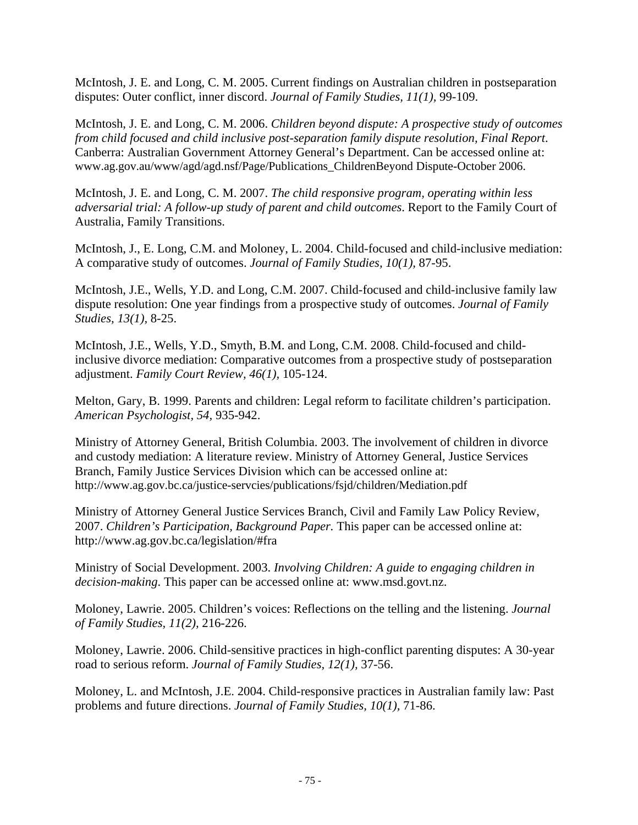McIntosh, J. E. and Long, C. M. 2005. Current findings on Australian children in postseparation disputes: Outer conflict, inner discord. *Journal of Family Studies, 11(1),* 99-109.

McIntosh, J. E. and Long, C. M. 2006. *Children beyond dispute: A prospective study of outcomes from child focused and child inclusive post-separation family dispute resolution, Final Report*. Canberra: Australian Government Attorney General's Department. Can be accessed online at: www.ag.gov.au/www/agd/agd.nsf/Page/Publications\_ChildrenBeyond Dispute-October 2006.

McIntosh, J. E. and Long, C. M. 2007. *The child responsive program, operating within less adversarial trial: A follow-up study of parent and child outcomes*. Report to the Family Court of Australia, Family Transitions.

McIntosh, J., E. Long, C.M. and Moloney, L. 2004. Child-focused and child-inclusive mediation: A comparative study of outcomes. *Journal of Family Studies, 10(1),* 87-95.

McIntosh, J.E., Wells, Y.D. and Long, C.M. 2007. Child-focused and child-inclusive family law dispute resolution: One year findings from a prospective study of outcomes. *Journal of Family Studies, 13(1),* 8-25.

McIntosh, J.E., Wells, Y.D., Smyth, B.M. and Long, C.M. 2008. Child-focused and childinclusive divorce mediation: Comparative outcomes from a prospective study of postseparation adjustment. *Family Court Review, 46(1),* 105-124.

Melton, Gary, B. 1999. Parents and children: Legal reform to facilitate children's participation. *American Psychologist, 54,* 935-942.

Ministry of Attorney General, British Columbia. 2003. The involvement of children in divorce and custody mediation: A literature review. Ministry of Attorney General, Justice Services Branch, Family Justice Services Division which can be accessed online at: http://www.ag.gov.bc.ca/justice-servcies/publications/fsjd/children/Mediation.pdf

Ministry of Attorney General Justice Services Branch, Civil and Family Law Policy Review, 2007. *Children's Participation, Background Paper.* This paper can be accessed online at: http://www.ag.gov.bc.ca/legislation/#fra

Ministry of Social Development. 2003. *Involving Children: A guide to engaging children in decision-making*. This paper can be accessed online at: www.msd.govt.nz.

Moloney, Lawrie. 2005. Children's voices: Reflections on the telling and the listening. *Journal of Family Studies, 11(2),* 216-226.

Moloney, Lawrie. 2006. Child-sensitive practices in high-conflict parenting disputes: A 30-year road to serious reform. *Journal of Family Studies, 12(1),* 37-56.

Moloney, L. and McIntosh, J.E. 2004. Child-responsive practices in Australian family law: Past problems and future directions. *Journal of Family Studies, 10(1),* 71-86.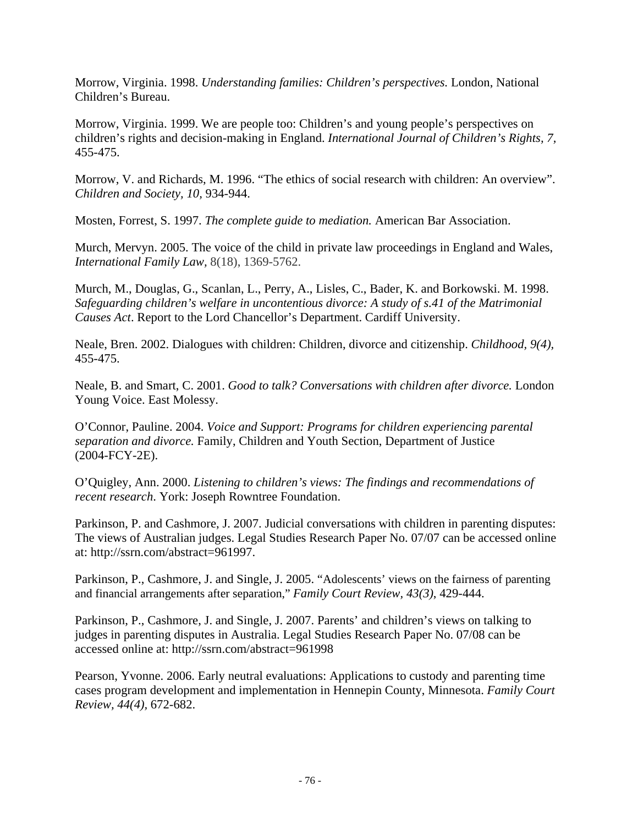Morrow, Virginia. 1998. *Understanding families: Children's perspectives.* London, National Children's Bureau.

Morrow, Virginia. 1999. We are people too: Children's and young people's perspectives on children's rights and decision-making in England. *International Journal of Children's Rights, 7,*  455-475.

Morrow, V. and Richards, M. 1996. "The ethics of social research with children: An overview". *Children and Society, 10,* 934-944.

Mosten, Forrest, S. 1997. *The complete guide to mediation.* American Bar Association.

Murch, Mervyn. 2005. The voice of the child in private law proceedings in England and Wales, *International Family Law,* 8(18), 1369-5762.

Murch, M., Douglas, G., Scanlan, L., Perry, A., Lisles, C., Bader, K. and Borkowski. M. 1998. *Safeguarding children's welfare in uncontentious divorce: A study of s.41 of the Matrimonial Causes Act*. Report to the Lord Chancellor's Department. Cardiff University.

Neale, Bren. 2002. Dialogues with children: Children, divorce and citizenship. *Childhood, 9(4),*  455-475.

Neale, B. and Smart, C. 2001. *Good to talk? Conversations with children after divorce.* London Young Voice. East Molessy.

O'Connor, Pauline. 2004. *Voice and Support: Programs for children experiencing parental separation and divorce.* Family, Children and Youth Section, Department of Justice (2004-FCY-2E).

O'Quigley, Ann. 2000. *Listening to children's views: The findings and recommendations of recent research*. York: Joseph Rowntree Foundation.

Parkinson, P. and Cashmore, J. 2007. Judicial conversations with children in parenting disputes: The views of Australian judges. Legal Studies Research Paper No. 07/07 can be accessed online at: http://ssrn.com/abstract=961997.

Parkinson, P., Cashmore, J. and Single, J. 2005. "Adolescents' views on the fairness of parenting and financial arrangements after separation," *Family Court Review, 43(3)*, 429-444.

Parkinson, P., Cashmore, J. and Single, J. 2007. Parents' and children's views on talking to judges in parenting disputes in Australia. Legal Studies Research Paper No. 07/08 can be accessed online at: http://ssrn.com/abstract=961998

Pearson, Yvonne. 2006. Early neutral evaluations: Applications to custody and parenting time cases program development and implementation in Hennepin County, Minnesota. *Family Court Review, 44(4),* 672-682.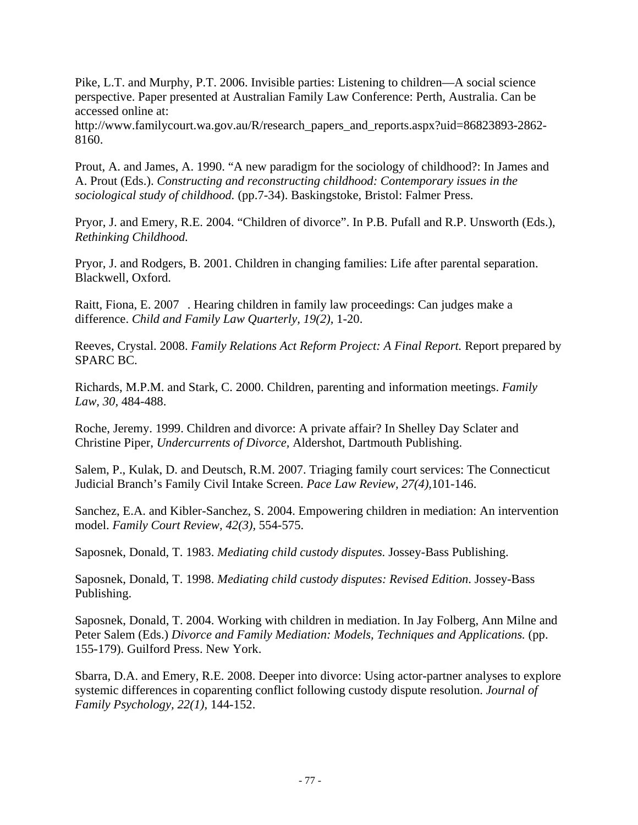Pike, L.T. and Murphy, P.T. 2006. Invisible parties: Listening to children—A social science perspective. Paper presented at Australian Family Law Conference: Perth, Australia. Can be accessed online at:

http://www.familycourt.wa.gov.au/R/research\_papers\_and\_reports.aspx?uid=86823893-2862- 8160.

Prout, A. and James, A. 1990. "A new paradigm for the sociology of childhood?: In James and A. Prout (Eds.). *Constructing and reconstructing childhood: Contemporary issues in the sociological study of childhood.* (pp.7-34). Baskingstoke, Bristol: Falmer Press.

Pryor, J. and Emery, R.E. 2004. "Children of divorce". In P.B. Pufall and R.P. Unsworth (Eds.), *Rethinking Childhood.* 

Pryor, J. and Rodgers, B. 2001. Children in changing families: Life after parental separation. Blackwell, Oxford.

Raitt, Fiona, E. 2007 . Hearing children in family law proceedings: Can judges make a difference. *Child and Family Law Quarterly, 19(2),* 1-20.

Reeves, Crystal. 2008. *Family Relations Act Reform Project: A Final Report.* Report prepared by SPARC BC.

Richards, M.P.M. and Stark, C. 2000. Children, parenting and information meetings. *Family Law, 30,* 484-488.

Roche, Jeremy. 1999. Children and divorce: A private affair? In Shelley Day Sclater and Christine Piper, *Undercurrents of Divorce,* Aldershot, Dartmouth Publishing.

Salem, P., Kulak, D. and Deutsch, R.M. 2007. Triaging family court services: The Connecticut Judicial Branch's Family Civil Intake Screen. *Pace Law Review, 27(4),*101-146.

Sanchez, E.A. and Kibler-Sanchez, S. 2004. Empowering children in mediation: An intervention model. *Family Court Review, 42(3),* 554-575.

Saposnek, Donald, T. 1983. *Mediating child custody disputes.* Jossey-Bass Publishing.

Saposnek, Donald, T. 1998. *Mediating child custody disputes: Revised Edition*. Jossey-Bass Publishing.

Saposnek, Donald, T. 2004. Working with children in mediation. In Jay Folberg, Ann Milne and Peter Salem (Eds.) *Divorce and Family Mediation: Models, Techniques and Applications.* (pp. 155-179). Guilford Press. New York.

Sbarra, D.A. and Emery, R.E. 2008. Deeper into divorce: Using actor-partner analyses to explore systemic differences in coparenting conflict following custody dispute resolution. *Journal of Family Psychology, 22(1),* 144-152.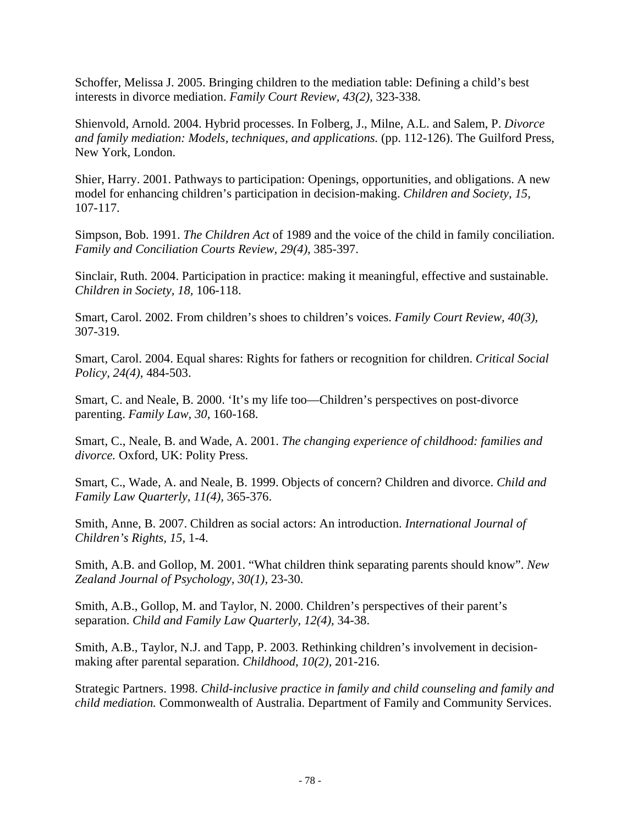Schoffer, Melissa J. 2005. Bringing children to the mediation table: Defining a child's best interests in divorce mediation. *Family Court Review, 43(2),* 323-338.

Shienvold, Arnold. 2004. Hybrid processes. In Folberg, J., Milne, A.L. and Salem, P. *Divorce and family mediation: Models, techniques, and applications.* (pp. 112-126). The Guilford Press, New York, London.

Shier, Harry. 2001. Pathways to participation: Openings, opportunities, and obligations. A new model for enhancing children's participation in decision-making. *Children and Society, 15,*  107-117.

Simpson, Bob. 1991. *The Children Act* of 1989 and the voice of the child in family conciliation. *Family and Conciliation Courts Review, 29(4),* 385-397.

Sinclair, Ruth. 2004. Participation in practice: making it meaningful, effective and sustainable. *Children in Society, 18,* 106-118.

Smart, Carol. 2002. From children's shoes to children's voices. *Family Court Review, 40(3),*  307-319.

Smart, Carol. 2004. Equal shares: Rights for fathers or recognition for children. *Critical Social Policy, 24(4)*, 484-503.

Smart, C. and Neale, B. 2000. 'It's my life too—Children's perspectives on post-divorce parenting. *Family Law, 30,* 160-168.

Smart, C., Neale, B. and Wade, A. 2001. *The changing experience of childhood: families and divorce.* Oxford, UK: Polity Press.

Smart, C., Wade, A. and Neale, B. 1999. Objects of concern? Children and divorce. *Child and Family Law Quarterly, 11(4),* 365-376.

Smith, Anne, B. 2007. Children as social actors: An introduction. *International Journal of Children's Rights, 15,* 1-4.

Smith, A.B. and Gollop, M. 2001. "What children think separating parents should know". *New Zealand Journal of Psychology, 30(1),* 23-30.

Smith, A.B., Gollop, M. and Taylor, N. 2000. Children's perspectives of their parent's separation. *Child and Family Law Quarterly, 12(4),* 34-38.

Smith, A.B., Taylor, N.J. and Tapp, P. 2003. Rethinking children's involvement in decisionmaking after parental separation. *Childhood, 10(2),* 201-216.

Strategic Partners. 1998. *Child-inclusive practice in family and child counseling and family and child mediation.* Commonwealth of Australia. Department of Family and Community Services.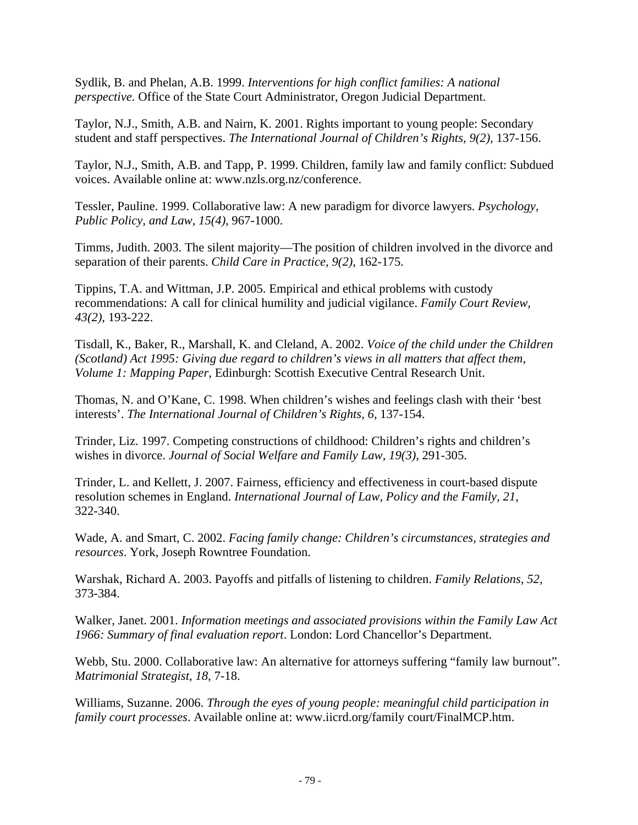Sydlik, B. and Phelan, A.B. 1999. *Interventions for high conflict families: A national perspective.* Office of the State Court Administrator, Oregon Judicial Department.

Taylor, N.J., Smith, A.B. and Nairn, K. 2001. Rights important to young people: Secondary student and staff perspectives. *The International Journal of Children's Rights, 9(2),* 137-156.

Taylor, N.J., Smith, A.B. and Tapp, P. 1999. Children, family law and family conflict: Subdued voices. Available online at: www.nzls.org.nz/conference.

Tessler, Pauline. 1999. Collaborative law: A new paradigm for divorce lawyers. *Psychology, Public Policy, and Law, 15(4),* 967-1000.

Timms, Judith. 2003. The silent majority—The position of children involved in the divorce and separation of their parents. *Child Care in Practice, 9(2),* 162-175.

Tippins, T.A. and Wittman, J.P. 2005. Empirical and ethical problems with custody recommendations: A call for clinical humility and judicial vigilance. *Family Court Review, 43(2),* 193-222.

Tisdall, K., Baker, R., Marshall, K. and Cleland, A. 2002. *Voice of the child under the Children (Scotland) Act 1995: Giving due regard to children's views in all matters that affect them, Volume 1: Mapping Paper*, Edinburgh: Scottish Executive Central Research Unit.

Thomas, N. and O'Kane, C. 1998. When children's wishes and feelings clash with their 'best interests'. *The International Journal of Children's Rights, 6,* 137-154.

Trinder, Liz. 1997. Competing constructions of childhood: Children's rights and children's wishes in divorce. *Journal of Social Welfare and Family Law, 19(3),* 291-305.

Trinder, L. and Kellett, J. 2007. Fairness, efficiency and effectiveness in court-based dispute resolution schemes in England. *International Journal of Law, Policy and the Family, 21,*  322-340.

Wade, A. and Smart, C. 2002. *Facing family change: Children's circumstances, strategies and resources*. York, Joseph Rowntree Foundation.

Warshak, Richard A. 2003. Payoffs and pitfalls of listening to children. *Family Relations, 52,*  373-384.

Walker, Janet. 2001. *Information meetings and associated provisions within the Family Law Act 1966: Summary of final evaluation report*. London: Lord Chancellor's Department.

Webb, Stu. 2000. Collaborative law: An alternative for attorneys suffering "family law burnout". *Matrimonial Strategist, 18,* 7-18.

Williams, Suzanne. 2006. *Through the eyes of young people: meaningful child participation in family court processes*. Available online at: www.iicrd.org/family court/FinalMCP.htm.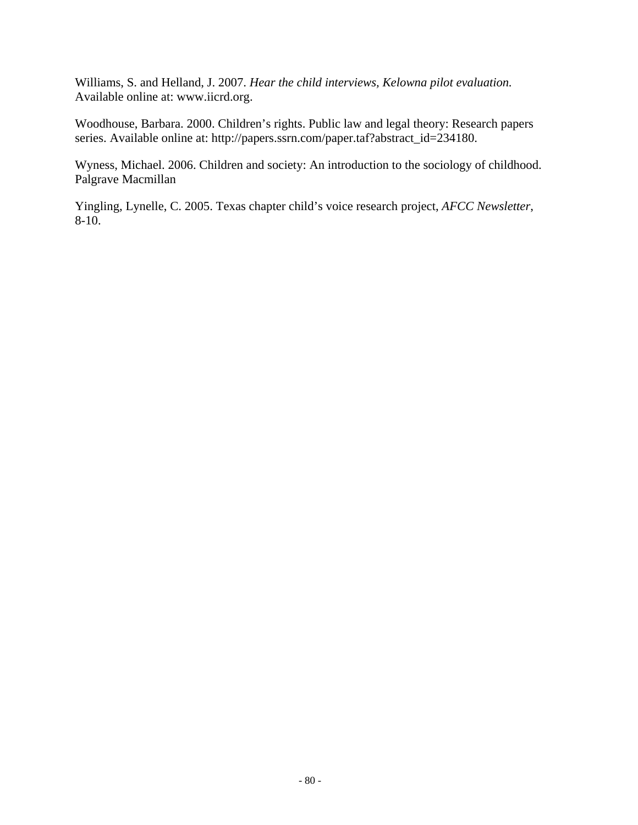Williams, S. and Helland, J. 2007. *Hear the child interviews, Kelowna pilot evaluation.*  Available online at: www.iicrd.org.

Woodhouse, Barbara. 2000. Children's rights. Public law and legal theory: Research papers series. Available online at: http://papers.ssrn.com/paper.taf?abstract\_id=234180.

Wyness, Michael. 2006. Children and society: An introduction to the sociology of childhood. Palgrave Macmillan

Yingling, Lynelle, C. 2005. Texas chapter child's voice research project, *AFCC Newsletter*, 8-10.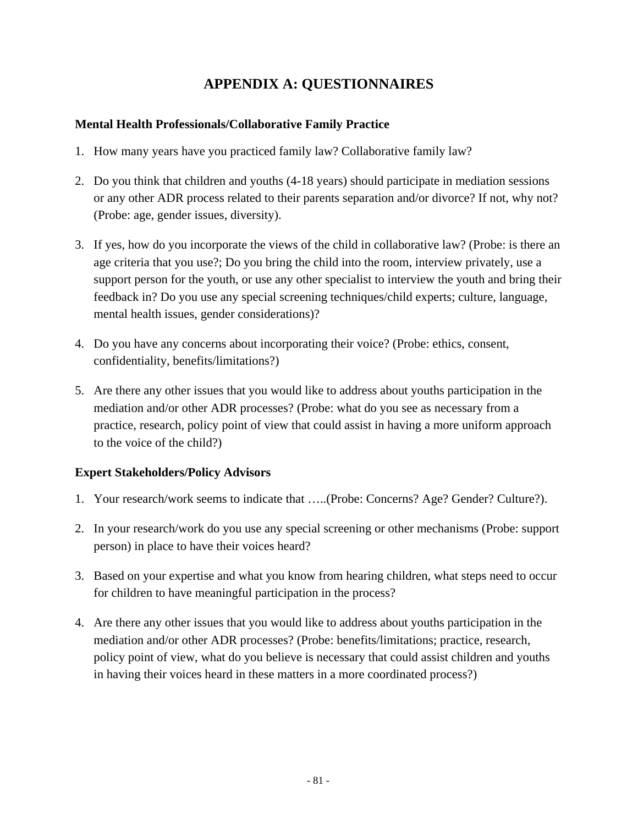# **APPENDIX A: QUESTIONNAIRES**

#### **Mental Health Professionals/Collaborative Family Practice**

- 1. How many years have you practiced family law? Collaborative family law?
- 2. Do you think that children and youths (4-18 years) should participate in mediation sessions or any other ADR process related to their parents separation and/or divorce? If not, why not? (Probe: age, gender issues, diversity).
- 3. If yes, how do you incorporate the views of the child in collaborative law? (Probe: is there an age criteria that you use?; Do you bring the child into the room, interview privately, use a support person for the youth, or use any other specialist to interview the youth and bring their feedback in? Do you use any special screening techniques/child experts; culture, language, mental health issues, gender considerations)?
- 4. Do you have any concerns about incorporating their voice? (Probe: ethics, consent, confidentiality, benefits/limitations?)
- 5. Are there any other issues that you would like to address about youths participation in the mediation and/or other ADR processes? (Probe: what do you see as necessary from a practice, research, policy point of view that could assist in having a more uniform approach to the voice of the child?)

### **Expert Stakeholders/Policy Advisors**

- 1. Your research/work seems to indicate that …..(Probe: Concerns? Age? Gender? Culture?).
- 2. In your research/work do you use any special screening or other mechanisms (Probe: support person) in place to have their voices heard?
- 3. Based on your expertise and what you know from hearing children, what steps need to occur for children to have meaningful participation in the process?
- 4. Are there any other issues that you would like to address about youths participation in the mediation and/or other ADR processes? (Probe: benefits/limitations; practice, research, policy point of view, what do you believe is necessary that could assist children and youths in having their voices heard in these matters in a more coordinated process?)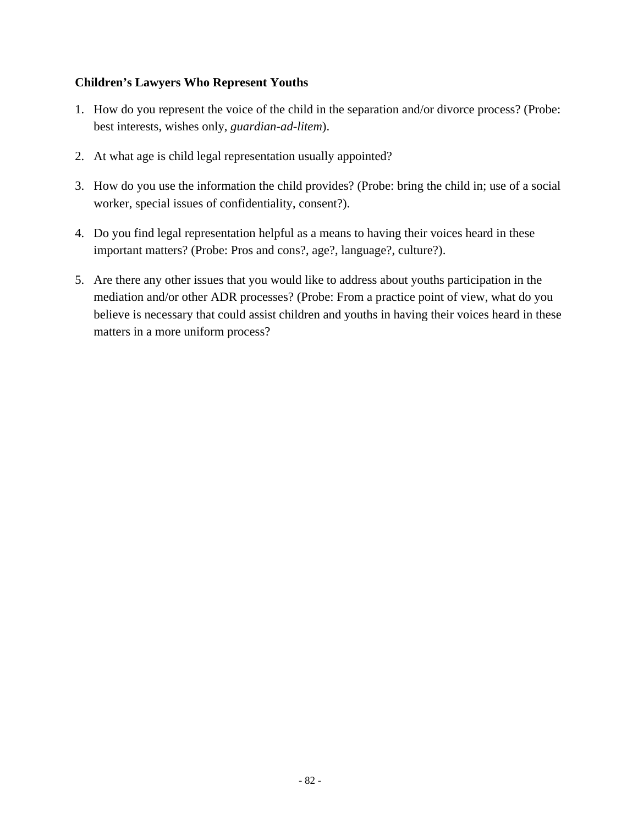#### **Children's Lawyers Who Represent Youths**

- 1. How do you represent the voice of the child in the separation and/or divorce process? (Probe: best interests, wishes only, *guardian-ad-litem*).
- 2. At what age is child legal representation usually appointed?
- 3. How do you use the information the child provides? (Probe: bring the child in; use of a social worker, special issues of confidentiality, consent?).
- 4. Do you find legal representation helpful as a means to having their voices heard in these important matters? (Probe: Pros and cons?, age?, language?, culture?).
- 5. Are there any other issues that you would like to address about youths participation in the mediation and/or other ADR processes? (Probe: From a practice point of view, what do you believe is necessary that could assist children and youths in having their voices heard in these matters in a more uniform process?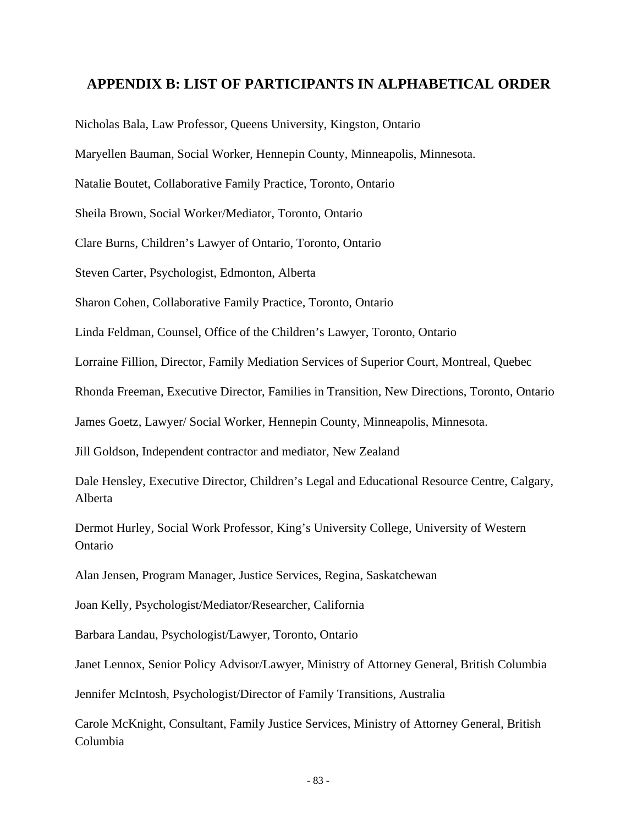### **APPENDIX B: LIST OF PARTICIPANTS IN ALPHABETICAL ORDER**

Nicholas Bala, Law Professor, Queens University, Kingston, Ontario

Maryellen Bauman, Social Worker, Hennepin County, Minneapolis, Minnesota.

Natalie Boutet, Collaborative Family Practice, Toronto, Ontario

Sheila Brown, Social Worker/Mediator, Toronto, Ontario

Clare Burns, Children's Lawyer of Ontario, Toronto, Ontario

Steven Carter, Psychologist, Edmonton, Alberta

Sharon Cohen, Collaborative Family Practice, Toronto, Ontario

Linda Feldman, Counsel, Office of the Children's Lawyer, Toronto, Ontario

Lorraine Fillion, Director, Family Mediation Services of Superior Court, Montreal, Quebec

Rhonda Freeman, Executive Director, Families in Transition, New Directions, Toronto, Ontario

James Goetz, Lawyer/ Social Worker, Hennepin County, Minneapolis, Minnesota.

Jill Goldson, Independent contractor and mediator, New Zealand

Dale Hensley, Executive Director, Children's Legal and Educational Resource Centre, Calgary, Alberta

Dermot Hurley, Social Work Professor, King's University College, University of Western Ontario

Alan Jensen, Program Manager, Justice Services, Regina, Saskatchewan

Joan Kelly, Psychologist/Mediator/Researcher, California

Barbara Landau, Psychologist/Lawyer, Toronto, Ontario

Janet Lennox, Senior Policy Advisor/Lawyer, Ministry of Attorney General, British Columbia

Jennifer McIntosh, Psychologist/Director of Family Transitions, Australia

Carole McKnight, Consultant, Family Justice Services, Ministry of Attorney General, British Columbia